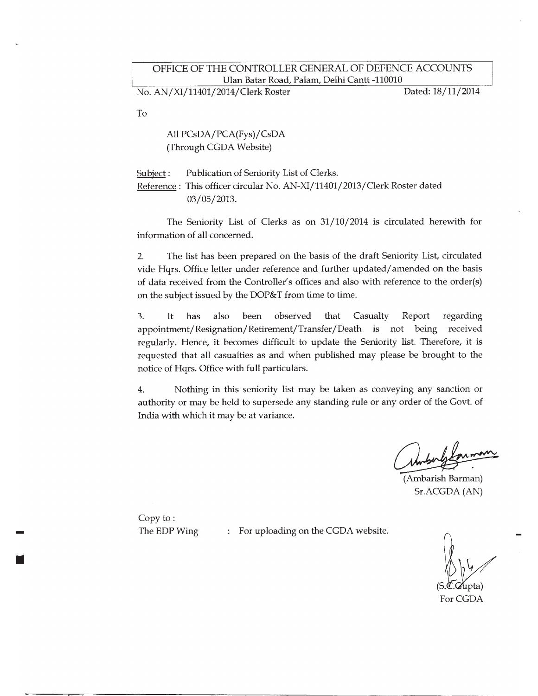No. AN/XI/11401/2014/Clerk Roster

Dated: 18/11/2014

To

All PCsDA/PCA(Fys)/CsDA (Through CGDA Website)

Publication of Seniority List of Clerks. Subject: Reference : This officer circular No. AN-XI/11401/2013/Clerk Roster dated 03/05/2013.

The Seniority List of Clerks as on 31/10/2014 is circulated herewith for information of all concerned.

The list has been prepared on the basis of the draft Seniority List, circulated  $2.$ vide Hqrs. Office letter under reference and further updated/amended on the basis of data received from the Controller's offices and also with reference to the order(s) on the subject issued by the DOP&T from time to time.

 $3.$ It has also been observed that Casualty Report regarding appointment/Resignation/Retirement/Transfer/Death is not being received regularly. Hence, it becomes difficult to update the Seniority list. Therefore, it is requested that all casualties as and when published may please be brought to the notice of Hqrs. Office with full particulars.

4. Nothing in this seniority list may be taken as conveying any sanction or authority or may be held to supersede any standing rule or any order of the Govt. of India with which it may be at variance.

(Ambarish Barman) Sr.ACGDA (AN)

Copy to: The EDP Wing

: For uploading on the CGDA website.

For CGDA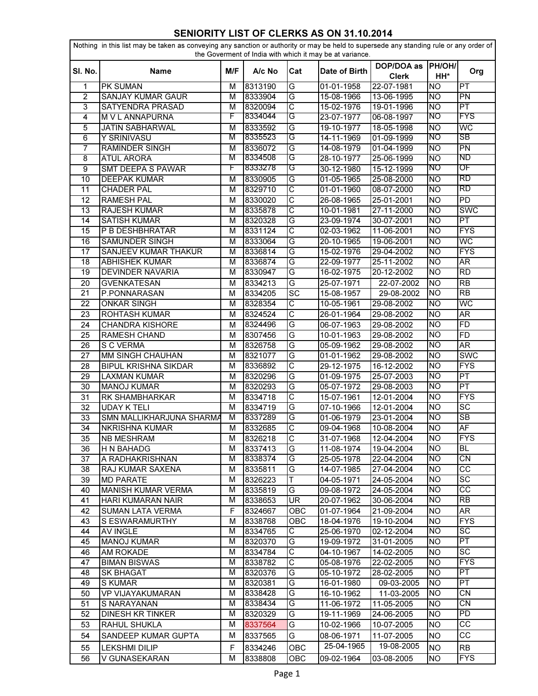## SENIORITY LIST OF CLERKS AS ON 31.10.2014

|                | Nothing in this list may be taken as conveying any sanction or authority or may be held to supersede any standing rule or any order of<br>the Goverment of India with which it may be at variance. |     |         |                       |               |                            |               |                          |  |
|----------------|----------------------------------------------------------------------------------------------------------------------------------------------------------------------------------------------------|-----|---------|-----------------------|---------------|----------------------------|---------------|--------------------------|--|
| SI. No.        | <b>Name</b>                                                                                                                                                                                        | M/F | A/c No  | Cat                   | Date of Birth | DOP/DOA as<br><b>Clerk</b> | PH/OH/<br>HH* | Org                      |  |
| 1              | PK SUMAN                                                                                                                                                                                           | м   | 8313190 | G                     | 01-01-1958    | 22-07-1981                 | <b>NO</b>     | $\overline{\mathsf{PT}}$ |  |
| $\overline{2}$ | SANJAY KUMAR GAUR                                                                                                                                                                                  | M   | 8333904 | G                     | 15-08-1966    | 13-06-1995                 | <b>NO</b>     | $\overline{PN}$          |  |
| $\overline{3}$ | SATYENDRA PRASAD                                                                                                                                                                                   | M   | 8320094 | $\overline{\text{c}}$ | 15-02-1976    | 19-01-1996                 | <b>NO</b>     | $\overline{\mathsf{PT}}$ |  |
| $\overline{4}$ | M V L ANNAPURNA                                                                                                                                                                                    | F   | 8334044 | G                     | 23-07-1977    | 06-08-1997                 | ΝO            | FYS                      |  |
| 5              | JATIN SABHARWAL                                                                                                                                                                                    | М   | 8333592 | G                     | 19-10-1977    | 18-05-1998                 | <b>NO</b>     | WC                       |  |
| 6              | Y SRINIVASU                                                                                                                                                                                        | M   | 8335523 | G                     | 14-11-1969    | 01-09-1999                 | ΝO            | SB                       |  |
| 7              | <b>RAMINDER SINGH</b>                                                                                                                                                                              | M   | 8336072 | G                     | 14-08-1979    | 01-04-1999                 | <b>NO</b>     | $\overline{PN}$          |  |
| 8              | <b>ATUL ARORA</b>                                                                                                                                                                                  | M   | 8334508 | G                     | 28-10-1977    | 25-06-1999                 | <b>NO</b>     | ND                       |  |
| $\overline{9}$ | SMT DEEPA S PAWAR                                                                                                                                                                                  | F   | 8333278 | G                     | 30-12-1980    | 15-12-1999                 | ΝO            | ΟF                       |  |
| 10             | <b>DEEPAK KUMAR</b>                                                                                                                                                                                | М   | 8330905 | G                     | 01-05-1965    | 25-08-2000                 | Ю             | RD                       |  |
| 11             | <b>CHADER PAL</b>                                                                                                                                                                                  | М   | 8329710 | C                     | 01-01-1960    | 08-07-2000                 | <b>NO</b>     | RD                       |  |
| 12             | <b>RAMESH PAL</b>                                                                                                                                                                                  | M   | 8330020 | $\overline{\text{c}}$ | 26-08-1965    | 25-01-2001                 | <b>NO</b>     | $\overline{PD}$          |  |
| 13             | <b>RAJESH KUMAR</b>                                                                                                                                                                                | M   | 8335878 | С                     | 10-01-1981    | 27-11-2000                 | <b>NO</b>     | <b>SWC</b>               |  |
| 14             | <b>SATISH KUMAR</b>                                                                                                                                                                                | M   | 8320328 | G                     | 23-09-1974    | 30-07-2001                 | <b>NO</b>     | $\overline{\mathsf{PT}}$ |  |
| 15             | P B DESHBHRATAR                                                                                                                                                                                    | M   | 8331124 | C                     | 02-03-1962    | 11-06-2001                 | <b>NO</b>     | <b>FYS</b>               |  |
| 16             | <b>SAMUNDER SINGH</b>                                                                                                                                                                              | M   | 8333064 | G                     | 20-10-1965    | 19-06-2001                 | Ю             | WC                       |  |
| 17             | SANJEEV KUMAR THAKUR                                                                                                                                                                               | M   | 8336814 | G                     | 15-02-1976    | 29-04-2002                 | <b>NO</b>     | <b>FYS</b>               |  |
| 18             | <b>ABHISHEK KUMAR</b>                                                                                                                                                                              | M   | 8336874 | G                     | 22-09-1977    | 25-11-2002                 | <b>NO</b>     | AR                       |  |
| 19             | DEVINDER NAVARIA                                                                                                                                                                                   | M   | 8330947 | G                     | 16-02-1975    | 20-12-2002                 | <b>NO</b>     | RD                       |  |
| 20             | <b>GVENKATESAN</b>                                                                                                                                                                                 | M   | 8334213 | G                     | $25-07-1971$  | 22-07-2002                 | <b>NO</b>     | <b>RB</b>                |  |
| 21             | P.PONNARASAN                                                                                                                                                                                       | M   | 8334205 | <b>SC</b>             | 15-08-1957    | 29-08-2002                 | <b>NO</b>     | $\overline{RB}$          |  |
| 22             | <b>ONKAR SINGH</b>                                                                                                                                                                                 | M   | 8328354 | С                     | 10-05-1961    | 29-08-2002                 | <b>NO</b>     | WC                       |  |
| 23             | <b>ROHTASH KUMAR</b>                                                                                                                                                                               | M   | 8324524 | C                     | 26-01-1964    | 29-08-2002                 | <b>NO</b>     | AR                       |  |
| 24             | <b>CHANDRA KISHORE</b>                                                                                                                                                                             | M   | 8324496 | G                     | 06-07-1963    | 29-08-2002                 | <b>NO</b>     | FD                       |  |
| 25             | <b>RAMESH CHAND</b>                                                                                                                                                                                | M   | 8307456 | G                     | 10-01-1963    | 29-08-2002                 | <b>NO</b>     | <b>FD</b>                |  |
| 26             | S C VERMA                                                                                                                                                                                          | M   | 8326758 | G                     | 05-09-1962    | 29-08-2002                 | <b>NO</b>     | AR                       |  |
| 27             | <b>MM SINGH CHAUHAN</b>                                                                                                                                                                            | M   | 8321077 | G                     | 01-01-1962    | 29-08-2002                 | <b>NO</b>     | <b>SWC</b>               |  |
| 28             | <b>BIPUL KRISHNA SIKDAR</b>                                                                                                                                                                        | M   | 8336892 | C                     | 29-12-1975    | 16-12-2002                 | <b>NO</b>     | <b>FYS</b>               |  |
| 29             | LAXMAN KUMAR                                                                                                                                                                                       | M   | 8320296 | G                     | 01-09-1975    | 25-07-2003                 | <b>NO</b>     | PT                       |  |
| 30             | <b>MANOJ KUMAR</b>                                                                                                                                                                                 | M   | 8320293 | G                     | 05-07-1972    | 29-08-2003                 | <b>NO</b>     | PT                       |  |
| 31             | RK SHAMBHARKAR                                                                                                                                                                                     | M   | 8334718 | $\overline{\text{c}}$ | 15-07-1961    | 12-01-2004                 | Ю             | <b>FYS</b>               |  |
| 32             | <b>UDAY K TELI</b>                                                                                                                                                                                 | M   | 8334719 | G                     | 07-10-1966    | 12-01-2004                 | <b>NO</b>     | $\overline{SC}$          |  |
| 33             | SMN MALLIKHARJUNA SHARMA                                                                                                                                                                           | M   | 8337289 | G                     | 01-06-1979    | 23-01-2004                 | <b>NO</b>     | $\overline{\text{SB}}$   |  |
| 34             | <b>NKRISHNA KUMAR</b>                                                                                                                                                                              | M   | 8332685 | $\overline{\text{c}}$ | 09-04-1968    | 10-08-2004                 | <b>NO</b>     | $\overline{AF}$          |  |
| 35             | <b>NB MESHRAM</b>                                                                                                                                                                                  | M   | 8326218 | $\overline{c}$        | 31-07-1968    | 12-04-2004                 | <b>NO</b>     | <b>FYS</b>               |  |
| 36             | <b>H N BAHADG</b>                                                                                                                                                                                  | М   | 8337413 | G                     | 11-08-1974    | 19-04-2004                 | <b>NO</b>     | BL                       |  |
| 37             | A RADHAKRISHNAN                                                                                                                                                                                    | М   | 8338374 | G                     | 25-05-1978    | 22-04-2004                 | <b>NO</b>     | $\overline{\text{CN}}$   |  |
| 38             | <b>RAJ KUMAR SAXENA</b>                                                                                                                                                                            | м   | 8335811 | G                     | 14-07-1985    | 27-04-2004                 | <b>NO</b>     | $\overline{cc}$          |  |
| 39             | <b>MD PARATE</b>                                                                                                                                                                                   | М   | 8326223 | T                     | 04-05-1971    | 24-05-2004                 | <b>NO</b>     | $\overline{SC}$          |  |
| 40             | <b>MANISH KUMAR VERMA</b>                                                                                                                                                                          | м   | 8335819 | G                     | 09-08-1972    | 24-05-2004                 | <b>NO</b>     | $\overline{cc}$          |  |
| 41             | HARI KUMARAN NAIR                                                                                                                                                                                  | М   | 8338653 | <b>UR</b>             | 20-07-1962    | 30-06-2004                 | <b>NO</b>     | $\overline{RB}$          |  |
| 42             | <b>SUMAN LATA VERMA</b>                                                                                                                                                                            | F   | 8324667 | OBC                   | 01-07-1964    | 21-09-2004                 | <b>NO</b>     | AR                       |  |
| 43             | S ESWARAMURTHY                                                                                                                                                                                     | M   | 8338768 | <b>OBC</b>            | 18-04-1976    | 19-10-2004                 | <b>NO</b>     | $\overline{FYS}$         |  |
| 44             | <b>AV INGLE</b>                                                                                                                                                                                    | м   | 8334765 | C                     | 25-06-1970    | 02-12-2004                 | <b>NO</b>     | <b>SC</b>                |  |
| 45             | <b>MANOJ KUMAR</b>                                                                                                                                                                                 | М   | 8320370 | G                     | 19-09-1972    | 31-01-2005                 | <b>NO</b>     | <b>PT</b>                |  |
| 46             | AM ROKADE                                                                                                                                                                                          | M   | 8334784 | С                     | 04-10-1967    | 14-02-2005                 | <b>NO</b>     | SC                       |  |
| 47             | <b>BIMAN BISWAS</b>                                                                                                                                                                                | M   | 8338782 | С                     | 05-08-1976    | 22-02-2005                 | <b>NO</b>     | <b>FYS</b>               |  |
| 48             | <b>SK BHAGAT</b>                                                                                                                                                                                   | M   | 8320376 | G                     | 05-10-1972    | 28-02-2005                 | <b>NO</b>     | PT                       |  |
| 49             | <b>S KUMAR</b>                                                                                                                                                                                     | M   | 8320381 | G                     | 16-01-1980    | 09-03-2005                 | <b>NO</b>     | $\overline{PT}$          |  |
| 50             | <b>VP VIJAYAKUMARAN</b>                                                                                                                                                                            | M   | 8338428 | G                     | 16-10-1962    | 11-03-2005                 | <b>NO</b>     | CN                       |  |
| 51             | S NARAYANAN                                                                                                                                                                                        | M   | 8338434 | G                     | 11-06-1972    | 11-05-2005                 | <b>NO</b>     | CN                       |  |
| 52             | DINESH KR TINKER                                                                                                                                                                                   | M   | 8320329 | G                     | 19-11-1969    | 24-06-2005                 | <b>NO</b>     | $\overline{PD}$          |  |
| 53             | RAHUL SHUKLA                                                                                                                                                                                       | М   | 8337564 | G                     | 10-02-1966    | 10-07-2005                 | <b>NO</b>     | $\overline{\text{cc}}$   |  |
|                |                                                                                                                                                                                                    |     |         |                       |               |                            |               |                          |  |
| 54             | SANDEEP KUMAR GUPTA                                                                                                                                                                                | M   | 8337565 | G                     | 08-06-1971    | 11-07-2005                 | <b>NO</b>     | CС                       |  |
| 55             | <b>LEKSHMI DILIP</b>                                                                                                                                                                               | F   | 8334246 | OBC                   | 25-04-1965    | 19-08-2005                 | <b>NO</b>     | <b>RB</b>                |  |
| 56             | V GUNASEKARAN                                                                                                                                                                                      | М   | 8338808 | OBC                   | 09-02-1964    | 03-08-2005                 | <b>NO</b>     | <b>FYS</b>               |  |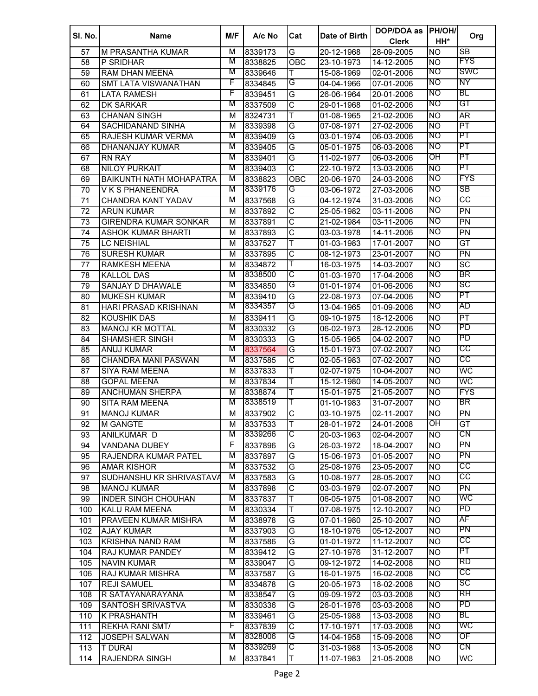| SI. No. | <b>Name</b>                    | M/F | A/c No  | Cat                   | Date of Birth | DOP/DOA as<br><b>Clerk</b> | <b>PH/OH/</b><br>HH* | Org                      |
|---------|--------------------------------|-----|---------|-----------------------|---------------|----------------------------|----------------------|--------------------------|
| 57      | M PRASANTHA KUMAR              | М   | 8339173 | G                     | 20-12-1968    | 28-09-2005                 | <b>NO</b>            | SB                       |
| 58      | P SRIDHAR                      | M   | 8338825 | OBC                   | 23-10-1973    | 14-12-2005                 | <b>NO</b>            | <b>FYS</b>               |
| 59      | RAM DHAN MEENA                 | M   | 8339646 | Τ                     | 15-08-1969    | 02-01-2006                 | INO                  | SWC                      |
| 60      | SMT LATA VISWANATHAN           | F   | 8334845 | G                     | 04-04-1966    | 07-01-2006                 | NO                   | ΝY                       |
| 61      | <b>LATA RAMESH</b>             | F   | 8339451 | G                     | 26-06-1964    | 20-01-2006                 | NO                   | BL                       |
| 62      | <b>DK SARKAR</b>               | M   | 8337509 | $\overline{\text{c}}$ | 29-01-1968    | 01-02-2006                 | NO                   | GT                       |
| 63      | <b>CHANAN SINGH</b>            | М   | 8324731 | Т                     | 01-08-1965    | 21-02-2006                 | <b>NO</b>            | $\overline{AR}$          |
| 64      | SACHIDANAND SINHA              | м   | 8339398 | G                     | 07-08-1971    | 27-02-2006                 | <b>NO</b>            | PT                       |
| 65      | RAJESH KUMAR VERMA             | M   | 8339409 | G                     | 03-01-1974    | 06-03-2006                 | <b>NO</b>            | PT                       |
| 66      | DHANANJAY KUMAR                | М   | 8339405 | G                     | 05-01-1975    | 06-03-2006                 | <b>NO</b>            | PT                       |
| 67      | <b>RN RAY</b>                  | М   | 8339401 | G                     | 11-02-1977    | 06-03-2006                 | OH                   | PT                       |
| 68      | <b>NILOY PURKAIT</b>           | М   | 8339403 | C                     | 22-10-1972    | 13-03-2006                 | <b>NO</b>            | PT                       |
| 69      | <b>BAIKUNTH NATH MOHAPATRA</b> | M   | 8338823 | OBC                   | 20-06-1970    | 24-03-2006                 | <b>NO</b>            | <b>FYS</b>               |
| 70      | V K S PHANEENDRA               | М   | 8339176 | G                     | 03-06-1972    | 27-03-2006                 | NO                   | SB                       |
| 71      | CHANDRA KANT YADAV             | M   | 8337568 | G                     | 04-12-1974    | 31-03-2006                 | <b>NO</b>            | CC                       |
| 72      | <b>ARUN KUMAR</b>              | M   | 8337892 | C                     | 25-05-1982    | 03-11-2006                 | NO                   | $\overline{PN}$          |
| 73      | <b>GIRENDRA KUMAR SONKAR</b>   | M   | 8337891 | $\overline{\text{c}}$ | 21-02-1984    | 03-11-2006                 | NO                   | PN                       |
| 74      | <b>ASHOK KUMAR BHARTI</b>      | M   | 8337893 | $\overline{\text{c}}$ | 03-03-1978    | 14-11-2006                 | NO                   | PN                       |
| 75      | <b>LC NEISHIAL</b>             | M   | 8337527 | T                     | 01-03-1983    | 17-01-2007                 | <b>NO</b>            | GT                       |
| 76      | <b>SURESH KUMAR</b>            | M   | 8337895 | $\overline{\text{C}}$ | 08-12-1973    | 23-01-2007                 | Ю                    | PN                       |
| 77      | <b>RAMKESH MEENA</b>           | M   | 8334872 | Т                     | 16-03-1975    | 14-03-2007                 | <b>NO</b>            | $\overline{SC}$          |
| 78      | <b>KALLOL DAS</b>              | М   | 8338500 | С                     | 01-03-1970    | 17-04-2006                 | NO                   | BR                       |
| 79      | <b>SANJAY D DHAWALE</b>        | М   | 8334850 | G                     | 01-01-1974    | 01-06-2006                 | NO                   | SC                       |
| 80      | <b>MUKESH KUMAR</b>            | М   | 8339410 | G                     | 22-08-1973    | 07-04-2006                 | NO                   | $\overline{\mathsf{PT}}$ |
| 81      | <b>HARI PRASAD KRISHNAN</b>    | М   | 8334357 | G                     | 13-04-1965    | 01-09-2006                 | NO                   | AD                       |
| 82      | <b>KOUSHIK DAS</b>             | M   | 8339411 | G                     | 09-10-1975    | 18-12-2006                 | Ю                    | PT                       |
| 83      | <b>MANOJ KR MOTTAL</b>         | М   | 8330332 | G                     | 06-02-1973    | 28-12-2006                 | NO                   | PD                       |
| 84      | <b>SHAMSHER SINGH</b>          | M   | 8330333 | G                     | 15-05-1965    | 04-02-2007                 | <b>NO</b>            | PD                       |
| 85      | <b>ANUJ KUMAR</b>              | M   | 8337564 | G                     | 15-01-1973    | 07-02-2007                 | Ю                    | СC                       |
| 86      | CHANDRA MANI PASWAN            | М   | 8337585 | $\overline{\text{c}}$ | 02-05-1983    | 07-02-2007                 | <b>NO</b>            | CC                       |
| 87      | <b>SIYA RAM MEENA</b>          | М   | 8337833 | Т                     | 02-07-1975    | 10-04-2007                 | <b>NO</b>            | WC                       |
| 88      | <b>GOPAL MEENA</b>             | М   | 8337834 | Т                     | 15-12-1980    | 14-05-2007                 | <b>NO</b>            | WC                       |
| 89      | <b>ANCHUMAN SHERPA</b>         | М   | 8338874 | Т                     | 15-01-1975    | $21 - 05 - 2007$           | <b>NO</b>            | <b>FYS</b>               |
| 90      | <b>SITA RAM MEENA</b>          | М   | 8338519 | Τ                     | 01-10-1983    | 31-07-2007                 | <b>NO</b>            | <b>BR</b>                |
| 91      | <b>MANOJ KUMAR</b>             | м   | 8337902 | $\overline{\text{c}}$ | 03-10-1975    | 02-11-2007                 | <b>NO</b>            | $\overline{PN}$          |
| 92      | <b>M GANGTE</b>                | м   | 8337533 | Τ                     | 28-01-1972    | 24-01-2008                 | ОH                   | GT                       |
| 93      | ANILKUMAR D                    | М   | 8339266 | င                     | 20-03-1963    | 02-04-2007                 | <b>NO</b>            | CN                       |
| 94      | <b>VANDANA DUBEY</b>           | F   | 8337896 | G                     | 26-03-1972    | 18-04-2007                 | <b>NO</b>            | PN                       |
| 95      | RAJENDRA KUMAR PATEL           | M   | 8337897 | G                     | 15-06-1973    | 01-05-2007                 | <b>NO</b>            | PN                       |
| 96      | <b>AMAR KISHOR</b>             | М   | 8337532 | G                     | 25-08-1976    | 23-05-2007                 | <b>NO</b>            | CC                       |
| 97      | SUDHANSHU KR SHRIVASTAVA       | M   | 8337583 | G                     | 10-08-1977    | 28-05-2007                 | <b>NO</b>            | CC                       |
| 98      | <b>MANOJ KUMAR</b>             | M   | 8337898 | $\overline{\text{c}}$ | 03-03-1979    | 02-07-2007                 | <b>NO</b>            | <b>PN</b>                |
| 99      | <b>INDER SINGH CHOUHAN</b>     | M   | 8337837 | Т                     | 06-05-1975    | 01-08-2007                 | <b>NO</b>            | WC                       |
| 100     | <b>KALU RAM MEENA</b>          | M   | 8330334 | Т                     | 07-08-1975    | 12-10-2007                 | <b>NO</b>            | PD                       |
| 101     | <b>PRAVEEN KUMAR MISHRA</b>    | M   | 8338978 | G                     | 07-01-1980    | 25-10-2007                 | NO <sub></sub>       | AF                       |
| 102     | <b>AJAY KUMAR</b>              | M   | 8337903 | G                     | 18-10-1976    | 05-12-2007                 | <b>NO</b>            | PN                       |
| 103     | KRISHNA NAND RAM               | M   | 8337586 | G                     | 01-01-1972    | 11-12-2007                 | <b>NO</b>            | CС                       |
| 104     | RAJ KUMAR PANDEY               | М   | 8339412 | G                     | 27-10-1976    | 31-12-2007                 | <b>NO</b>            | PT                       |
| 105     | <b>NAVIN KUMAR</b>             | М   | 8339047 | G                     | 09-12-1972    | 14-02-2008                 | <b>NO</b>            | RD                       |
| 106     | <b>RAJ KUMAR MISHRA</b>        | M   | 8337587 | G                     | 16-01-1975    | 16-02-2008                 | Ю                    | CC                       |
| 107     | <b>REJI SAMUEL</b>             | M   | 8334878 | G                     | 20-05-1973    | 18-02-2008                 | <b>NO</b>            | SC                       |
| 108     | R SATAYANARAYANA               | M   | 8338547 | G                     | 09-09-1972    | 03-03-2008                 | Ю                    | RH                       |
| 109     | SANTOSH SRIVASTVA              | M   | 8330336 | G                     | 26-01-1976    | 03-03-2008                 | <b>NO</b>            | PD                       |
| 110     | <b>K PRASHANTH</b>             | M   | 8339461 | G                     | 25-05-1988    | 13-03-2008                 | <b>NO</b>            | BL                       |
| 111     | <b>REKHA RANI SMT/</b>         | F   | 8337839 | $\overline{\text{C}}$ | 17-10-1971    | 17-03-2008                 | <b>NO</b>            | WC                       |
| 112     | JOSEPH SALWAN                  | M   | 8328006 | G                     | 14-04-1958    | 15-09-2008                 | NO                   | OF                       |
| 113     | <b>T DURAI</b>                 | M   | 8339269 | C                     | 31-03-1988    | 13-05-2008                 | NO                   | CN                       |
| 114     | RAJENDRA SINGH                 | М   | 8337841 | Т                     | 11-07-1983    | 21-05-2008                 | <b>NO</b>            | WC                       |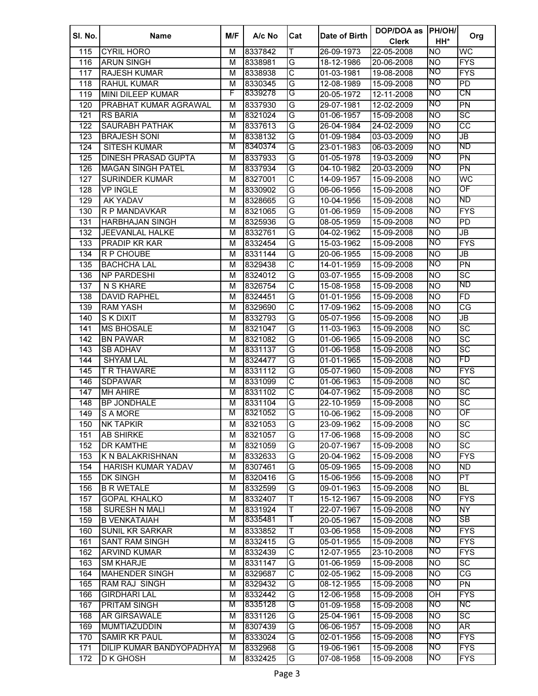| SI. No. | <b>Name</b>                | M/F | A/c No  | Cat                     | Date of Birth | DOP/DOA as<br><b>Clerk</b> | <b>PH/OH/</b><br>HH* | Org                               |
|---------|----------------------------|-----|---------|-------------------------|---------------|----------------------------|----------------------|-----------------------------------|
| 115     | <b>CYRIL HORO</b>          | м   | 8337842 | T                       | 26-09-1973    | 22-05-2008                 | Ю                    | WC                                |
| 116     | <b>ARUN SINGH</b>          | M   | 8338981 | G                       | 18-12-1986    | 20-06-2008                 | Ю                    | <b>FYS</b>                        |
| 117     | <b>RAJESH KUMAR</b>        | М   | 8338938 | $\overline{\text{c}}$   | 01-03-1981    | 19-08-2008                 | NO                   | <b>FYS</b>                        |
| 118     | <b>RAHUL KUMAR</b>         | M   | 8330345 | G                       | 12-08-1989    | 15-09-2008                 | NO                   | $\overline{PD}$                   |
| 119     | MINI DILEEP KUMAR          | F   | 8339278 | G                       | 20-05-1972    | 12-11-2008                 | NO                   | CN                                |
| 120     | PRABHAT KUMAR AGRAWAL      | М   | 8337930 | G                       | 29-07-1981    | 12-02-2009                 | Ю                    | PN                                |
| 121     | <b>RS BARIA</b>            | м   | 8321024 | G                       | 01-06-1957    | 15-09-2008                 | <b>NO</b>            | $\overline{SC}$                   |
| 122     | <b>SAURABH PATHAK</b>      | м   | 8337613 | G                       | 26-04-1984    | 24-02-2009                 | <b>NO</b>            | $\overline{cc}$                   |
| 123     | <b>BRAJESH SONI</b>        | м   | 8338132 | G                       | 01-09-1984    | 03-03-2009                 | <b>NO</b>            | JB                                |
| 124     | SITESH KUMAR               | М   | 8340374 | G                       | 23-01-1983    | 06-03-2009                 | <b>NO</b>            | <b>ND</b>                         |
| 125     | <b>DINESH PRASAD GUPTA</b> | м   | 8337933 | G                       | 01-05-1978    | 19-03-2009                 | NO                   | $\overline{PN}$                   |
| 126     | <b>MAGAN SINGH PATEL</b>   | м   | 8337934 | G                       | 04-10-1982    | 20-03-2009                 | NO                   | PN                                |
| 127     | <b>SURINDER KUMAR</b>      | M   | 8327001 | $\overline{\text{C}}$   | 14-09-1957    | 15-09-2008                 | <b>NO</b>            | WC                                |
| 128     | <b>VP INGLE</b>            | м   | 8330902 | G                       | 06-06-1956    | 15-09-2008                 | <b>NO</b>            | OF                                |
| 129     | <b>AK YADAV</b>            | M   | 8328665 | G                       | 10-04-1956    | 15-09-2008                 | <b>NO</b>            | ND                                |
| 130     | R P MANDAVKAR              | M   | 8321065 | G                       | 01-06-1959    | 15-09-2008                 | NO                   | <b>FYS</b>                        |
| 131     | <b>HARBHAJAN SINGH</b>     | M   | 8325936 | G                       | 08-05-1959    | 15-09-2008                 | NO                   | PD                                |
| 132     | <b>JEEVANLAL HALKE</b>     | M   | 8332761 | G                       | 04-02-1962    | 15-09-2008                 | <b>NO</b>            | JB                                |
| 133     | <b>PRADIP KR KAR</b>       | M   | 8332454 | G                       | 15-03-1962    | 15-09-2008                 | Ю                    | <b>FYS</b>                        |
| 134     | R P CHOUBE                 | M   | 8331144 | G                       | 20-06-1955    | 15-09-2008                 | <b>NO</b>            | JB                                |
| 135     | <b>BACHCHA LAL</b>         | M   | 8329438 | C                       | 14-01-1959    | 15-09-2008                 | Ю                    | <b>PN</b>                         |
| 136     | <b>NP PARDESHI</b>         | М   | 8324012 | G                       | 03-07-1955    | 15-09-2008                 | <b>NO</b>            | SC                                |
| 137     | N S KHARE                  | М   | 8326754 | $\overline{\text{C}}$   | 15-08-1958    | $15-09-2008$               | <b>NO</b>            | <b>ND</b>                         |
| 138     | <b>DAVID RAPHEL</b>        | М   | 8324451 | G                       | 01-01-1956    | 15-09-2008                 | <b>NO</b>            | <b>FD</b>                         |
| 139     | <b>RAM YASH</b>            | М   | 8329690 | $\overline{\text{c}}$   | 17-09-1962    | 15-09-2008                 | <b>NO</b>            | CG                                |
| 140     | S K DIXIT                  | М   | 8332793 | G                       | 05-07-1956    | 15-09-2008                 | <b>NO</b>            | $\overline{\mathsf{J}\mathsf{B}}$ |
| 141     | <b>MS BHOSALE</b>          | М   | 8321047 | G                       | 11-03-1963    | 15-09-2008                 | <b>NO</b>            | $\overline{SC}$                   |
| 142     | <b>BN PAWAR</b>            | М   | 8321082 | G                       | 01-06-1965    | 15-09-2008                 | <b>NO</b>            | $\overline{SC}$                   |
| 143     | <b>SB ADHAV</b>            | М   | 8331137 | G                       | 01-06-1958    | 15-09-2008                 | <b>NO</b>            | $\overline{SC}$                   |
| 144     | <b>SHYAM LAL</b>           | М   | 8324477 | G                       | 01-01-1965    | 15-09-2008                 | <b>NO</b>            | FD                                |
| 145     | <b>T R THAWARE</b>         | М   | 8331112 | G                       | 05-07-1960    | 15-09-2008                 | Ю                    | <b>FYS</b>                        |
| 146     | <b>SDPAWAR</b>             | М   | 8331099 | $\overline{\text{c}}$   | 01-06-1963    | 15-09-2008                 | <b>NO</b>            | $\overline{SC}$                   |
| 147     | <b>MH AHIRE</b>            | М   | 8331102 | $\overline{\text{c}}$   | 04-07-1962    | 15-09-2008                 | <b>NO</b>            | $\overline{SC}$                   |
| 148     | <b>BP JONDHALE</b>         | м   | 8331104 | G                       | 22-10-1959    | 15-09-2008                 | <b>NO</b>            | $\overline{SC}$                   |
| 149     | S A MORE                   | М   | 8321052 | G                       | 10-06-1962    | 15-09-2008                 | NO                   | OF                                |
| 150     | <b>NK TAPKIR</b>           | М   | 8321053 | G                       | 23-09-1962    | 15-09-2008                 | <b>NO</b>            | $\overline{SC}$                   |
| 151     | <b>AB SHIRKE</b>           | м   | 8321057 | G                       | 17-06-1968    | 15-09-2008                 | <b>NO</b>            | $\overline{SC}$                   |
| 152     | <b>DR KAMTHE</b>           | M   | 8321059 | G                       | 20-07-1967    | 15-09-2008                 | <b>NO</b>            | $\overline{SC}$                   |
| 153     | K N BALAKRISHNAN           | М   | 8332633 | G                       | 20-04-1962    | 15-09-2008                 | NO                   | <b>FYS</b>                        |
| 154     | HARISH KUMAR YADAV         | M   | 8307461 | G                       | 05-09-1965    | 15-09-2008                 | <b>NO</b>            | <b>ND</b>                         |
| 155     | <b>DK SINGH</b>            | М   | 8320416 | G                       | 15-06-1956    | 15-09-2008                 | <b>NO</b>            | $\overline{\mathsf{PT}}$          |
| 156     | <b>B R WETALE</b>          | M   | 8332599 | G                       | 09-01-1963    | 15-09-2008                 | Ю                    | <b>BL</b>                         |
| 157     | <b>GOPAL KHALKO</b>        | M   | 8332407 | Т                       | 15-12-1967    | 15-09-2008                 | ΝO                   | <b>FYS</b>                        |
| 158     | SURESH N MALI              | M   | 8331924 | Τ                       | 22-07-1967    | 15-09-2008                 | NO                   | NY                                |
| 159     | <b>B VENKATAIAH</b>        | М   | 8335481 | Τ                       | 20-05-1967    | 15-09-2008                 | ΝO                   | <b>SB</b>                         |
| 160     | <b>SUNIL KR SARKAR</b>     | M   | 8333852 | Т                       | 03-06-1958    | 15-09-2008                 | Ю                    | <b>FYS</b>                        |
| 161     | <b>SANT RAM SINGH</b>      | M   | 8332415 | G                       | 05-01-1955    | 15-09-2008                 | ΝO                   | <b>FYS</b>                        |
| 162     | <b>ARVIND KUMAR</b>        | М   | 8332439 | $\overline{\text{C}}$   | 12-07-1955    | 23-10-2008                 | ΝO                   | <b>FYS</b>                        |
| 163     | <b>SM KHARJE</b>           | M   | 8331147 | G                       | 01-06-1959    | 15-09-2008                 | <b>NO</b>            | $\overline{SC}$                   |
| 164     | <b>MAHENDER SINGH</b>      | М   | 8329687 | $\overline{\mathsf{C}}$ | 02-05-1962    | 15-09-2008                 | Ю                    | CG                                |
| 165     | RAM RAJ SINGH              | M   | 8329432 | G                       | 08-12-1955    | 15-09-2008                 | NO                   | PN                                |
| 166     | <b>GIRDHARI LAL</b>        | М   | 8332442 | G                       | 12-06-1958    | 15-09-2008                 | OH                   | <b>FYS</b>                        |
| 167     | <b>PRITAM SINGH</b>        | M   | 8335128 | G                       | 01-09-1958    | 15-09-2008                 | NO                   | NC.                               |
| 168     | AR GIRSAWALE               | М   | 8331126 | G                       | 25-04-1961    | 15-09-2008                 | <b>NO</b>            | SC                                |
| 169     | MUMTIAZUDDIN               | М   | 8307439 | G                       | 06-06-1957    | 15-09-2008                 | <b>NO</b>            | $\overline{\mathsf{AR}}$          |
| 170     | <b>SAMIR KR PAUL</b>       | М   | 8333024 | G                       | 02-01-1956    | 15-09-2008                 | NO                   | <b>FYS</b>                        |
| 171     | DILIP KUMAR BANDYOPADHYAY  | м   | 8332968 | G                       | 19-06-1961    | 15-09-2008                 | NO                   | <b>FYS</b>                        |
| 172     | D K GHOSH                  | М   | 8332425 | G                       | 07-08-1958    | 15-09-2008                 | <b>NO</b>            | <b>FYS</b>                        |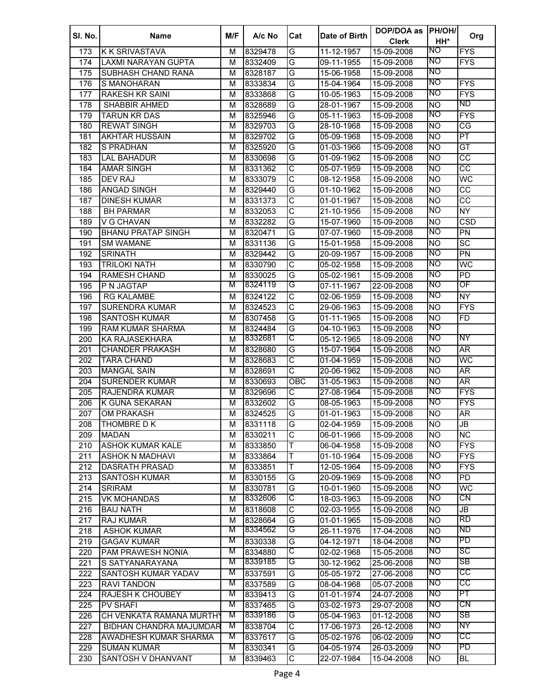| SI. No. | <b>Name</b>               | M/F | A/c No  | Cat                     | Date of Birth | DOP/DOA as<br><b>Clerk</b> | <b>PH/OH/</b><br>HH* | Org                      |
|---------|---------------------------|-----|---------|-------------------------|---------------|----------------------------|----------------------|--------------------------|
| 173     | <b>K K SRIVASTAVA</b>     | M   | 8329478 | G                       | 11-12-1957    | 15-09-2008                 | NO.                  | <b>FYS</b>               |
| 174     | LAXMI NARAYAN GUPTA       | M   | 8332409 | G                       | 09-11-1955    | 15-09-2008                 | NO                   | <b>FYS</b>               |
| 175     | <b>SUBHASH CHAND RANA</b> | м   | 8328187 | G                       | 15-06-1958    | 15-09-2008                 | <b>NO</b>            |                          |
| 176     | S MANOHARAN               | M   | 8333834 | G                       | 15-04-1964    | 15-09-2008                 | NO                   | <b>FYS</b>               |
| 177     | <b>RAKESH KR SAINI</b>    | M   | 8333868 | G                       | 10-05-1963    | 15-09-2008                 | NO                   | <b>FYS</b>               |
| 178     | <b>SHABBIR AHMED</b>      | М   | 8328689 | G                       | 28-01-1967    | 15-09-2008                 | <b>NO</b>            | ND                       |
| 179     | <b>TARUN KR DAS</b>       | M   | 8325946 | G                       | 05-11-1963    | 15-09-2008                 | NO                   | <b>FYS</b>               |
| 180     | <b>REWAT SINGH</b>        | м   | 8329703 | G                       | 28-10-1968    | 15-09-2008                 | <b>NO</b>            | $\overline{\text{CG}}$   |
| 181     | <b>AKHTAR HUSSAIN</b>     | м   | 8329702 | G                       | 05-09-1968    | 15-09-2008                 | <b>NO</b>            | $\overline{PT}$          |
| 182     | <b>S PRADHAN</b>          | м   | 8325920 | G                       | 01-03-1966    | 15-09-2008                 | <b>NO</b>            | $\overline{GT}$          |
| 183     | LAL BAHADUR               | м   | 8330698 | G                       | 01-09-1962    | 15-09-2008                 | <b>NO</b>            | $\overline{cc}$          |
| 184     | <b>AMAR SINGH</b>         | м   | 8331362 | $\overline{\text{c}}$   | 05-07-1959    | 15-09-2008                 | <b>NO</b>            | $\overline{cc}$          |
| 185     | <b>DEV RAJ</b>            | M   | 8333079 | $\overline{\text{c}}$   | 08-12-1958    | 15-09-2008                 | <b>NO</b>            | WC                       |
| 186     | <b>ANGAD SINGH</b>        | M   | 8329440 | G                       | 01-10-1962    | 15-09-2008                 | <b>NO</b>            | $\overline{cc}$          |
| 187     | <b>DINESH KUMAR</b>       | M   | 8331373 | $\overline{\text{c}}$   | 01-01-1967    | 15-09-2008                 | <b>NO</b>            | $\overline{cc}$          |
| 188     | <b>BH PARMAR</b>          | M   | 8332053 | $\overline{\text{c}}$   | 21-10-1956    | 15-09-2008                 | NO                   | <b>NY</b>                |
| 189     | V G CHAVAN                | M   | 8332282 | G                       | 15-07-1960    | 15-09-2008                 | <b>NO</b>            | CSD                      |
| 190     | <b>BHANU PRATAP SINGH</b> | M   | 8320471 | G                       | 07-07-1960    | 15-09-2008                 | ΜO                   | PN                       |
| 191     | <b>SM WAMANE</b>          | M   | 8331136 | G                       | 15-01-1958    | 15-09-2008                 | <b>NO</b>            | $\overline{SC}$          |
| 192     | <b>SRINATH</b>            | M   | 8329442 | G                       | 20-09-1957    | 15-09-2008                 | NO                   | PN                       |
| 193     | <b>TRILOKI NATH</b>       | M   | 8330790 | $\overline{\text{c}}$   | 05-02-1958    | 15-09-2008                 | NO                   | WC                       |
| 194     | <b>RAMESH CHAND</b>       | M   | 8330025 | G                       | 05-02-1961    | 15-09-2008                 | NO                   | PD                       |
| 195     | P N JAGTAP                | M   | 8324119 | G                       | 07-11-1967    | 22-09-2008                 | NO                   | OF                       |
| 196     | <b>RG KALAMBE</b>         | M   | 8324122 | $\overline{\text{C}}$   | 02-06-1959    | 15-09-2008                 | NO                   | <b>NY</b>                |
| 197     | <b>SURENDRA KUMAR</b>     | M   | 8324523 | $\overline{\mathsf{C}}$ | 29-06-1963    | 15-09-2008                 | <b>NO</b>            | <b>FYS</b>               |
| 198     | <b>SANTOSH KUMAR</b>      | M   | 8307458 | G                       | 01-11-1965    | 15-09-2008                 | <b>NO</b>            | FD.                      |
| 199     | <b>RAM KUMAR SHARMA</b>   | M   | 8324484 | G                       | 04-10-1963    | 15-09-2008                 | NO                   |                          |
| 200     | <b>KA RAJASEKHARA</b>     | M   | 8332681 | C                       | 05-12-1965    | 18-09-2008                 | NO                   | ΝY                       |
| 201     | <b>CHANDER PRAKASH</b>    | M   | 8328680 | G                       | 15-07-1964    | 15-09-2008                 | <b>NO</b>            | AR <sup></sup>           |
| 202     | <b>TARA CHAND</b>         | M   | 8328683 | $\overline{\text{c}}$   | 01-04-1959    | 15-09-2008                 | <b>NO</b>            | WC                       |
| 203     | <b>MANGAL SAIN</b>        | M   | 8328691 | $\overline{\text{c}}$   | 20-06-1962    | 15-09-2008                 | <b>NO</b>            | AR                       |
| 204     | <b>SURENDER KUMAR</b>     | М   | 8330693 | <b>OBC</b>              | 31-05-1963    | 15-09-2008                 | <b>NO</b>            | $\overline{\mathsf{AR}}$ |
| 205     | <b>RAJENDRA KUMAR</b>     | М   | 8329696 | $\overline{\mathsf{C}}$ | 27-08-1964    | 15-09-2008                 | NO                   | <b>FYS</b>               |
| 206     | K GUNA SEKARAN            | м   | 8332602 | G                       | 08-05-1963    | 15-09-2008                 | NO                   | <b>FYS</b>               |
| 207     | <b>OM PRAKASH</b>         | м   | 8324525 | G                       | 01-01-1963    | 15-09-2008                 | <b>NO</b>            | AR                       |
| 208     | <b>THOMBRE D K</b>        | M   | 8331118 | G                       | 02-04-1959    | 15-09-2008                 | <b>NO</b>            | JB                       |
| 209     | <b>MADAN</b>              | м   | 8330211 | $\overline{\text{c}}$   | 06-01-1966    | 15-09-2008                 | <b>NO</b>            | <b>NC</b>                |
| 210     | <b>ASHOK KUMAR KALE</b>   | M   | 8333850 | T                       | 06-04-1958    | 15-09-2008                 | ΝO                   | <b>FYS</b>               |
| 211     | ASHOK N MADHAVI           | М   | 8333864 | T                       | 01-10-1964    | 15-09-2008                 | ΝO                   | <b>FYS</b>               |
| 212     | <b>DASRATH PRASAD</b>     | M   | 8333851 | T                       | 12-05-1964    | 15-09-2008                 | ΝO                   | <b>FYS</b>               |
| 213     | <b>SANTOSH KUMAR</b>      | M   | 8330155 | G                       | 20-09-1969    | 15-09-2008                 | NO                   | PD                       |
| 214     | <b>SRIRAM</b>             | M   | 8330781 | G                       | 10-01-1960    | 15-09-2008                 | Ю                    | WC                       |
| 215     | <b>VK MOHANDAS</b>        | M   | 8332606 | C                       | 18-03-1963    | 15-09-2008                 | NO                   | CN                       |
| 216     | <b>BAIJ NATH</b>          | M   | 8318608 | $\overline{\mathsf{C}}$ | 02-03-1955    | 15-09-2008                 | <b>NO</b>            | JB                       |
| 217     | RAJ KUMAR                 | M   | 8328664 | G                       | 01-01-1965    | 15-09-2008                 | <b>NO</b>            | RD                       |
| 218     | <b>ASHOK KUMAR</b>        | M   | 8334562 | G                       | 26-11-1976    | 17-04-2008                 | <b>NO</b>            | ND                       |
| 219     | <b>GAGAV KUMAR</b>        | M   | 8330338 | G                       | 04-12-1971    | 18-04-2008                 | NO                   | <b>PD</b>                |
| 220     | PAM PRAWESH NONIA         | M   | 8334880 | C                       | 02-02-1968    | 15-05-2008                 | ΝO                   | SC                       |
| 221     | S SATYANARAYANA           | M   | 8339185 | G                       | 30-12-1962    | 25-06-2008                 | ΝO                   | SB                       |
| 222     | SANTOSH KUMAR YADAV       | M   | 8337591 | G                       | 05-05-1972    | 27-06-2008                 | NO                   | CС                       |
| 223     | <b>RAVI TANDON</b>        | М   | 8337589 | G                       | 08-04-1968    | 05-07-2008                 | NO                   | CС                       |
| 224     | <b>RAJESH K CHOUBEY</b>   | M   | 8339413 | G                       | 01-01-1974    | 24-07-2008                 | NO                   | PT                       |
| 225     | <b>PV SHAFI</b>           | M   | 8337465 | G                       | 03-02-1973    | 29-07-2008                 | NO                   | CN                       |
| 226     | CH VENKATA RAMANA MURTHY  | M   | 8339186 | G                       | 05-04-1963    | 01-12-2008                 | NO                   | SB                       |
| 227     | BIDHAN CHANDRA MAJUMDAR   | М   | 8338704 | C                       | 17-06-1973    | 26-12-2008                 | NO                   | NΥ                       |
| 228     | AWADHESH KUMAR SHARMA     | M   | 8337617 | G                       | 05-02-1976    | 06-02-2009                 | NO                   | CС                       |
| 229     | <b>SUMAN KUMAR</b>        | М   | 8330341 | G                       | 04-05-1974    | 26-03-2009                 | NO                   | PD                       |
| 230     | SANTOSH V DHANVANT        | М   | 8339463 | C                       | 22-07-1984    | 15-04-2008                 | <b>NO</b>            | BL                       |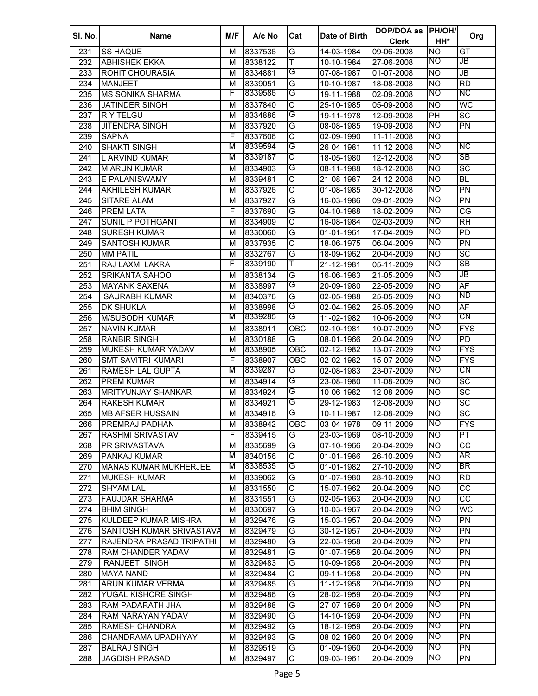| SI. No. | <b>Name</b>                  | M/F | A/c No  | Cat                     | Date of Birth | DOP/DOA as<br><b>Clerk</b> | <b>PH/OH/</b><br>HH* | Org                               |
|---------|------------------------------|-----|---------|-------------------------|---------------|----------------------------|----------------------|-----------------------------------|
| 231     | <b>SS HAQUE</b>              | М   | 8337536 | G                       | 14-03-1984    | 09-06-2008                 | <b>NO</b>            | $\overline{GT}$                   |
| 232     | <b>ABHISHEK EKKA</b>         | M   | 8338122 | T                       | 10-10-1984    | 27-06-2008                 | NO                   | JB                                |
| 233     | ROHIT CHOURASIA              | M   | 8334881 | G                       | 07-08-1987    | 01-07-2008                 | <b>NO</b>            | $\overline{\mathsf{J}\mathsf{B}}$ |
| 234     | <b>MANJEET</b>               | M   | 8339051 | G                       | 10-10-1987    | 18-08-2008                 | <b>NO</b>            | $\overline{RD}$                   |
| 235     | <b>MS SONIKA SHARMA</b>      | F   | 8339586 | G                       | 19-11-1988    | 02-09-2008                 | <b>NO</b>            | ΝC                                |
| 236     | <b>JATINDER SINGH</b>        | M   | 8337840 | $\overline{\text{c}}$   | 25-10-1985    | 05-09-2008                 | <b>NO</b>            | WC                                |
| 237     | R Y TELGU                    | М   | 8334886 | G                       | 19-11-1978    | 12-09-2008                 | $\overline{PH}$      | $\overline{SC}$                   |
| 238     | <b>JITENDRA SINGH</b>        | М   | 8337920 | G                       | 08-08-1985    | 19-09-2008                 | <b>NO</b>            | PN                                |
| 239     | <b>SAPNA</b>                 | F   | 8337606 | C                       | 02-09-1990    | 11-11-2008                 | NO.                  |                                   |
| 240     | <b>SHAKTI SINGH</b>          | М   | 8339594 | G                       | 26-04-1981    | 11-12-2008                 | <b>NO</b>            | ΝC                                |
| 241     | L ARVIND KUMAR               | M   | 8339187 | С                       | 18-05-1980    | 12-12-2008                 | <b>NO</b>            | SB                                |
| 242     | <b>M ARUN KUMAR</b>          | м   | 8334903 | G                       | 08-11-1988    | 18-12-2008                 | <b>NO</b>            | $\overline{SC}$                   |
| 243     | E PALANISWAMY                | M   | 8339481 | $\overline{\text{c}}$   | 21-08-1987    | 24-12-2008                 | <b>NO</b>            | $\overline{BL}$                   |
| 244     | <b>AKHILESH KUMAR</b>        | M   | 8337926 | $\overline{\text{c}}$   | 01-08-1985    | 30-12-2008                 | <b>NO</b>            | $\overline{PN}$                   |
| 245     | <b>SITARE ALAM</b>           | M   | 8337927 | G                       | 16-03-1986    | 09-01-2009                 | <b>NO</b>            | $\overline{PN}$                   |
| 246     | <b>PREM LATA</b>             | F   | 8337690 | G                       | 04-10-1988    | 18-02-2009                 | <b>NO</b>            | $\overline{\text{CG}}$            |
| 247     | <b>SUNIL P POTHGANTI</b>     | M   | 8334909 | С                       | 16-08-1984    | 02-03-2009                 | <b>NO</b>            | $\overline{R}$ H                  |
| 248     | <b>SURESH KUMAR</b>          | M   | 8330060 | G                       | 01-01-1961    | 17-04-2009                 | <b>NO</b>            | $\overline{PD}$                   |
| 249     | <b>SANTOSH KUMAR</b>         | M   | 8337935 | $\overline{\mathsf{C}}$ | 18-06-1975    | 06-04-2009                 | <b>NO</b>            | PN                                |
| 250     | <b>MM PATIL</b>              | M   | 8332767 | G                       | 18-09-1962    | 20-04-2009                 | <b>NO</b>            | $\overline{SC}$                   |
| 251     | RAJ LAXMI LAKRA              | F   | 8339190 | т                       | 21-12-1981    | 05-11-2009                 | NO                   | SB                                |
| 252     | <b>SRIKANTA SAHOO</b>        | M   | 8338134 | G                       | 16-06-1983    | 21-05-2009                 | <b>NO</b>            | JB                                |
| 253     | <b>MAYANK SAXENA</b>         | M   | 8338997 | G                       | 20-09-1980    | 22-05-2009                 | <b>NO</b>            | <b>AF</b>                         |
| 254     | <b>SAURABH KUMAR</b>         | M   | 8340376 | G                       | 02-05-1988    | 25-05-2009                 | <b>NO</b>            | <b>ND</b>                         |
| 255     | <b>DK SHUKLA</b>             | M   | 8338998 | G                       | 02-04-1982    | 25-05-2009                 | <b>NO</b>            | <b>AF</b>                         |
| 256     | <b>M/SUBODH KUMAR</b>        | M   | 8339285 | G                       | 11-02-1982    | 10-06-2009                 | NO                   | CN                                |
| 257     | <b>NAVIN KUMAR</b>           | M   | 8338911 | OBC                     | 02-10-1981    | 10-07-2009                 | NO                   | <b>FYS</b>                        |
| 258     | <b>RANBIR SINGH</b>          | M   | 8330188 | G                       | 08-01-1966    | 20-04-2009                 | <b>NO</b>            | $\overline{PD}$                   |
| 259     | MUKESH KUMAR YADAV           | M   | 8338905 | OBC                     | 02-12-1982    | 13-07-2009                 | NO                   | <b>FYS</b>                        |
| 260     | <b>SMT SAVITRI KUMARI</b>    | F   | 8338907 | OBC                     | 02-02-1982    | 15-07-2009                 | <b>NO</b>            | <b>FYS</b>                        |
| 261     | RAMESH LAL GUPTA             | М   | 8339287 | G                       | 02-08-1983    | 23-07-2009                 | NO                   | CN                                |
| 262     | <b>PREM KUMAR</b>            | М   | 8334914 | G                       | 23-08-1980    | 11-08-2009                 | <b>NO</b>            | $\overline{SC}$                   |
| 263     | <b>MRITYUNJAY SHANKAR</b>    | М   | 8334924 | G                       | 10-06-1982    | 12-08-2009                 | <b>NO</b>            | $\overline{SC}$                   |
| 264     | <b>RAKESH KUMAR</b>          | М   | 8334921 | G                       | 29-12-1983    | 12-08-2009                 | <b>NO</b>            | SC                                |
| 265     | <b>MB AFSER HUSSAIN</b>      | М   | 8334916 | G                       | 10-11-1987    | 12-08-2009                 | <b>NO</b>            | $\overline{SC}$                   |
| 266     | <b>PREMRAJ PADHAN</b>        | М   | 8338942 | OBC                     | 03-04-1978    | 09-11-2009                 | Ю                    | <b>FYS</b>                        |
| 267     | RASHMI SRIVASTAV             | F   | 8339415 | G                       | 23-03-1969    | 08-10-2009                 | <b>NO</b>            | $\overline{PT}$                   |
| 268     | <b>PR SRIVASTAVA</b>         | M   | 8335699 | G                       | 07-10-1966    | 20-04-2009                 | <b>NO</b>            | $\overline{cc}$                   |
| 269     | PANKAJ KUMAR                 | M   | 8340156 | $\overline{\text{c}}$   | 01-01-1986    | 26-10-2009                 | <b>NO</b>            | AR                                |
| 270     | <b>MANAS KUMAR MUKHERJEE</b> | M   | 8338535 | G                       | 01-01-1982    | 27-10-2009                 | <b>NO</b>            | <b>BR</b>                         |
| 271     | <b>MUKESH KUMAR</b>          | М   | 8339062 | G                       | 01-07-1980    | 28-10-2009                 | <b>NO</b>            | $\overline{RD}$                   |
| 272     | <b>SHYAM LAL</b>             | М   | 8331550 | $\overline{\text{c}}$   | 15-07-1962    | 20-04-2009                 | <b>NO</b>            | $\overline{cc}$                   |
| 273     | <b>FAUJDAR SHARMA</b>        | M   | 8331551 | G                       | 02-05-1963    | 20-04-2009                 | <b>NO</b>            | $\overline{cc}$                   |
| 274     | <b>BHIM SINGH</b>            | M   | 8330697 | G                       | 10-03-1967    | 20-04-2009                 | <b>NO</b>            | <b>WC</b>                         |
| 275     | KULDEEP KUMAR MISHRA         | М   | 8329476 | G                       | 15-03-1957    | 20-04-2009                 | NO                   | PN                                |
| 276     | SANTOSH KUMAR SRIVASTAVA     | М   | 8329479 | G                       | 30-12-1957    | 20-04-2009                 | <b>NO</b>            | PN                                |
| 277     | RAJENDRA PRASAD TRIPATHI     | М   | 8329480 | G                       | 22-03-1958    | 20-04-2009                 | ΝO                   | $\overline{PN}$                   |
| 278     | RAM CHANDER YADAV            | М   | 8329481 | G                       | 01-07-1958    | 20-04-2009                 | NO                   | PN                                |
| 279     | RANJEET SINGH                | M   | 8329483 | G                       | 10-09-1958    | 20-04-2009                 | ΝO                   | PN                                |
| 280     | <b>MAYA NAND</b>             | М   | 8329484 | $\overline{\text{c}}$   | 09-11-1958    | 20-04-2009                 | NO                   | $\overline{PN}$                   |
| 281     | <b>ARUN KUMAR VERMA</b>      | м   | 8329485 | G                       | 11-12-1958    | 20-04-2009                 | <b>NO</b>            | PN                                |
| 282     | YUGAL KISHORE SINGH          | М   | 8329486 | G                       | 28-02-1959    | 20-04-2009                 | NO                   | $\overline{PN}$                   |
| 283     | RAM PADARATH JHA             | M   | 8329488 | G                       | 27-07-1959    | 20-04-2009                 | NO                   | $\overline{PN}$                   |
| 284     | RAM NARAYAN YADAV            | M   | 8329490 | G                       | 14-10-1959    | 20-04-2009                 | NO                   | $\overline{PN}$                   |
| 285     | <b>RAMESH CHANDRA</b>        | M   | 8329492 | G                       | 18-12-1959    | 20-04-2009                 | NO                   | $\overline{PN}$                   |
| 286     | CHANDRAMA UPADHYAY           | M   | 8329493 | G                       | 08-02-1960    | 20-04-2009                 | NO                   | $\overline{PN}$                   |
| 287     | <b>BALRAJ SINGH</b>          | М   | 8329519 | G                       | 01-09-1960    | 20-04-2009                 | NO                   | $\overline{PN}$                   |
| 288     | <b>JAGDISH PRASAD</b>        | М   | 8329497 | C                       | 09-03-1961    | 20-04-2009                 | NO                   | PN                                |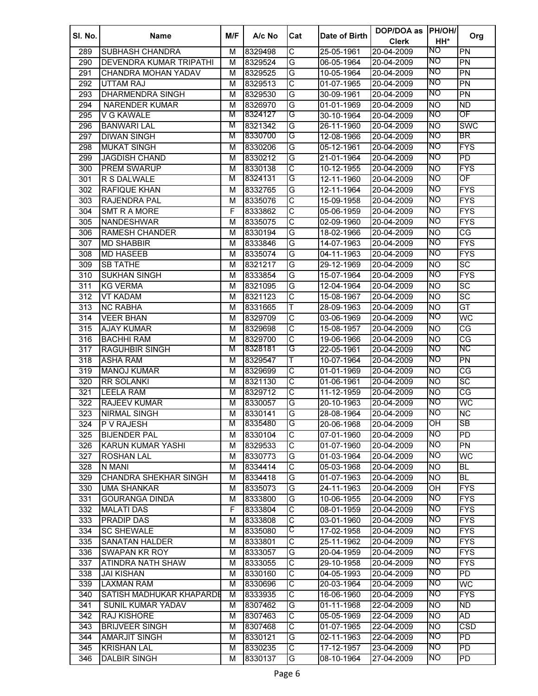| SI. No. | <b>Name</b>                  | M/F    | A/c No             | Cat                     | Date of Birth | DOP/DOA as               | <b>PH/OH/</b>  | Org                    |
|---------|------------------------------|--------|--------------------|-------------------------|---------------|--------------------------|----------------|------------------------|
|         |                              |        |                    |                         |               | <b>Clerk</b>             | HH*            |                        |
| 289     | <b>SUBHASH CHANDRA</b>       | м      | 8329498            | $\overline{\mathsf{C}}$ | 25-05-1961    | 20-04-2009               | NO.            | $\overline{PN}$        |
| 290     | DEVENDRA KUMAR TRIPATHI      | м      | 8329524            | G                       | 06-05-1964    | 20-04-2009               | NO             | PN                     |
| 291     | CHANDRA MOHAN YADAV          | М      | 8329525            | G                       | 10-05-1964    | 20-04-2009               | NO             | $\overline{PN}$        |
| 292     | UTTAM RAJ                    | м      | 8329513            | $\overline{\text{c}}$   | 01-07-1965    | 20-04-2009               | NO             | $\overline{PN}$        |
| 293     | DHARMENDRA SINGH             | М      | 8329530            | G                       | 30-09-1961    | 20-04-2009               | NO             | $\overline{PN}$        |
| 294     | <b>NARENDER KUMAR</b>        | м      | 8326970            | G                       | 01-01-1969    | 20-04-2009               | <b>NO</b>      | <b>ND</b>              |
| 295     | V G KAWALE                   | М      | 8324127            | G                       | 30-10-1964    | 20-04-2009               | <b>NO</b>      | ОF                     |
| 296     | <b>BANWARI LAL</b>           | M      | 8321342            | G                       | 26-11-1960    | 20-04-2009               | <b>NO</b>      | <b>SWC</b>             |
| 297     | <b>DIWAN SINGH</b>           | M      | 8330700            | G                       | 12-08-1966    | 20-04-2009               | <b>NO</b>      | BR                     |
| 298     | <b>MUKAT SINGH</b>           | м      | 8330206            | G                       | 05-12-1961    | 20-04-2009               | NO             | <b>FYS</b>             |
| 299     | <b>JAGDISH CHAND</b>         | м      | 8330212            | G                       | 21-01-1964    | 20-04-2009               | NO             | $\overline{PD}$        |
| 300     | <b>PREM SWARUP</b>           | м      | 8330138            | C                       | 10-12-1955    | 20-04-2009               | <b>NO</b>      | <b>FYS</b>             |
| 301     | R S DALWALE                  | М      | 8324131            | G                       | 12-11-1960    | 20-04-2009               | NO             | OF                     |
| 302     | <b>RAFIQUE KHAN</b>          | M      | 8332765            | G                       | 12-11-1964    | 20-04-2009               | NO             | <b>FYS</b>             |
| 303     | <b>RAJENDRA PAL</b>          | M      | 8335076            | C                       | 15-09-1958    | 20-04-2009               | ΝO             | $\overline{FYS}$       |
| 304     | <b>SMT R A MORE</b>          | F      | 8333862            | C                       | 05-06-1959    | 20-04-2009               | NO             | <b>FYS</b>             |
| 305     | <b>NANDESHWAR</b>            | M      | 8335075            | $\overline{\text{c}}$   | 02-09-1960    | 20-04-2009               | NO             | <b>FYS</b>             |
| 306     | <b>RAMESH CHANDER</b>        | M      | 8330194            | G                       | 18-02-1966    | 20-04-2009               | <b>NO</b>      | CG                     |
| 307     | <b>MD SHABBIR</b>            | M      | 8333846            | G                       | 14-07-1963    | 20-04-2009               | Ю              | <b>FYS</b>             |
| 308     | <b>MD HASEEB</b>             | M      | 8335074            | G                       | 04-11-1963    | 20-04-2009               | NO             | <b>FYS</b>             |
| 309     | <b>SB TATHE</b>              | M      | 8321217            | G                       | 29-12-1969    | 20-04-2009               | <b>NO</b>      | <b>SC</b>              |
| 310     | <b>SUKHAN SINGH</b>          | М      | 8333854            | G                       | 15-07-1964    | 20-04-2009               | ΝO             | <b>FYS</b>             |
| 311     | <b>KG VERMA</b>              | M      | 8321095            | G                       | 12-04-1964    | 20-04-2009               | <b>NO</b>      | $\overline{SC}$        |
| 312     | <b>VT KADAM</b>              | М      | 8321123            | $\overline{\text{C}}$   | 15-08-1967    | 20-04-2009               | <b>NO</b>      | $\overline{SC}$        |
| 313     | <b>NC RABHA</b>              | M      | 8331665            | Ŧ                       | 28-09-1963    | 20-04-2009               | Ю              | GT                     |
| 314     | <b>VEER BHAN</b>             | M      | 8329709            | $\overline{\text{C}}$   | 03-06-1969    | 20-04-2009               | ΝO             | WC                     |
| 315     | <b>AJAY KUMAR</b>            | M      | 8329698            | $\overline{\text{c}}$   | 15-08-1957    | 20-04-2009               | <b>NO</b>      | CG                     |
| 316     | <b>BACHHI RAM</b>            | М      | 8329700            | $\overline{\text{c}}$   | 19-06-1966    | 20-04-2009               | <b>NO</b>      | CG                     |
| 317     | <b>RAGUHBIR SINGH</b>        | М      | 8328181            | G                       | 22-05-1961    | 20-04-2009               | NO             | NС                     |
| 318     | <b>ASHA RAM</b>              | М      | 8329547            | T                       | 10-07-1964    | 20-04-2009               | NO             | $\overline{PN}$        |
|         |                              |        |                    | $\overline{\text{c}}$   |               |                          |                | CG                     |
| 319     | <b>MANOJ KUMAR</b>           | М      | 8329699            | $\overline{\text{c}}$   | 01-01-1969    | 20-04-2009<br>20-04-2009 | <b>NO</b>      | $\overline{SC}$        |
| 320     | <b>RR SOLANKI</b>            | М      | 8321130            | $\overline{\text{C}}$   | 01-06-1961    |                          | <b>NO</b>      | $\overline{\text{CG}}$ |
| 321     | <b>LEELA RAM</b>             | М      | 8329712            |                         | 11-12-1959    | 20-04-2009               | <b>NO</b><br>Ю |                        |
| 322     | <b>RAJEEV KUMAR</b>          | М      | 8330057            | G<br>G                  | 20-10-1963    | 20-04-2009               | NO             | WC                     |
| 323     | <b>NIRMAL SINGH</b>          | м<br>м | 8330141<br>8335480 | G                       | 28-08-1964    | 20-04-2009               | ОH             | NC<br><b>SB</b>        |
| 324     | <b>P V RAJESH</b>            |        |                    | $\overline{\text{c}}$   | 20-06-1968    | 20-04-2009               | NO             |                        |
| 325     | <b>BIJENDER PAL</b>          | м      | 8330104            |                         | 07-01-1960    | 20-04-2009               |                | $\overline{PD}$        |
| 326     | KARUN KUMAR YASHI            | M      | 8329533            | $\overline{\text{c}}$   | 01-07-1960    | 20-04-2009               | NO             | PN                     |
| 327     | <b>ROSHAN LAL</b>            | М      | 8330773            | G                       | 01-03-1964    | 20-04-2009               | NO             | <b>WC</b>              |
| 328     | N MANI                       | М      | 8334414            | $\overline{\text{c}}$   | 05-03-1968    | 20-04-2009               | <b>NO</b>      | <b>BL</b>              |
| 329     | <b>CHANDRA SHEKHAR SINGH</b> | М      | 8334418            | G                       | 01-07-1963    | 20-04-2009               | <b>NO</b>      | <b>BL</b>              |
| 330     | <b>UMA SHANKAR</b>           | М      | 8335073            | G                       | 24-11-1963    | 20-04-2009               | OH             | <b>FYS</b>             |
| 331     | <b>GOURANGA DINDA</b>        | М      | 8333800            | G                       | 10-06-1955    | 20-04-2009               | NO             | <b>FYS</b>             |
| 332     | <b>MALATI DAS</b>            | F      | 8333804            | $\overline{\text{c}}$   | 08-01-1959    | 20-04-2009               | Ю              | <b>FYS</b>             |
| 333     | <b>PRADIP DAS</b>            | M      | 8333808            | $\overline{\text{C}}$   | 03-01-1960    | 20-04-2009               | Ю              | <b>FYS</b>             |
| 334     | <b>SC SHEWALE</b>            | M      | 8335080            | С                       | 17-02-1958    | 20-04-2009               | <b>NO</b>      | <b>FYS</b>             |
| 335     | <b>SANATAN HALDER</b>        | M      | 8333801            | $\overline{\text{C}}$   | 25-11-1962    | 20-04-2009               | NO             | <b>FYS</b>             |
| 336     | SWAPAN KR ROY                | М      | 8333057            | G                       | 20-04-1959    | 20-04-2009               | ΝO             | <b>FYS</b>             |
| 337     | ATINDRA NATH SHAW            | М      | 8333055            | $\overline{\text{C}}$   | 29-10-1958    | 20-04-2009               | ΝO             | <b>FYS</b>             |
| 338     | <b>JAI KISHAN</b>            | М      | 8330160            | $\overline{\text{c}}$   | 04-05-1993    | 20-04-2009               | NO             | $\overline{PD}$        |
| 339     | <b>LAXMAN RAM</b>            | M      | 8330696            | $\overline{\text{c}}$   | 20-03-1964    | 20-04-2009               | NO             | WC                     |
| 340     | SATISH MADHUKAR KHAPARDE     | M      | 8333935            | $\overline{\mathsf{C}}$ | 16-06-1960    | 20-04-2009               | NO             | <b>FYS</b>             |
| 341     | SUNIL KUMAR YADAV            | М      | 8307462            | G                       | 01-11-1968    | 22-04-2009               | <b>NO</b>      | ND.                    |
| 342     | RAJ KISHORE                  | М      | 8307463            | $\overline{\text{c}}$   | 05-05-1969    | 22-04-2009               | <b>NO</b>      | AD                     |
| 343     | <b>BRIJVEER SINGH</b>        | М      | 8307468            | $\overline{\text{c}}$   | 01-07-1965    | 22-04-2009               | <b>NO</b>      | CSD                    |
| 344     | <b>AMARJIT SINGH</b>         | М      | 8330121            | G                       | 02-11-1963    | 22-04-2009               | <b>NO</b>      | $\overline{PD}$        |
| 345     | <b>KRISHAN LAL</b>           | М      | 8330235            | C                       | 17-12-1957    | 23-04-2009               | <b>NO</b>      | PD                     |
| 346     | DALBIR SINGH                 | М      | 8330137            | G                       | 08-10-1964    | 27-04-2009               | NO             | $\overline{PD}$        |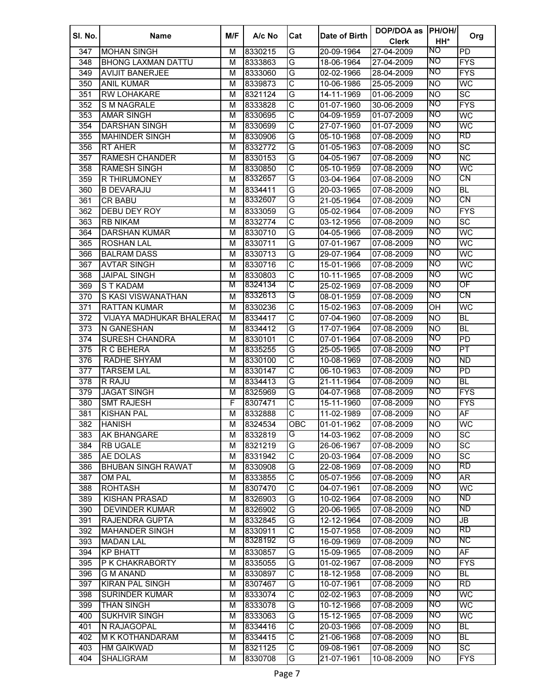| SI. No.    | <b>Name</b>               | M/F    | A/c No             | Cat                     | Date of Birth | DOP/DOA as<br><b>Clerk</b> | <b>PH/OH/</b><br>HH*   | Org                      |
|------------|---------------------------|--------|--------------------|-------------------------|---------------|----------------------------|------------------------|--------------------------|
| 347        | <b>MOHAN SINGH</b>        | м      | 8330215            | G                       | 20-09-1964    | 27-04-2009                 | NO.                    | $\overline{PD}$          |
| 348        | <b>BHONG LAXMAN DATTU</b> | м      | 8333863            | G                       | 18-06-1964    | 27-04-2009                 | NO                     | <b>FYS</b>               |
| 349        | <b>AVIJIT BANERJEE</b>    | M      | 8333060            | G                       | 02-02-1966    | 28-04-2009                 | NO                     | <b>FYS</b>               |
| 350        | <b>ANIL KUMAR</b>         | М      | 8339873            | $\overline{\text{c}}$   | 10-06-1986    | 25-05-2009                 | <b>NO</b>              | WC                       |
| 351        | <b>RW LOHAKARE</b>        | M      | 8321124            | G                       | 14-11-1969    | 01-06-2009                 | <b>NO</b>              | $\overline{SC}$          |
| 352        | <b>S M NAGRALE</b>        | М      | 8333828            | C                       | 01-07-1960    | 30-06-2009                 | ZО                     | <b>FYS</b>               |
| 353        | <b>AMAR SINGH</b>         | M      | 8330695            | $\overline{\text{c}}$   | 04-09-1959    | 01-07-2009                 | <b>NO</b>              | WC                       |
| 354        | DARSHAN SINGH             | М      | 8330699            | $\overline{\text{c}}$   | 27-07-1960    | 01-07-2009                 | NO                     | WC                       |
| 355        | <b>MAHINDER SINGH</b>     | м      | 8330906            | G                       | 05-10-1968    | 07-08-2009                 | <b>NO</b>              | RD                       |
| 356        | <b>RT AHER</b>            | м      | 8332772            | G                       | 01-05-1963    | 07-08-2009                 | <b>NO</b>              | $\overline{SC}$          |
| 357        | <b>RAMESH CHANDER</b>     | м      | 8330153            | G                       | 04-05-1967    | 07-08-2009                 | NO                     | $\overline{\text{NC}}$   |
| 358        | <b>RAMESH SINGH</b>       | м      | 8330850            | $\overline{\text{c}}$   | 05-10-1959    | 07-08-2009                 | NO                     | WC                       |
| 359        | <b>R THIRUMONEY</b>       | M      | 8332657            | G                       | 03-04-1964    | 07-08-2009                 | NO                     | CN                       |
| 360        | <b>B DEVARAJU</b>         | M      | 8334411            | G                       | 20-03-1965    | 07-08-2009                 | <b>NO</b>              | $\overline{BL}$          |
| 361        | <b>CR BABU</b>            | M      | 8332607            | G                       | 21-05-1964    | 07-08-2009                 | NO                     | CN                       |
| 362        | DEBU DEY ROY              | M      | 8333059            | G                       | 05-02-1964    | 07-08-2009                 | ΜO                     | <b>FYS</b>               |
| 363        | <b>RB NIKAM</b>           | M      | 8332774            | C                       | 03-12-1956    | 07-08-2009                 | <b>NO</b>              | $\overline{SC}$          |
| 364        | <b>DARSHAN KUMAR</b>      | M      | 8330710            | G                       | 04-05-1966    | 07-08-2009                 | NO                     | WC                       |
| 365        | <b>ROSHAN LAL</b>         | M      | 8330711            | G                       | 07-01-1967    | 07-08-2009                 | NO                     | WC                       |
| 366        | <b>BALRAM DASS</b>        | M      | 8330713            | G                       | 29-07-1964    | 07-08-2009                 | NO                     | WC                       |
| 367        | <b>AVTAR SINGH</b>        | M      | 8330716            | $\overline{\text{c}}$   | 15-01-1966    | 07-08-2009                 | NO                     | WC                       |
| 368        | <b>JAIPAL SINGH</b>       | M      | 8330803            | $\overline{\text{c}}$   | 10-11-1965    | 07-08-2009                 | NO                     | WC                       |
| 369        | <b>ST KADAM</b>           | M      | 8324134            | C                       | 25-02-1969    | 07-08-2009                 | NO                     | OF                       |
| 370        | S KASI VISWANATHAN        | M      | 8332613            | G                       | 08-01-1959    | 07-08-2009                 | NO                     | CN                       |
| 371        | <b>RATTAN KUMAR</b>       | M      | 8330236            | $\overline{\mathsf{C}}$ | 15-02-1963    | 07-08-2009                 | $\overline{O}$         | WC                       |
| 372        | VIJAYA MADHUKAR BHALERAC  | M      | 8334417            | $\overline{\text{c}}$   | 07-04-1960    | 07-08-2009                 | <b>NO</b>              | BL                       |
| 373        | N GANESHAN                | M      | 8334412            | G                       | 17-07-1964    | 07-08-2009                 | Ю                      | <b>BL</b>                |
| 374        | <b>SURESH CHANDRA</b>     | M      | 8330101            | $\overline{\text{c}}$   | 07-01-1964    | 07-08-2009                 | NO                     | $\overline{PD}$          |
| 375        | R C BEHERA                | M      | 8335255            | G                       | 25-05-1965    | 07-08-2009                 | NO                     | PT                       |
| 376        | RADHE SHYAM               | M      | 8330100            | $\overline{\text{c}}$   | 10-08-1969    | 07-08-2009                 | <b>NO</b>              | $\overline{ND}$          |
| 377        | <b>TARSEM LAL</b>         | M      | 8330147            | $\overline{\text{c}}$   | 06-10-1963    | 07-08-2009                 | ZО                     | PD                       |
| 378        | R RAJU                    | M      | 8334413            | G                       | 21-11-1964    | 07-08-2009                 | <b>NO</b>              | BL                       |
| 379        | <b>JAGAT SINGH</b>        | М      |                    | G                       | 04-07-1968    |                            | ΜO                     | <b>FYS</b>               |
|            | <b>SMT RAJESH</b>         | F      | 8325969            | $\overline{\text{c}}$   | 15-11-1960    | 07-08-2009                 |                        | <b>FYS</b>               |
| 380<br>381 | <b>KISHAN PAL</b>         | м      | 8307471<br>8332888 | $\overline{\text{c}}$   | 11-02-1989    | 07-08-2009<br>07-08-2009   | <b>NO</b><br><b>NO</b> | $\overline{AF}$          |
|            | <b>HANISH</b>             |        |                    | OBC                     | 01-01-1962    | 07-08-2009                 | <b>NO</b>              | <b>WC</b>                |
| 382<br>383 | <b>AK BHANGARE</b>        | м<br>м | 8324534<br>8332819 | G                       | 14-03-1962    | 07-08-2009                 | <b>NO</b>              | $\overline{SC}$          |
|            |                           |        |                    | G                       |               |                            |                        | $\overline{SC}$          |
| 384        | <b>RB UGALE</b>           | M      | 8321219            | $\overline{\mathsf{c}}$ | 26-06-1967    | 07-08-2009<br>07-08-2009   | <b>NO</b>              | $\overline{SC}$          |
| 385        | AE DOLAS                  | M      | 8331942            | G                       | 20-03-1964    |                            | <b>NO</b><br><b>NO</b> | RD                       |
| 386        | <b>BHUBAN SINGH RAWAT</b> | M      | 8330908            | $\overline{\text{c}}$   | 22-08-1969    | 07-08-2009                 | NO                     |                          |
| 387        | <b>OM PAL</b>             | M      | 8333855            | $\overline{\text{c}}$   | 05-07-1956    | 07-08-2009                 | Ю                      | AR <sup></sup>           |
| 388        | <b>ROHTASH</b>            | M      | 8307470            |                         | 04-07-1961    | 07-08-2009                 |                        | WC<br><b>ND</b>          |
| 389        | <b>KISHAN PRASAD</b>      | M      | 8326903            | G                       | 10-02-1964    | 07-08-2009                 | <b>NO</b>              | ND                       |
| 390        | <b>DEVINDER KUMAR</b>     | M      | 8326902            | G                       | 20-06-1965    | 07-08-2009                 | <b>NO</b>              |                          |
| 391        | RAJENDRA GUPTA            | M      | 8332845            | G                       | 12-12-1964    | 07-08-2009                 | Ю                      | JB<br>RD                 |
| 392        | <b>MAHANDER SINGH</b>     | M      | 8330911            | $\overline{C}$          | 15-07-1958    | 07-08-2009                 | <b>NO</b>              |                          |
| 393        | <b>MADAN LAL</b>          | M      | 8328192            | G                       | 16-09-1969    | 07-08-2009                 | ΝO                     | <b>NC</b>                |
| 394        | <b>KP BHATT</b>           | M      | 8330857            | G                       | 15-09-1965    | 07-08-2009                 | <b>NO</b>              | $\overline{AF}$          |
| 395        | P K CHAKRABORTY           | M      | 8335055            | G                       | 01-02-1967    | $07 - 08 - 2009$           | ΝO                     | <b>FYS</b>               |
| 396        | <b>G M ANAND</b>          | M      | 8330897            | $\overline{\mathsf{C}}$ | 18-12-1958    | 07-08-2009                 | <b>NO</b>              | $\overline{\mathsf{BL}}$ |
| 397        | <b>KIRAN PAL SINGH</b>    | M      | 8307467            | G                       | 10-07-1961    | 07-08-2009                 | Ю                      | RD                       |
| 398        | <b>SURINDER KUMAR</b>     | M      | 8333074            | $\overline{\text{C}}$   | 02-02-1963    | 07-08-2009                 | NO                     | WC                       |
| 399        | <b>THAN SINGH</b>         | M      | 8333078            | G                       | 10-12-1966    | 07-08-2009                 | NO                     | WC                       |
| 400        | <b>SUKHVIR SINGH</b>      | M      | 8333063            | G                       | 15-12-1965    | 07-08-2009                 | NO                     | WC                       |
| 401        | N RAJAGOPAL               | M      | 8334416            | $\overline{\text{C}}$   | 20-03-1966    | $07 - 08 - 2009$           | <b>NO</b>              | $\overline{\mathsf{BL}}$ |
| 402        | M K KOTHANDARAM           | M      | 8334415            | C                       | 21-06-1968    | 07-08-2009                 | <b>NO</b>              | $\overline{BL}$          |
| 403        | <b>HM GAIKWAD</b>         | М      | 8321125            | C                       | 09-08-1961    | 07-08-2009                 | <b>NO</b>              | $\overline{SC}$          |
| 404        | <b>SHALIGRAM</b>          | М      | 8330708            | G                       | 21-07-1961    | 10-08-2009                 | <b>NO</b>              | $\overline{FYS}$         |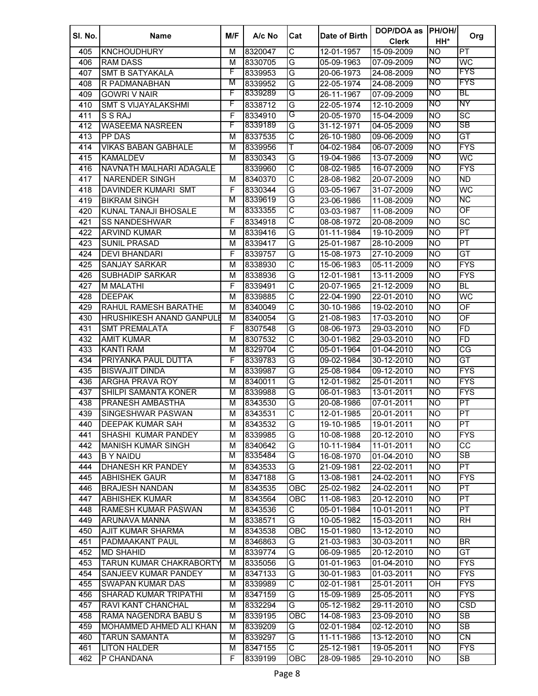| SI. No. | <b>Name</b>                     | M/F | A/c No  | Cat                     | Date of Birth | DOP/DOA as       | <b>PH/OH/</b>  |                          |
|---------|---------------------------------|-----|---------|-------------------------|---------------|------------------|----------------|--------------------------|
|         |                                 |     |         |                         |               | <b>Clerk</b>     | HH*            | Org                      |
| 405     | <b>KNCHOUDHURY</b>              | м   | 8320047 | $\overline{\text{c}}$   | 12-01-1957    | 15-09-2009       | <b>NO</b>      | PT                       |
| 406     | <b>RAM DASS</b>                 | M   | 8330705 | G                       | 05-09-1963    | 07-09-2009       | NO             | WC                       |
| 407     | <b>SMT B SATYAKALA</b>          | F   | 8339953 | G                       | 20-06-1973    | 24-08-2009       | NO             | <b>FYS</b>               |
| 408     | R PADMANABHAN                   | М   | 8339952 | G                       | 22-05-1974    | 24-08-2009       | NO             | <b>FYS</b>               |
| 409     | <b>GOWRI V NAIR</b>             | F   | 8339289 | G                       | 26-11-1967    | 07-09-2009       | NO             | BL                       |
| 410     | <b>SMT S VIJAYALAKSHMI</b>      | F   | 8338712 | G                       | 22-05-1974    | 12-10-2009       | <b>NO</b>      | ΝY                       |
| 411     | S S RAJ                         | F   | 8334910 | G                       | 20-05-1970    | 15-04-2009       | <b>NO</b>      | $\overline{SC}$          |
| 412     | <b>WASEEMA NASREEN</b>          | F   | 8339189 | G                       | 31-12-1971    | 04-05-2009       | NO             | SB                       |
| 413     | <b>PP DAS</b>                   | M   | 8337535 | С                       | 26-10-1980    | 09-06-2009       | <b>NO</b>      | GT                       |
| 414     | <b>VIKAS BABAN GABHALE</b>      | м   | 8339956 | Т                       | 04-02-1984    | 06-07-2009       | <b>NO</b>      | <b>FYS</b>               |
| 415     | <b>KAMALDEV</b>                 | м   | 8330343 | G                       | 19-04-1986    | 13-07-2009       | <b>NO</b>      | WC                       |
| 416     | NAVNATH MALHARI ADAGALE         |     | 8339960 | С                       | 08-02-1985    | 16-07-2009       | <b>NO</b>      | <b>FYS</b>               |
| 417     | <b>NARENDER SINGH</b>           | м   | 8340370 | C                       | 28-08-1982    | 20-07-2009       | <b>NO</b>      | <b>ND</b>                |
| 418     | DAVINDER KUMARI SMT             | F   | 8330344 | G                       | 03-05-1967    | 31-07-2009       | NO             | WC                       |
| 419     | <b>BIKRAM SINGH</b>             | М   | 8339619 | G                       | 23-06-1986    | 11-08-2009       | <b>NO</b>      | ΝC                       |
| 420     | KUNAL TANAJI BHOSALE            | M   | 8333355 | С                       | 03-03-1987    | 11-08-2009       | NO             | OF                       |
| 421     | <b>SS NANDESHWAR</b>            | F   | 8334918 | С                       | 08-08-1972    | 20-08-2009       | <b>NO</b>      | $\overline{SC}$          |
|         | <b>ARVIND KUMAR</b>             |     |         | G                       | 01-11-1984    |                  |                | PT                       |
| 422     |                                 | M   | 8339416 |                         |               | 19-10-2009       | <b>NO</b>      | PT                       |
| 423     | <b>SUNIL PRASAD</b>             | M   | 8339417 | G                       | 25-01-1987    | 28-10-2009       | <b>NO</b>      |                          |
| 424     | <b>DEVI BHANDARI</b>            | F   | 8339757 | G                       | 15-08-1973    | 27-10-2009       | <b>NO</b>      | GT                       |
| 425     | <b>SANJAY SARKAR</b>            | M   | 8338930 | $\overline{\text{c}}$   | 15-06-1983    | 05-11-2009       | <b>NO</b>      | <b>FYS</b>               |
| 426     | <b>SUBHADIP SARKAR</b>          | M   | 8338936 | G                       | 12-01-1981    | 13-11-2009       | <b>NO</b>      | <b>FYS</b>               |
| 427     | <b>M MALATHI</b>                | F   | 8339491 | C                       | 20-07-1965    | 21-12-2009       | <b>NO</b>      | <b>BL</b>                |
| 428     | <b>DEEPAK</b>                   | M   | 8339885 | $\overline{\text{c}}$   | 22-04-1990    | 22-01-2010       | <b>NO</b>      | WC                       |
| 429     | RAHUL RAMESH BARATHE            | М   | 8340049 | $\overline{\text{c}}$   | 30-10-1986    | 19-02-2010       | <b>NO</b>      | OF                       |
| 430     | <b>HRUSHIKESH ANAND GANPULE</b> | М   | 8340054 | G                       | 21-08-1983    | 17-03-2010       | <b>NO</b>      | OF                       |
| 431     | <b>SMT PREMALATA</b>            | F   | 8307548 | G                       | 08-06-1973    | 29-03-2010       | <b>NO</b>      | <b>FD</b>                |
| 432     | <b>AMIT KUMAR</b>               | M   | 8307532 | $\overline{\text{C}}$   | 30-01-1982    | 29-03-2010       | <b>NO</b>      | FD                       |
| 433     | <b>KANTI RAM</b>                | M   | 8329704 | $\overline{\text{c}}$   | 05-01-1964    | 01-04-2010       | <b>NO</b>      | CG                       |
| 434     | PRIYANKA PAUL DUTTA             | F   | 8339783 | G                       | 09-02-1984    | 30-12-2010       | <b>NO</b>      | GT                       |
| 435     | <b>BISWAJIT DINDA</b>           | M   | 8339987 | G                       | 25-08-1984    | 09-12-2010       | <b>NO</b>      | <b>FYS</b>               |
| 436     | <b>ARGHA PRAVA ROY</b>          | М   | 8340011 | G                       | 12-01-1982    | 25-01-2011       | <b>NO</b>      | <b>FYS</b>               |
| 437     | SHILPI SAMANTA KONER            | М   | 8339988 | G                       | 06-01-1983    | 13-01-2011       | <b>NO</b>      | <b>FYS</b>               |
| 438     | <b>PRANESH AMBASTHA</b>         | М   | 8343530 | G                       | 20-08-1986    | 07-01-2011       | <b>NO</b>      | PT                       |
| 439     | <b>SINGESHWAR PASWAN</b>        | М   | 8343531 | $\overline{\text{c}}$   | 12-01-1985    | 20-01-2011       | <b>NO</b>      | PT                       |
| 440     | DEEPAK KUMAR SAH                | м   | 8343532 | G                       | 19-10-1985    | 19-01-2011       | <b>NO</b>      | PT                       |
| 441     | SHASHI KUMAR PANDEY             | м   | 8339985 | G                       | 10-08-1988    | 20-12-2010       | <b>NO</b>      | <b>FYS</b>               |
| 442     | <b>MANISH KUMAR SINGH</b>       | М   | 8340642 | G                       | 10-11-1984    | 11-01-2011       | <b>NO</b>      | <b>CC</b>                |
| 443     | <b>B Y NAIDU</b>                | М   | 8335484 | G                       | 16-08-1970    | 01-04-2010       | NO             | SB                       |
| 444     | DHANESH KR PANDEY               | М   | 8343533 | G                       | 21-09-1981    | 22-02-2011       | <b>NO</b>      | $\overline{PT}$          |
| 445     | <b>ABHISHEK GAUR</b>            | М   | 8347188 | $\overline{\mathsf{G}}$ | 13-08-1981    | 24-02-2011       | <b>NO</b>      | <b>FYS</b>               |
| 446     | <b>BRAJESH NANDAN</b>           | М   | 8343535 | OBC                     | 25-02-1982    | 24-02-2011       | <b>NO</b>      | PT                       |
| 447     | <b>ABHISHEK KUMAR</b>           | М   | 8343564 | OBC                     | 11-08-1983    | 20-12-2010       | <b>NO</b>      | $\overline{PT}$          |
| 448     | RAMESH KUMAR PASWAN             | М   | 8343536 | C                       | 05-01-1984    | 10-01-2011       | <b>NO</b>      | PT                       |
| 449     | ARUNAVA MANNA                   | М   | 8338571 | G                       | 10-05-1982    | 15-03-2011       | <b>NO</b>      | <b>RH</b>                |
| 450     | <b>AJIT KUMAR SHARMA</b>        | M   | 8343538 | OBC                     | 15-01-1980    | 13-12-2010       | <b>NO</b>      |                          |
| 451     | PADMAAKANT PAUL                 | M   | 8346863 | G                       | 21-03-1983    | 30-03-2011       | <b>NO</b>      | $\overline{\mathsf{BR}}$ |
| 452     | <b>MD SHAHID</b>                | М   | 8339774 | G                       | 06-09-1985    | 20-12-2010       | Ю              | <b>GT</b>                |
| 453     | TARUN KUMAR CHAKRABORTY         | М   | 8335056 | G                       | 01-01-1963    | $01 - 04 - 2010$ | <b>NO</b>      | <b>FYS</b>               |
| 454     | SANJEEV KUMAR PANDEY            | М   | 8347133 | G                       | 30-01-1983    | 01-03-2011       | <b>NO</b>      | <b>FYS</b>               |
| 455     | <b>SWAPAN KUMAR DAS</b>         | М   | 8339989 | $\overline{\mathsf{C}}$ | 02-01-1981    | 25-01-2011       | OH             | <b>FYS</b>               |
| 456     | <b>SHARAD KUMAR TRIPATHI</b>    | М   | 8347159 | G                       | 15-09-1989    | 25-05-2011       | <b>NO</b>      | <b>FYS</b>               |
| 457     | RAVI KANT CHANCHAL              | М   | 8332294 | G                       | 05-12-1982    | 29-11-2010       | Ю              | CSD                      |
| 458     | RAMA NAGENDRA BABU S            | М   | 8339195 | OBC                     | 14-08-1983    | 23-09-2010       | N <sub>O</sub> | $\overline{\text{SB}}$   |
|         |                                 |     |         |                         |               |                  | Ю              | SB                       |
| 459     | MOHAMMED AHMED ALI KHAN         | М   | 8339209 | G                       | 02-01-1984    | 02-12-2010       |                |                          |
| 460     | <b>TARUN SAMANTA</b>            | М   | 8339297 | G                       | 11-11-1986    | 13-12-2010       | <b>NO</b>      | $\overline{\text{CN}}$   |
| 461     | <b>LITON HALDER</b>             | М   | 8347155 | $\overline{\mathsf{C}}$ | 25-12-1981    | 19-05-2011       | <b>NO</b>      | <b>FYS</b>               |
| 462     | P CHANDANA                      | F   | 8339199 | ОВС                     | 28-09-1985    | 29-10-2010       | <b>NO</b>      | SB                       |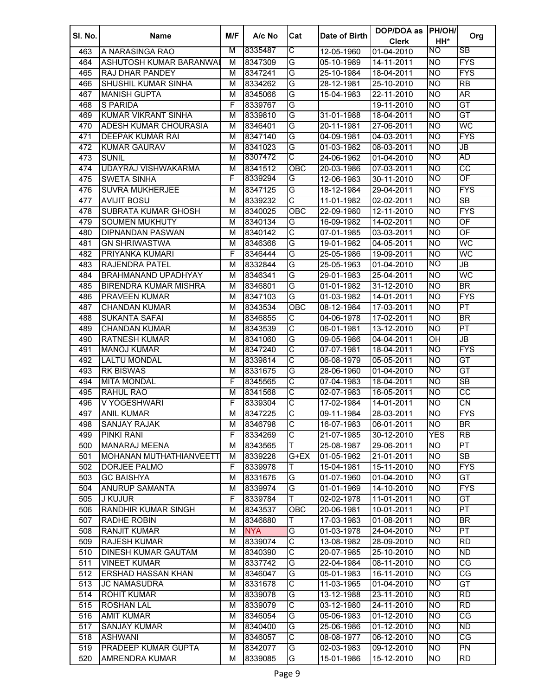| SI. No. | <b>Name</b>                  | M/F | A/c No     | Cat                     | Date of Birth | DOP/DOA as   | <b>PH/OH/</b>    |                                   |
|---------|------------------------------|-----|------------|-------------------------|---------------|--------------|------------------|-----------------------------------|
|         |                              |     |            |                         |               | <b>Clerk</b> | HH*              | Org                               |
| 463     | A NARASINGA RAO              | м   | 8335487    | С                       | 12-05-1960    | 01-04-2010   | ΝO               | <b>SB</b>                         |
| 464     | ASHUTOSH KUMAR BARANWAL      | м   | 8347309    | G                       | 05-10-1989    | 14-11-2011   | <b>NO</b>        | <b>FYS</b>                        |
| 465     | <b>RAJ DHAR PANDEY</b>       | М   | 8347241    | G                       | 25-10-1984    | 18-04-2011   | Ю                | <b>FYS</b>                        |
| 466     | SHUSHIL KUMAR SINHA          | M   | 8334262    | G                       | 28-12-1981    | 25-10-2010   | Ю                | $\overline{RB}$                   |
| 467     | <b>MANISH GUPTA</b>          | M   | 8345066    | G                       | 15-04-1983    | 22-11-2010   | Ю                | $\overline{\mathsf{AR}}$          |
| 468     | S PARIDA                     | F   | 8339767    | G                       |               | 19-11-2010   | <b>NO</b>        | GT                                |
| 469     | <b>KUMAR VIKRANT SINHA</b>   | M   | 8339810    | G                       | 31-01-1988    | $18-04-2011$ | <b>NO</b>        | $\overline{GT}$                   |
| 470     | ADESH KUMAR CHOURASIA        | м   | 8346401    | G                       | 20-11-1981    | 27-06-2011   | <b>NO</b>        | WC                                |
| 471     | <b>DEEPAK KUMAR RAI</b>      | м   | 8347140    | G                       | 04-09-1981    | 04-03-2011   | <b>NO</b>        | <b>FYS</b>                        |
| 472     | <b>KUMAR GAURAV</b>          | м   | 8341023    | G                       | 01-03-1982    | 08-03-2011   | <b>NO</b>        | JB                                |
| 473     | <b>SUNIL</b>                 | м   | 8307472    | С                       | 24-06-1962    | 01-04-2010   | <b>NO</b>        | AD                                |
| 474     | UDAYRAJ VISHWAKARMA          | м   | 8341512    | <b>OBC</b>              | 20-03-1986    | 07-03-2011   | <b>NO</b>        | $\overline{cc}$                   |
| 475     | <b>SWETA SINHA</b>           | F   | 8339294    | G                       | 12-06-1983    | 30-11-2010   | NO               | OF                                |
| 476     | <b>SUVRA MUKHERJEE</b>       | м   | 8347125    | G                       | 18-12-1984    | 29-04-2011   | <b>NO</b>        | <b>FYS</b>                        |
| 477     | <b>AVIJIT BOSU</b>           | м   | 8339232    | C                       | 11-01-1982    | 02-02-2011   | <b>NO</b>        | <b>SB</b>                         |
| 478     | <b>SUBRATA KUMAR GHOSH</b>   | м   | 8340025    | OBC                     | 22-09-1980    | 12-11-2010   | <b>NO</b>        | <b>FYS</b>                        |
| 479     | <b>SOUMEN MUKHUTY</b>        | M   | 8340134    | G                       | 16-09-1982    | 14-02-2011   | <b>NO</b>        | OF                                |
| 480     | <b>DIPNANDAN PASWAN</b>      | M   | 8340142    | C                       | 07-01-1985    | 03-03-2011   | <b>NO</b>        | $\overline{OF}$                   |
| 481     | <b>GN SHRIWASTWA</b>         | M   | 8346366    | G                       | 19-01-1982    | 04-05-2011   | <b>NO</b>        | WC                                |
| 482     | PRIYANKA KUMARI              | F   | 8346444    | G                       | 25-05-1986    | 19-09-2011   | <b>NO</b>        | WC                                |
| 483     | <b>RAJENDRA PATEL</b>        | M   | 8332844    | G                       | 25-05-1963    | 01-04-2010   | Ю                | JB                                |
| 484     | <b>BRAHMANAND UPADHYAY</b>   | M   | 8346341    | G                       | 29-01-1983    | 25-04-2011   | <b>NO</b>        | WC                                |
| 485     | <b>BIRENDRA KUMAR MISHRA</b> | M   | 8346801    | G                       | 01-01-1982    | 31-12-2010   | <b>NO</b>        | <b>BR</b>                         |
| 486     | <b>PRAVEEN KUMAR</b>         | M   | 8347103    | G                       | 01-03-1982    | 14-01-2011   | <b>NO</b>        | <b>FYS</b>                        |
| 487     | <b>CHANDAN KUMAR</b>         | М   | 8343534    | <b>OBC</b>              | 08-12-1984    | 17-03-2011   | <b>NO</b>        | PT                                |
| 488     | <b>SUKANTA SAFAI</b>         | М   | 8346855    | C                       | 04-06-1978    | 17-02-2011   | <b>NO</b>        | <b>BR</b>                         |
| 489     | <b>CHANDAN KUMAR</b>         | М   | 8343539    | $\overline{\text{c}}$   | 06-01-1981    | 13-12-2010   | <b>NO</b>        | PT                                |
| 490     | <b>RATNESH KUMAR</b>         | М   | 8341060    | G                       | 09-05-1986    | 04-04-2011   | $\overline{O}$ H | $\overline{\mathsf{J}\mathsf{B}}$ |
|         |                              |     |            | $\overline{\text{c}}$   |               |              |                  | <b>FYS</b>                        |
| 491     | <b>MANOJ KUMAR</b>           | М   | 8347240    | $\overline{\text{C}}$   | 07-07-1981    | 18-04-2011   | <b>NO</b>        | GT                                |
| 492     | <b>LALTU MONDAL</b>          | М   | 8339814    |                         | 06-08-1979    | 05-05-2011   | <b>NO</b><br>ZО  |                                   |
| 493     | <b>RK BISWAS</b>             | М   | 8331675    | G                       | 28-06-1960    | 01-04-2010   |                  | GT                                |
| 494     | <b>MITA MONDAL</b>           | F   | 8345565    | $\overline{\text{c}}$   | 07-04-1983    | 18-04-2011   | <b>NO</b>        | $\overline{\text{SB}}$            |
| 495     | RAHUL RAO                    | М   | 8341568    | $\overline{\text{c}}$   | 02-07-1983    | 16-05-2011   | <b>NO</b>        | $\overline{cc}$                   |
| 496     | V YOGESHWARI                 | F   | 8339304    | $\overline{\text{c}}$   | 17-02-1984    | 14-01-2011   | <b>NO</b>        | CN                                |
| 497     | <b>ANIL KUMAR</b>            | М   | 8347225    | $\overline{\text{c}}$   | 09-11-1984    | 28-03-2011   | <b>NO</b>        | <b>FYS</b>                        |
| 498     | <b>SANJAY RAJAK</b>          | м   | 8346798    | C                       | 16-07-1983    | 06-01-2011   | <b>NO</b>        | <b>BR</b>                         |
| 499     | <b>PINKI RANI</b>            | F   | 8334269    | $\overline{\text{c}}$   | 21-07-1985    | 30-12-2010   | <b>YES</b>       | <b>RB</b>                         |
| 500     | <b>MANARAJ MEENA</b>         | М   | 8343565    | Τ                       | 25-08-1987    | 29-06-2011   | <b>NO</b>        | PT                                |
| 501     | MOHANAN MUTHATHIANVEETT      | М   | 8339228    | $G + EX$                | 01-05-1962    | 21-01-2011   | <b>NO</b>        | $\overline{\text{SB}}$            |
| 502     | DORJEE PALMO                 | F   | 8339978    | T                       | 15-04-1981    | 15-11-2010   | <b>NO</b>        | $\overline{FYS}$                  |
| 503     | <b>GC BAISHYA</b>            | M   | 8331676    | G                       | 01-07-1960    | 01-04-2010   | NO               | GT                                |
| 504     | <b>ANURUP SAMANTA</b>        | M   | 8339974    | G                       | 01-01-1969    | 14-10-2010   | <b>NO</b>        | <b>FYS</b>                        |
| 505     | J KUJUR                      | F   | 8339784    | T                       | 02-02-1978    | 11-01-2011   | <b>NO</b>        | $\overline{GT}$                   |
| 506     | RANDHIR KUMAR SINGH          | M   | 8343537    | OBC                     | 20-06-1981    | 10-01-2011   | <b>NO</b>        | PT                                |
| 507     | <b>RADHE ROBIN</b>           | M   | 8346880    | Т                       | 17-03-1983    | 01-08-2011   | <b>NO</b>        | $\overline{\mathsf{BR}}$          |
| 508     | <b>RANJIT KUMAR</b>          | M   | <b>NYA</b> | G                       | 01-03-1978    | 24-04-2010   | NO               | $\overline{PT}$                   |
| 509     | <b>RAJESH KUMAR</b>          | M   | 8339074    | $\overline{\text{c}}$   | 13-08-1982    | 28-09-2010   | <b>NO</b>        | $\overline{RD}$                   |
| 510     | <b>DINESH KUMAR GAUTAM</b>   | M   | 8340390    | $\overline{\text{c}}$   | 20-07-1985    | 25-10-2010   | NO <sub></sub>   | $\overline{ND}$                   |
| 511     | <b>VINEET KUMAR</b>          | M   | 8337742    | G                       | 22-04-1984    | 08-11-2010   | <b>NO</b>        | CG                                |
| 512     | <b>ERSHAD HASSAN KHAN</b>    | M   | 8346047    | G                       | 05-01-1983    | 16-11-2010   | N <sub>O</sub>   | CG                                |
| 513     | <b>JC NAMASUDRA</b>          | м   | 8331678    | $\overline{\text{C}}$   | 11-03-1965    | 01-04-2010   | ΝO               | $\overline{GT}$                   |
| 514     | <b>ROHIT KUMAR</b>           | М   | 8339078    | G                       | 13-12-1988    | 23-11-2010   | <b>NO</b>        | RD                                |
| 515     | <b>ROSHAN LAL</b>            | M   | 8339079    | $\overline{\mathsf{C}}$ | 03-12-1980    | 24-11-2010   | Ю                | RD                                |
| 516     | <b>AMIT KUMAR</b>            | М   | 8346054    | G                       | 05-06-1983    | 01-12-2010   | Ю                | CG                                |
| 517     | <b>SANJAY KUMAR</b>          | М   | 8340400    | G                       | 25-06-1986    | 01-12-2010   | <b>NO</b>        | $\overline{ND}$                   |
| 518     | <b>ASHWANI</b>               | М   | 8346057    | $\overline{\text{C}}$   | 08-08-1977    | 06-12-2010   | <b>NO</b>        | CG                                |
| 519     | <b>PRADEEP KUMAR GUPTA</b>   | М   | 8342077    | G                       | 02-03-1983    | 09-12-2010   | <b>NO</b>        | $\overline{PN}$                   |
| 520     | AMRENDRA KUMAR               | М   | 8339085    | G                       | 15-01-1986    | 15-12-2010   | <b>NO</b>        | <b>RD</b>                         |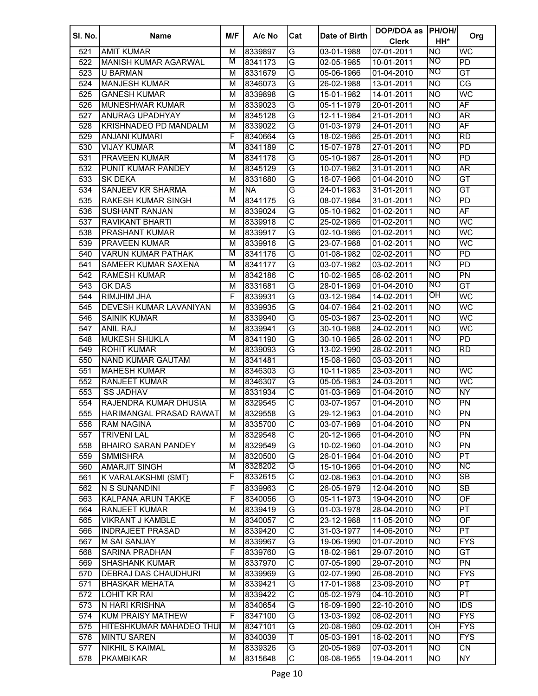| SI. No. | <b>Name</b>                   | M/F | A/c No    | Cat                     | Date of Birth | DOP/DOA as<br><b>Clerk</b> | <b>PH/OH/</b><br>HH*   | Org                      |
|---------|-------------------------------|-----|-----------|-------------------------|---------------|----------------------------|------------------------|--------------------------|
| 521     | <b>AMIT KUMAR</b>             | м   | 8339897   | G                       | 03-01-1988    | 07-01-2011                 | <b>NO</b>              | WC                       |
|         |                               | M   |           | G                       |               |                            | NO                     | $\overline{PD}$          |
| 522     | <b>MANISH KUMAR AGARWAL</b>   |     | 8341173   |                         | 02-05-1985    | 10-01-2011                 | NO                     |                          |
| 523     | <b>U BARMAN</b>               | М   | 8331679   | G                       | 05-06-1966    | 01-04-2010                 |                        | GT                       |
| 524     | <b>MANJESH KUMAR</b>          | м   | 8346073   | G                       | 26-02-1988    | 13-01-2011                 | <b>NO</b>              | $\overline{\text{CG}}$   |
| 525     | <b>GANESH KUMAR</b>           | М   | 8339898   | G                       | 15-01-1982    | 14-01-2011                 | <b>NO</b>              | WC                       |
| 526     | <b>MUNESHWAR KUMAR</b>        | M   | 8339023   | G                       | 05-11-1979    | 20-01-2011                 | <b>NO</b>              | $\overline{AF}$          |
| 527     | ANURAG UPADHYAY               | М   | 8345128   | G                       | 12-11-1984    | 21-01-2011                 | <b>NO</b>              | ĀR                       |
| 528     | KRISHNADEO PD MANDALM         | М   | 8339022   | G                       | 01-03-1979    | 24-01-2011                 | <b>NO</b>              | AF                       |
| 529     | <b>ANJANI KUMARI</b>          | F   | 8340664   | G                       | 18-02-1986    | 25-01-2011                 | <b>NO</b>              | <b>RD</b>                |
| 530     | <b>VIJAY KUMAR</b>            | M   | 8341189   | $\overline{\text{c}}$   | 15-07-1978    | 27-01-2011                 | <b>NO</b>              | $\overline{PD}$          |
| 531     | <b>PRAVEEN KUMAR</b>          | M   | 8341178   | G                       | 05-10-1987    | 28-01-2011                 | <b>NO</b>              | $\overline{PD}$          |
| 532     | PUNIT KUMAR PANDEY            | м   | 8345129   | G                       | 10-07-1982    | 31-01-2011                 | <b>NO</b>              | AR                       |
| 533     | <b>SK DEKA</b>                | M   | 8331680   | G                       | 16-07-1966    | 01-04-2010                 | <b>NO</b>              | GT                       |
| 534     | <b>SANJEEV KR SHARMA</b>      | M   | <b>NA</b> | G                       | 24-01-1983    | 31-01-2011                 | <b>NO</b>              | GT                       |
| 535     | <b>RAKESH KUMAR SINGH</b>     | M   | 8341175   | G                       | 08-07-1984    | 31-01-2011                 | <b>NO</b>              | $\overline{PD}$          |
| 536     | <b>SUSHANT RANJAN</b>         | M   | 8339024   | G                       | 05-10-1982    | 01-02-2011                 | <b>NO</b>              | AF                       |
| 537     | <b>RAVIKANT BHARTI</b>        | M   | 8339918   | С                       | 25-02-1986    | 01-02-2011                 | <b>NO</b>              | WC                       |
| 538     | <b>PRASHANT KUMAR</b>         | M   | 8339917   | G                       | 02-10-1986    | 01-02-2011                 | <b>NO</b>              | WC                       |
| 539     | <b>PRAVEEN KUMAR</b>          | M   | 8339916   | G                       | 23-07-1988    | 01-02-2011                 | Ю                      | WC                       |
| 540     | <b>VARUN KUMAR PATHAK</b>     | M   | 8341176   | G                       | 01-08-1982    | 02-02-2011                 | <b>NO</b>              | $\overline{PD}$          |
| 541     | <b>SAMEER KUMAR SAXENA</b>    | M   | 8341177   | G                       | 03-07-1982    | 03-02-2011                 | NO                     | <b>PD</b>                |
| 542     | <b>RAMESH KUMAR</b>           | M   | 8342186   | С                       | 10-02-1985    | 08-02-2011                 | <b>NO</b>              | PN                       |
| 543     | <b>GK DAS</b>                 | M   | 8331681   | G                       | 28-01-1969    | 01-04-2010                 | <b>NO</b>              | GT                       |
| 544     | <b>RIMJHIM JHA</b>            | F   | 8339931   | G                       | 03-12-1984    | 14-02-2011                 | OH                     | WC                       |
| 545     | <b>DEVESH KUMAR LAVANIYAN</b> | M   | 8339935   | G                       | 04-07-1984    | 21-02-2011                 | N <sub>O</sub>         | WC                       |
| 546     | <b>SAINIK KUMAR</b>           | M   | 8339940   | G                       | 05-03-1987    | 23-02-2011                 | Ю                      | WC                       |
| 547     | <b>ANIL RAJ</b>               | M   | 8339941   | G                       | 30-10-1988    | 24-02-2011                 | <b>NO</b>              | WC                       |
| 548     | <b>MUKESH SHUKLA</b>          | M   | 8341190   | G                       | 30-10-1985    | 28-02-2011                 | <b>NO</b>              | PD                       |
| 549     | <b>ROHIT KUMAR</b>            | M   | 8339093   | G                       | 13-02-1990    | 28-02-2011                 | N <sub>O</sub>         | $\overline{RD}$          |
| 550     | <b>NAND KUMAR GAUTAM</b>      | M   | 8341481   |                         | 15-08-1980    | 03-03-2011                 | <b>NO</b>              |                          |
| 551     | <b>MAHESH KUMAR</b>           | M   | 8346303   | G                       | 10-11-1985    | 23-03-2011                 | <b>NO</b>              | WC                       |
| 552     | <b>RANJEET KUMAR</b>          | М   | 8346307   | G                       | 05-05-1983    | 24-03-2011                 | <b>NO</b>              | <b>WC</b>                |
| 553     | <b>SS JADHAV</b>              | М   | 8331934   | $\overline{\text{c}}$   | 01-03-1969    | 01-04-2010                 | <b>NO</b>              | $\overline{NY}$          |
| 554     | RAJENDRA KUMAR DHUSIA         | м   | 8329545   | C                       | 03-07-1957    | 01-04-2010                 | <b>NO</b>              | PN                       |
| 555     | HARIMANGAL PRASAD RAWAT       | м   | 8329558   | G                       | 29-12-1963    | 01-04-2010                 | <b>NO</b>              | $\overline{PN}$          |
| 556     | RAM NAGINA                    | м   | 8335700   | C                       | 03-07-1969    | 01-04-2010                 | Ю                      | <b>PN</b>                |
| 557     | <b>TRIVENI LAL</b>            | M   | 8329548   | $\overline{\text{c}}$   | 20-12-1966    | 01-04-2010                 | <b>NO</b>              | $\overline{PN}$          |
| 558     | <b>BHAIRO SARAN PANDEY</b>    | M   | 8329549   | G                       | 10-02-1960    | 01-04-2010                 | <b>NO</b>              | $\overline{PN}$          |
| 559     | <b>SMMISHRA</b>               | M   | 8320500   | G                       | 26-01-1964    | 01-04-2010                 | <b>NO</b>              | PT                       |
|         | <b>AMARJIT SINGH</b>          | M   | 8328202   | G                       | 15-10-1966    |                            | <b>NO</b>              | NС                       |
| 560     |                               | F   | 8332615   | С                       |               | 01-04-2010                 | <b>NO</b>              | SB                       |
| 561     | K VARALAKSHMI (SMT)           |     |           |                         | 02-08-1963    | 01-04-2010                 |                        |                          |
| 562     | N S SUNANDINI                 | F   | 8339963   | $\overline{\text{c}}$   | 26-05-1979    | 12-04-2010                 | <b>NO</b><br><b>NO</b> | $\overline{\text{SB}}$   |
| 563     | KALPANA ARUN TAKKE            | F   | 8340056   | G                       | 05-11-1973    | 19-04-2010                 |                        | $\overline{OF}$          |
| 564     | <b>RANJEET KUMAR</b>          | М   | 8339419   | G                       | 01-03-1978    | 28-04-2010                 | <b>NO</b>              | $\overline{\mathsf{PT}}$ |
| 565     | <b>VIKRANT J KAMBLE</b>       | М   | 8340057   | $\overline{\text{c}}$   | 23-12-1988    | 11-05-2010                 | <b>NO</b>              | OF                       |
| 566     | <b>INDRAJEET PRASAD</b>       | М   | 8339420   | C                       | 31-03-1977    | 14-06-2010                 | NO                     | $\overline{PT}$          |
| 567     | <b>M SAI SANJAY</b>           | M   | 8339967   | G                       | 19-06-1990    | 01-07-2010                 | <b>NO</b>              | <b>FYS</b>               |
| 568     | <b>SARINA PRADHAN</b>         | F   | 8339760   | G                       | 18-02-1981    | 29-07-2010                 | <b>NO</b>              | $\overline{GT}$          |
| 569     | <b>SHASHANK KUMAR</b>         | M   | 8337970   | $\overline{\text{c}}$   | 07-05-1990    | 29-07-2010                 | ΝO                     | $\overline{PN}$          |
| 570     | DEBRAJ DAS CHAUDHURI          | М   | 8339969   | G                       | 02-07-1990    | 26-08-2010                 | N <sub>O</sub>         | <b>FYS</b>               |
| 571     | <b>BHASKAR MEHATA</b>         | м   | 8339421   | G                       | 17-01-1988    | 23-09-2010                 | NO                     | $\overline{\mathsf{PT}}$ |
| 572     | LOHIT KR RAI                  | М   | 8339422   | $\overline{\mathsf{C}}$ | 05-02-1979    | 04-10-2010                 | <b>NO</b>              | $\overline{\mathsf{PT}}$ |
| 573     | N HARI KRISHNA                | М   | 8340654   | G                       | 16-09-1990    | 22-10-2010                 | <b>NO</b>              | $\overline{IDS}$         |
| 574     | KUM PRAISY MATHEW             | F   | 8347100   | G                       | 13-03-1992    | 08-02-2011                 | <b>NO</b>              | <b>FYS</b>               |
| 575     | HITESHKUMAR MAHADEO THUI      | M   | 8347101   | G                       | 20-08-1980    | 09-02-2011                 | OH                     | <b>FYS</b>               |
| 576     | <b>MINTU SAREN</b>            | М   | 8340039   | Τ                       | 05-03-1991    | 18-02-2011                 | <b>NO</b>              | $\overline{FYS}$         |
| 577     | <b>NIKHIL S KAIMAL</b>        | M   | 8339326   | G                       | 20-05-1989    | 07-03-2011                 | <b>NO</b>              | $\overline{\text{CN}}$   |
| 578     | <b>PKAMBIKAR</b>              | М   | 8315648   | C                       | 06-08-1955    | 19-04-2011                 | <b>NO</b>              | NY                       |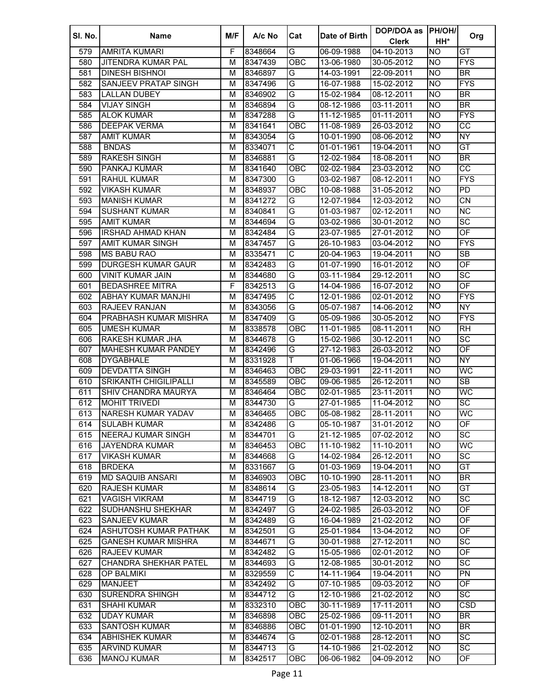| SI. No. | Name                         | M/F | A/c No  | Cat                     | Date of Birth | DOP/DOA as<br><b>Clerk</b> | <b>PH/OH/</b><br>HH* | Org                      |
|---------|------------------------------|-----|---------|-------------------------|---------------|----------------------------|----------------------|--------------------------|
| 579     | <b>AMRITA KUMARI</b>         | F   | 8348664 | G                       | 06-09-1988    | 04-10-2013                 | <b>NO</b>            | $\overline{GT}$          |
| 580     | <b>JITENDRA KUMAR PAL</b>    | M   | 8347439 | OBC                     | 13-06-1980    | 30-05-2012                 | Ю                    | <b>FYS</b>               |
| 581     | <b>DINESH BISHNOI</b>        | M   | 8346897 | G                       | 14-03-1991    | 22-09-2011                 | Ю                    | $\overline{BR}$          |
| 582     | <b>SANJEEV PRATAP SINGH</b>  | м   | 8347496 | G                       | 16-07-1988    | 15-02-2012                 | <b>NO</b>            | <b>FYS</b>               |
| 583     | <b>LALLAN DUBEY</b>          | М   | 8346902 | G                       | 15-02-1984    | 08-12-2011                 | <b>NO</b>            | $\overline{\mathsf{BR}}$ |
| 584     | <b>VIJAY SINGH</b>           | м   | 8346894 | G                       | 08-12-1986    | 03-11-2011                 | <b>NO</b>            | $\overline{\mathsf{BR}}$ |
| 585     | <b>ALOK KUMAR</b>            | М   | 8347288 | G                       | 11-12-1985    | 01-11-2011                 | <b>NO</b>            | <b>FYS</b>               |
| 586     | <b>DEEPAK VERMA</b>          | м   | 8341641 | OBC                     | 11-08-1989    | 26-03-2012                 | <b>NO</b>            | $\overline{cc}$          |
| 587     | <b>AMIT KUMAR</b>            | м   | 8343054 | G                       | 10-01-1990    | 08-06-2012                 | <b>NO</b>            | <b>NY</b>                |
| 588     | <b>BNDAS</b>                 | м   | 8334071 | $\overline{\text{c}}$   | 01-01-1961    | 19-04-2011                 | <b>NO</b>            | GT                       |
| 589     | <b>RAKESH SINGH</b>          | М   | 8346881 | G                       | 12-02-1984    | 18-08-2011                 | <b>NO</b>            | $\overline{BR}$          |
| 590     | PANKAJ KUMAR                 | м   | 8341640 | OBC                     | 02-02-1984    | 23-03-2012                 | <b>NO</b>            | $\overline{cc}$          |
| 591     | <b>RAHUL KUMAR</b>           | M   | 8347300 | G                       | 03-02-1987    | 08-12-2011                 | <b>NO</b>            | <b>FYS</b>               |
| 592     | <b>VIKASH KUMAR</b>          | М   | 8348937 | OBC                     | 10-08-1988    | 31-05-2012                 | <b>NO</b>            | $\overline{PD}$          |
| 593     | <b>MANISH KUMAR</b>          | M   | 8341272 | G                       | 12-07-1984    | 12-03-2012                 | <b>NO</b>            | $\overline{CN}$          |
| 594     | <b>SUSHANT KUMAR</b>         | M   | 8340841 | G                       | 01-03-1987    | 02-12-2011                 | <b>NO</b>            | $\overline{\text{NC}}$   |
| 595     | <b>AMIT KUMAR</b>            | M   | 8344694 | G                       | 03-02-1986    | 30-01-2012                 | <b>NO</b>            | $\overline{SC}$          |
| 596     | <b>IRSHAD AHMAD KHAN</b>     | M   | 8342484 | G                       | 23-07-1985    | 27-01-2012                 | <b>NO</b>            | OF                       |
| 597     | <b>AMIT KUMAR SINGH</b>      | M   | 8347457 | G                       | 26-10-1983    | 03-04-2012                 | <b>NO</b>            | <b>FYS</b>               |
| 598     | <b>MS BABU RAO</b>           | M   | 8335471 | C                       | 20-04-1963    | 19-04-2011                 | <b>NO</b>            | $\overline{\text{SB}}$   |
| 599     | <b>DURGESH KUMAR GAUR</b>    | М   | 8342483 | G                       | 01-07-1990    | 16-01-2012                 | <b>NO</b>            | OF                       |
| 600     | <b>VINIT KUMAR JAIN</b>      | М   | 8344680 | G                       | 03-11-1984    | 29-12-2011                 | <b>NO</b>            | $\overline{SC}$          |
| 601     | <b>BEDASHREE MITRA</b>       | F   | 8342513 | G                       | 14-04-1986    | 16-07-2012                 | <b>NO</b>            | OF                       |
| 602     | <b>ABHAY KUMAR MANJHI</b>    | М   | 8347495 | $\overline{\text{C}}$   | 12-01-1986    | 02-01-2012                 | <b>NO</b>            | <b>FYS</b>               |
| 603     | RAJEEV RANJAN                | M   | 8343056 | G                       | 05-07-1987    | 14-06-2012                 | ΝO                   | <b>NY</b>                |
| 604     | <b>PRABHASH KUMAR MISHRA</b> | M   | 8347409 | G                       | 05-09-1986    | 30-05-2012                 | <b>NO</b>            | <b>FYS</b>               |
| 605     | <b>UMESH KUMAR</b>           | М   | 8338578 | OBC                     | 11-01-1985    | 08-11-2011                 | <b>NO</b>            | $\overline{RH}$          |
| 606     | <b>RAKESH KUMAR JHA</b>      | М   | 8344678 | G                       | 15-02-1986    | 30-12-2011                 | <b>NO</b>            | $\overline{SC}$          |
| 607     | <b>MAHESH KUMAR PANDEY</b>   | М   | 8342496 | G                       | 27-12-1983    | 26-03-2012                 | <b>NO</b>            | $\overline{OF}$          |
| 608     | <b>DYGABHALE</b>             | М   | 8331928 | T                       | 01-06-1966    | 19-04-2011                 | <b>NO</b>            | <b>NY</b>                |
| 609     | <b>DEVDATTA SINGH</b>        | М   | 8346463 | OBC                     | 29-03-1991    | 22-11-2011                 | <b>NO</b>            | <b>WC</b>                |
| 610     | <b>SRIKANTH CHIGILIPALLI</b> | М   | 8345589 | OBC                     | 09-06-1985    | 26-12-2011                 | <b>NO</b>            | $\overline{\text{SB}}$   |
| 611     | SHIV CHANDRA MAURYA          | М   | 8346464 | OBC                     | 02-01-1985    | $23 - 11 - 2011$           | <b>NO</b>            | WC                       |
| 612     | <b>MOHIT TRIVEDI</b>         | м   | 8344730 | G                       | 27-01-1985    | 11-04-2012                 | <b>NO</b>            | $\overline{SC}$          |
| 613     | <b>NARESH KUMAR YADAV</b>    | м   | 8346465 | <b>OBC</b>              | 05-08-1982    | 28-11-2011                 | <b>NO</b>            | WC                       |
| 614     | <b>SULABH KUMAR</b>          | м   | 8342486 | G                       | 05-10-1987    | 31-01-2012                 | <b>NO</b>            | OF                       |
| 615     | <b>NEERAJ KUMAR SINGH</b>    | м   | 8344701 | G                       | 21-12-1985    | 07-02-2012                 | <b>NO</b>            | $\overline{SC}$          |
| 616     | <b>JAYENDRA KUMAR</b>        | М   | 8346453 | $\overline{OBC}$        | 11-10-1982    | 11-10-2011                 | <b>NO</b>            | <b>WC</b>                |
| 617     | <b>VIKASH KUMAR</b>          | М   | 8344668 | G                       | 14-02-1984    | 26-12-2011                 | <b>NO</b>            | $\overline{SC}$          |
| 618     | <b>BRDEKA</b>                | М   | 8331667 | G                       | 01-03-1969    | 19-04-2011                 | <b>NO</b>            | $\overline{GT}$          |
| 619     | <b>MD SAQUIB ANSARI</b>      | М   | 8346903 | OBC                     | 10-10-1990    | 28-11-2011                 | <b>NO</b>            | $\overline{BR}$          |
| 620     | <b>RAJESH KUMAR</b>          | М   | 8348614 | G                       | 23-05-1983    | 14-12-2011                 | Ю                    | GT                       |
| 621     | <b>VAGISH VIKRAM</b>         | M   | 8344719 | G                       | 18-12-1987    | 12-03-2012                 | <b>NO</b>            | SC                       |
| 622     | <b>SUDHANSHU SHEKHAR</b>     | M   | 8342497 | G                       | 24-02-1985    | 26-03-2012                 | Ю                    | $\overline{\mathsf{OF}}$ |
| 623     | <b>SANJEEV KUMAR</b>         | M   | 8342489 | G                       | 16-04-1989    | 21-02-2012                 | <b>NO</b>            | OF                       |
| 624     | ASHUTOSH KUMAR PATHAK        | M   | 8342501 | G                       | 25-01-1984    | 13-04-2012                 | <b>NO</b>            | OF                       |
| 625     | <b>GANESH KUMAR MISHRA</b>   | М   | 8344671 | G                       | 30-01-1988    | 27-12-2011                 | <b>NO</b>            | $\overline{SC}$          |
| 626     | <b>RAJEEV KUMAR</b>          | М   | 8342482 | G                       | 15-05-1986    | 02-01-2012                 | Ю                    | $\overline{\mathsf{OF}}$ |
| 627     | <b>CHANDRA SHEKHAR PATEL</b> | М   | 8344693 | G                       | 12-08-1985    | 30-01-2012                 | <b>NO</b>            | $\overline{SC}$          |
| 628     | OP BALMIKI                   | М   | 8329559 | $\overline{\mathsf{C}}$ | 14-11-1964    | 19-04-2011                 | Ю                    | $\overline{PN}$          |
| 629     | <b>MANJEET</b>               | М   | 8342492 | G                       | 07-10-1985    | 09-03-2012                 | Ю                    | OF                       |
| 630     | <b>SURENDRA SHINGH</b>       | М   | 8344712 | G                       | 12-10-1986    | 21-02-2012                 | <b>NO</b>            | SC                       |
| 631     | <b>SHAHI KUMAR</b>           | М   | 8332310 | OBC                     | 30-11-1989    | 17-11-2011                 | <b>NO</b>            | CSD                      |
| 632     | <b>UDAY KUMAR</b>            | М   | 8346898 | OBC                     | 25-02-1986    | 09-11-2011                 | <b>NO</b>            | $\overline{\mathsf{BR}}$ |
| 633     | <b>SANTOSH KUMAR</b>         | М   | 8346886 | OBC                     | 01-01-1990    | 12-10-2011                 | <b>NO</b>            | $\overline{\mathsf{BR}}$ |
| 634     | <b>ABHISHEK KUMAR</b>        | М   | 8344674 | G                       | 02-01-1988    | 28-12-2011                 | <b>NO</b>            | $\overline{SC}$          |
| 635     | <b>ARVIND KUMAR</b>          | М   | 8344713 | G                       | 14-10-1986    | 21-02-2012                 | <b>NO</b>            | $\overline{SC}$          |
| 636     | <b>MANOJ KUMAR</b>           | м   | 8342517 | OBC                     | 06-06-1982    | 04-09-2012                 | <b>NO</b>            | OF                       |
|         |                              |     |         |                         |               |                            |                      |                          |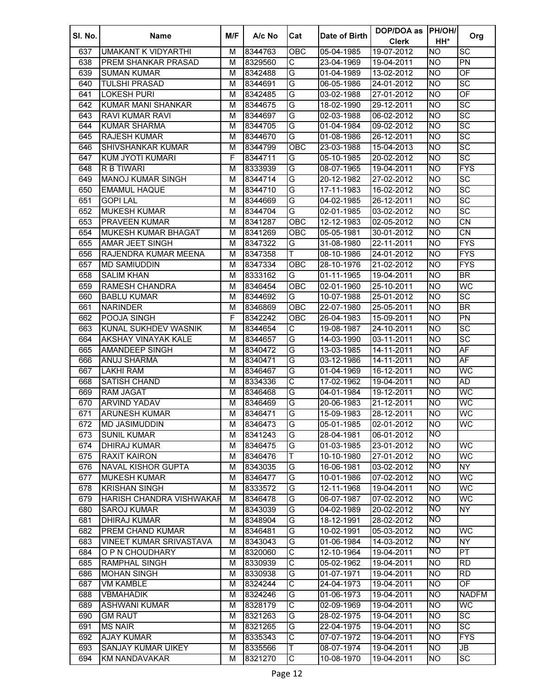| SI. No. | <b>Name</b>                     | M/F | A/c No  | Cat                   | Date of Birth | DOP/DOA as   | <b>PH/OH/</b>  |                                   |
|---------|---------------------------------|-----|---------|-----------------------|---------------|--------------|----------------|-----------------------------------|
|         |                                 |     |         |                       |               | <b>Clerk</b> | HH*            | Org                               |
| 637     | <b>UMAKANT K VIDYARTHI</b>      | м   | 8344763 | OBC                   | 05-04-1985    | 19-07-2012   | <b>NO</b>      | SC                                |
| 638     | <b>PREM SHANKAR PRASAD</b>      | м   | 8329560 | C                     | 23-04-1969    | 19-04-2011   | <b>NO</b>      | PN                                |
| 639     | <b>SUMAN KUMAR</b>              | м   | 8342488 | G                     | 01-04-1989    | 13-02-2012   | <b>NO</b>      | $\overline{OF}$                   |
| 640     | <b>TULSHI PRASAD</b>            | м   | 8344691 | G                     | 06-05-1986    | 24-01-2012   | <b>NO</b>      | $\overline{SC}$                   |
| 641     | <b>LOKESH PURI</b>              | M   | 8342485 | G                     | 03-02-1988    | 27-01-2012   | <b>NO</b>      | OF                                |
| 642     | KUMAR MANI SHANKAR              | М   | 8344675 | G                     | 18-02-1990    | 29-12-2011   | <b>NO</b>      | SC                                |
| 643     | <b>RAVI KUMAR RAVI</b>          | М   | 8344697 | G                     | 02-03-1988    | 06-02-2012   | <b>NO</b>      | $\overline{SC}$                   |
| 644     | <b>KUMAR SHARMA</b>             | М   | 8344705 | G                     | 01-04-1984    | 09-02-2012   | <b>NO</b>      | $\overline{SC}$                   |
| 645     | <b>RAJESH KUMAR</b>             | М   | 8344670 | G                     | 01-08-1986    | 26-12-2011   | <b>NO</b>      | $\overline{SC}$                   |
| 646     | <b>SHIVSHANKAR KUMAR</b>        | М   | 8344799 | $\overline{O}$ BC     | 23-03-1988    | 15-04-2013   | <b>NO</b>      | $\overline{SC}$                   |
| 647     | KUM JYOTI KUMARI                | F   | 8344711 | G                     | 05-10-1985    | 20-02-2012   | <b>NO</b>      | $\overline{\text{sc}}$            |
| 648     | R B TIWARI                      | М   | 8333939 | G                     | 08-07-1965    | 19-04-2011   | NO.            | <b>FYS</b>                        |
| 649     | <b>MANOJ KUMAR SINGH</b>        | м   | 8344714 | G                     | 20-12-1982    | 27-02-2012   | <b>NO</b>      | $\overline{SC}$                   |
| 650     | <b>EMAMUL HAQUE</b>             | м   | 8344710 | G                     | 17-11-1983    | 16-02-2012   | NO.            | $\overline{SC}$                   |
| 651     | <b>GOPI LAL</b>                 | м   | 8344669 | G                     | 04-02-1985    | 26-12-2011   | <b>NO</b>      | $\overline{SC}$                   |
| 652     | <b>MUKESH KUMAR</b>             | M   | 8344704 | G                     | 02-01-1985    | 03-02-2012   | <b>NO</b>      | $\overline{SC}$                   |
| 653     | <b>PRAVEEN KUMAR</b>            | M   | 8341287 | OBC                   | 12-12-1983    | 02-05-2012   | <b>NO</b>      | $\overline{\text{CN}}$            |
| 654     | <b>MUKESH KUMAR BHAGAT</b>      | M   | 8341269 | OBC                   | 05-05-1981    | 30-01-2012   | <b>NO</b>      | $\overline{\text{CN}}$            |
| 655     | <b>AMAR JEET SINGH</b>          | м   | 8347322 | G                     | 31-08-1980    | 22-11-2011   | <b>NO</b>      | <b>FYS</b>                        |
|         |                                 |     |         | T.                    |               |              |                | <b>FYS</b>                        |
| 656     | RAJENDRA KUMAR MEENA            | М   | 8347358 |                       | 08-10-1986    | 24-01-2012   | <b>NO</b>      |                                   |
| 657     | <b>MD SAMIUDDIN</b>             | М   | 8347334 | <b>OBC</b>            | 28-10-1976    | 21-02-2012   | <b>NO</b>      | <b>FYS</b>                        |
| 658     | <b>SALIM KHAN</b>               | M   | 8333162 | G                     | 01-11-1965    | 19-04-2011   | <b>NO</b>      | $\overline{\mathsf{BR}}$          |
| 659     | <b>RAMESH CHANDRA</b>           | M   | 8346454 | OBC                   | 02-01-1960    | 25-10-2011   | <b>NO</b>      | <b>WC</b>                         |
| 660     | <b>BABLU KUMAR</b>              | М   | 8344692 | G                     | 10-07-1988    | 25-01-2012   | <b>NO</b>      | $\overline{SC}$                   |
| 661     | <b>NARINDER</b>                 | м   | 8346869 | OBC                   | 22-07-1980    | 25-05-2011   | <b>NO</b>      | <b>BR</b>                         |
| 662     | POOJA SINGH                     | F   | 8342242 | ОВС                   | 26-04-1983    | 15-09-2011   | <b>NO</b>      | PN                                |
| 663     | KUNAL SUKHDEV WASNIK            | М   | 8344654 | C                     | 19-08-1987    | 24-10-2011   | <b>NO</b>      | SC                                |
| 664     | AKSHAY VINAYAK KALE             | М   | 8344657 | G                     | 14-03-1990    | 03-11-2011   | <b>NO</b>      | $\overline{SC}$                   |
| 665     | <b>AMANDEEP SINGH</b>           | M   | 8340472 | G                     | 13-03-1985    | 14-11-2011   | <b>NO</b>      | <b>AF</b>                         |
| 666     | <b>ANUJ SHARMA</b>              | М   | 8340471 | G                     | 03-12-1986    | 14-11-2011   | <b>NO</b>      | AF                                |
| 667     | <b>LAKHI RAM</b>                | М   | 8346467 | G                     | 01-04-1969    | 16-12-2011   | <b>NO</b>      | <b>WC</b>                         |
| 668     | <b>SATISH CHAND</b>             | M   | 8334336 | $\overline{\text{C}}$ | 17-02-1962    | 19-04-2011   | <b>NO</b>      | AD                                |
| 669     | <b>RAM JAGAT</b>                | M   | 8346468 | G                     | 04-01-1984    | 19-12-2011   | <b>NO</b>      | WC                                |
| 670     | <b>ARVIND YADAV</b>             | М   | 8346469 | G                     | 20-06-1983    | 21-12-2011   | NO.            | <b>WC</b>                         |
| 671     | <b>ARUNESH KUMAR</b>            | м   | 8346471 | G                     | 15-09-1983    | 28-12-2011   | <b>NO</b>      | <b>WC</b>                         |
| 672     | <b>MD JASIMUDDIN</b>            | M   | 8346473 | G                     | 05-01-1985    | 02-01-2012   | <b>NO</b>      | <b>WC</b>                         |
| 673     | <b>SUNIL KUMAR</b>              | м   | 8341243 | G                     | 28-04-1981    | 06-01-2012   | NO             |                                   |
| 674     | <b>DHIRAJ KUMAR</b>             | М   | 8346475 | G                     | 01-03-1985    | 23-01-2012   | <b>NO</b>      | WC                                |
| 675     | <b>RAXIT KAIRON</b>             | М   | 8346476 | T                     | 10-10-1980    | 27-01-2012   | <b>NO</b>      | <b>WC</b>                         |
| 676     | <b>NAVAL KISHOR GUPTA</b>       | м   | 8343035 | G                     | 16-06-1981    | 03-02-2012   | <b>NO</b>      | NY.                               |
| 677     | <b>MUKESH KUMAR</b>             | М   | 8346477 | G                     | 10-01-1986    | 07-02-2012   | N <sub>O</sub> | WC                                |
| 678     | <b>KRISHAN SINGH</b>            | M   | 8333572 | G                     | 12-11-1968    | 19-04-2011   | <b>NO</b>      | WC                                |
| 679     | <b>HARISH CHANDRA VISHWAKAR</b> | M   | 8346478 | G                     | 06-07-1987    | 07-02-2012   | <b>NO</b>      | WC                                |
| 680     | <b>SAROJ KUMAR</b>              | М   | 8343039 | G                     | 04-02-1989    | 20-02-2012   | <b>NO</b>      | <b>NY</b>                         |
| 681     | <b>DHIRAJ KUMAR</b>             | М   | 8348904 | G                     | 18-12-1991    | 28-02-2012   | <b>NO</b>      |                                   |
| 682     | PREM CHAND KUMAR                | М   | 8346481 | G                     | 10-02-1991    | 05-03-2012   | <b>NO</b>      | WC                                |
| 683     | <b>VINEET KUMAR SRIVASTAVA</b>  | М   | 8343043 | G                     | 01-06-1984    | 14-03-2012   | <b>NO</b>      | <b>NY</b>                         |
| 684     | O P N CHOUDHARY                 | М   | 8320060 | $\overline{\text{c}}$ | 12-10-1964    | 19-04-2011   | NO             | $\overline{\mathsf{PT}}$          |
| 685     | <b>RAMPHAL SINGH</b>            | М   | 8330939 | $\overline{\text{c}}$ | 05-02-1962    | 19-04-2011   | <b>NO</b>      | $\overline{RD}$                   |
| 686     | <b>MOHAN SINGH</b>              | M   | 8330938 | G                     | 01-07-1971    | 19-04-2011   | <b>NO</b>      | $\overline{RD}$                   |
| 687     | <b>VM KAMBLE</b>                | M   | 8324244 | $\overline{\text{c}}$ | 24-04-1973    | 19-04-2011   | <b>NO</b>      | OF                                |
| 688     | <b>VBMAHADIK</b>                | М   | 8324246 | G                     | 01-06-1973    | 19-04-2011   | <b>NO</b>      | <b>NADFM</b>                      |
| 689     | <b>ASHWANI KUMAR</b>            | M   | 8328179 | $\overline{\text{c}}$ | 02-09-1969    | 19-04-2011   | N <sub>O</sub> | WC                                |
| 690     | <b>GM RAUT</b>                  | М   | 8321263 | G                     | 28-02-1975    | $19-04-2011$ | N <sub>O</sub> | $\overline{SC}$                   |
| 691     | <b>MS NAIR</b>                  | М   | 8321265 | G                     | 22-04-1975    | 19-04-2011   | N <sub>O</sub> | $\overline{SC}$                   |
| 692     | <b>AJAY KUMAR</b>               | M   | 8335343 | C                     | 07-07-1972    | 19-04-2011   | <b>NO</b>      | <b>FYS</b>                        |
|         |                                 |     |         |                       |               |              |                | $\overline{\mathsf{J}\mathsf{B}}$ |
| 693     | <b>SANJAY KUMAR UIKEY</b>       | M   | 8335566 | Τ                     | 08-07-1974    | 19-04-2011   | <b>NO</b>      |                                   |
| 694     | <b>KM NANDAVAKAR</b>            | М   | 8321270 | C                     | 10-08-1970    | 19-04-2011   | <b>NO</b>      | $\overline{SC}$                   |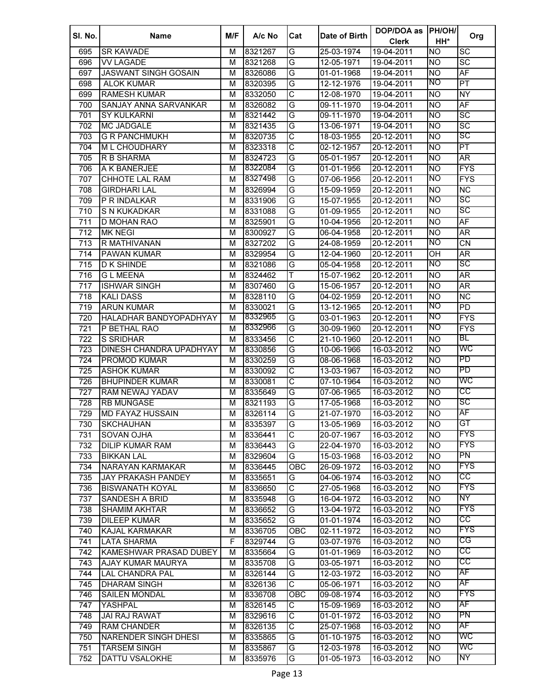| SI. No. | <b>Name</b>                    | M/F         | A/c No  | Cat                     | Date of Birth | DOP/DOA as       | <b>PH/OH/</b> | Org                      |
|---------|--------------------------------|-------------|---------|-------------------------|---------------|------------------|---------------|--------------------------|
|         |                                |             |         |                         |               | <b>Clerk</b>     | HH*           |                          |
| 695     | <b>SR KAWADE</b>               | м           | 8321267 | G                       | 25-03-1974    | 19-04-2011       | Ю             | $\overline{SC}$          |
| 696     | <b>VV LAGADE</b>               | M           | 8321268 | G                       | 12-05-1971    | 19-04-2011       | <b>NO</b>     | $\overline{SC}$          |
| 697     | <b>JASWANT SINGH GOSAIN</b>    | M           | 8326086 | G                       | 01-01-1968    | 19-04-2011       | <b>NO</b>     | AF                       |
| 698     | <b>ALOK KUMAR</b>              | M           | 8320395 | G                       | 12-12-1976    | 19-04-2011       | NO            | PT                       |
| 699     | <b>RAMESH KUMAR</b>            | M           | 8332050 | $\overline{\text{c}}$   | 12-08-1970    | 19-04-2011       | <b>NO</b>     | $\overline{NY}$          |
| 700     | SANJAY ANNA SARVANKAR          | M           | 8326082 | G                       | 09-11-1970    | 19-04-2011       | <b>NO</b>     | $\overline{AF}$          |
| 701     | <b>SY KULKARNI</b>             | м           | 8321442 | G                       | 09-11-1970    | 19-04-2011       | <b>NO</b>     | $\overline{SC}$          |
| 702     | <b>MC JADGALE</b>              | M           | 8321435 | G                       | 13-06-1971    | 19-04-2011       | <b>NO</b>     | $\overline{SC}$          |
| 703     | <b>G R PANCHMUKH</b>           | M           | 8320735 | $\overline{\text{c}}$   | 18-03-1955    | 20-12-2011       | <b>NO</b>     | SC                       |
| 704     | <b>ML CHOUDHARY</b>            | М           | 8323318 | $\overline{\text{c}}$   | 02-12-1957    | 20-12-2011       | <b>NO</b>     | $\overline{\mathsf{PT}}$ |
| 705     | R B SHARMA                     | м           | 8324723 | G                       | 05-01-1957    | 20-12-2011       | <b>NO</b>     | AR <sup></sup>           |
| 706     | A K BANERJEE                   | м           | 8322084 | G                       | 01-01-1956    | 20-12-2011       | <b>NO</b>     | <b>FYS</b>               |
| 707     | CHHOTE LAL RAM                 | М           | 8327498 | G                       | 07-06-1956    | 20-12-2011       | NO            | <b>FYS</b>               |
| 708     | <b>GIRDHARI LAL</b>            | м           | 8326994 | G                       | 15-09-1959    | 20-12-2011       | <b>NO</b>     | $\overline{\text{NC}}$   |
| 709     | P R INDALKAR                   | м           | 8331906 | G                       | 15-07-1955    | 20-12-2011       | NO            | SC                       |
| 710     | S N KUKADKAR                   | M           | 8331088 | G                       | 01-09-1955    | 20-12-2011       | <b>NO</b>     | SC                       |
| 711     | <b>D MOHAN RAO</b>             | M           | 8325901 | G                       | 10-04-1956    | 20-12-2011       | <b>NO</b>     | AF                       |
| 712     | <b>MK NEGI</b>                 | M           | 8300927 | G                       | 06-04-1958    | 20-12-2011       | <b>NO</b>     | AR                       |
| 713     | R MATHIVANAN                   | M           | 8327202 | G                       | 24-08-1959    | 20-12-2011       | NO            | $\overline{\text{CN}}$   |
| 714     | <b>PAWAN KUMAR</b>             | M           | 8329954 | G                       | 12-04-1960    | 20-12-2011       | OH            | $\overline{\mathsf{AR}}$ |
| 715     | <b>D K SHINDE</b>              | M           | 8321086 | G                       | 05-04-1958    | 20-12-2011       | ΜO            | SC                       |
| 716     | <b>GL MEENA</b>                | M           | 8324462 | T                       | 15-07-1962    | 20-12-2011       | <b>NO</b>     | AR <sup></sup>           |
| 717     | <b>ISHWAR SINGH</b>            | M           | 8307460 | G                       | 15-06-1957    | 20-12-2011       | <b>NO</b>     | AR                       |
| 718     | <b>KALI DASS</b>               | M           | 8328110 | G                       | 04-02-1959    | 20-12-2011       | <b>NO</b>     | $\overline{\text{NC}}$   |
| 719     | <b>ARUN KUMAR</b>              | M           | 8330021 | G                       | 13-12-1965    | 20-12-2011       | NO            | PD                       |
| 720     | HALADHAR BANDYOPADHYAY         | M           | 8332965 | G                       | 03-01-1963    | 20-12-2011       | NO            | <b>FYS</b>               |
| 721     | P BETHAL RAO                   | м           | 8332966 | G                       | 30-09-1960    | 20-12-2011       | NO            | <b>FYS</b>               |
| 722     | S SRIDHAR                      | M           | 8333456 | $\overline{\text{c}}$   | 21-10-1960    | 20-12-2011       | <b>NO</b>     | BL                       |
| 723     | <b>DINESH CHANDRA UPADHYAY</b> | M           | 8330856 | G                       | 10-06-1966    | 16-03-2012       | <b>NO</b>     | WC                       |
| 724     | PROMOD KUMAR                   | M           | 8330259 | G                       | 08-06-1968    | 16-03-2012       | <b>NO</b>     | PD                       |
| 725     | <b>ASHOK KUMAR</b>             | M           | 8330092 | $\overline{\text{c}}$   | 13-03-1967    | 16-03-2012       | <b>NO</b>     | $\overline{PD}$          |
| 726     | <b>BHUPINDER KUMAR</b>         | M           | 8330081 | $\overline{\text{c}}$   | 07-10-1964    | 16-03-2012       | <b>NO</b>     | WC                       |
| 727     | RAM NEWAJ YADAV                | M           | 8335649 | G                       | 07-06-1965    | 16-03-2012       | <b>NO</b>     | CС                       |
| 728     | <b>RB MUNGASE</b>              | M           | 8321193 | G                       | 17-05-1968    | 16-03-2012       | <b>NO</b>     | SC                       |
| 729     | <b>MD FAYAZ HUSSAIN</b>        | м           | 8326114 | G                       | 21-07-1970    | 16-03-2012       | Ю             | AF                       |
| 730     | <b>SKCHAUHAN</b>               | м           | 8335397 | G                       | 13-05-1969    | 16-03-2012       | <b>NO</b>     | GT                       |
| 731     | SOVAN OJHA                     | M           | 8336441 | $\overline{\text{c}}$   | 20-07-1967    | 16-03-2012       | <b>NO</b>     | <b>FYS</b>               |
| 732     | <b>DILIP KUMAR RAM</b>         | М           | 8336443 | G                       | 22-04-1970    | 16-03-2012       | <b>NO</b>     | <b>FYS</b>               |
| 733     | <b>BIKKAN LAL</b>              | М           | 8329604 | G                       | 15-03-1968    | 16-03-2012       | <b>NO</b>     | PN                       |
| 734     | NARAYAN KARMAKAR               | M           | 8336445 | OBC                     | 26-09-1972    | 16-03-2012       | <b>NO</b>     | <b>FYS</b>               |
| 735     | <b>JAY PRAKASH PANDEY</b>      | M           | 8335651 | G                       | 04-06-1974    | 16-03-2012       | Ю             | CC                       |
| 736     | <b>BISWANATH KOYAL</b>         | M           | 8336650 | $\overline{\text{c}}$   | 27-05-1968    | 16-03-2012       | <b>NO</b>     | <b>FYS</b>               |
| 737     | <b>SANDESH A BRID</b>          | M           | 8335948 | $\overline{\mathsf{G}}$ | 16-04-1972    | 16-03-2012       | <b>NO</b>     | NY                       |
| 738     | <b>SHAMIM AKHTAR</b>           | M           | 8336652 | G                       | 13-04-1972    | 16-03-2012       | <b>NO</b>     | <b>FYS</b>               |
| 739     | <b>DILEEP KUMAR</b>            | M           | 8335652 | G                       | 01-01-1974    | 16-03-2012       | <b>NO</b>     | CC                       |
| 740     | <b>KAJAL KARMAKAR</b>          | M           | 8336705 | OBC                     | 02-11-1972    | 16-03-2012       | <b>NO</b>     | <b>FYS</b>               |
| 741     | LATA SHARMA                    | $\mathsf F$ | 8329744 | G                       | 03-07-1976    | 16-03-2012       | <b>NO</b>     | CG                       |
| 742     | KAMESHWAR PRASAD DUBEY         | M           | 8335664 | G                       | 01-01-1969    | 16-03-2012       | <b>NO</b>     | cc                       |
| 743     | AJAY KUMAR MAURYA              | M           | 8335708 | G                       | 03-05-1971    | 16-03-2012       | Ю             | CC                       |
| 744     | LAL CHANDRA PAL                | M           | 8326144 | G                       | 12-03-1972    | 16-03-2012       | <b>NO</b>     | AF                       |
| 745     | DHARAM SINGH                   | M           | 8326136 | $\overline{\mathsf{C}}$ | 05-06-1971    | 16-03-2012       | Ю             | AF                       |
| 746     | <b>SAILEN MONDAL</b>           | M           | 8336708 | OBC                     | 09-08-1974    | 16-03-2012       | <b>NO</b>     | FYS                      |
| 747     | YASHPAL                        | M           | 8326145 | C                       | 15-09-1969    | $16 - 03 - 2012$ | <b>NO</b>     | AF                       |
| 748     | <b>JAI RAJ RAWAT</b>           | M           | 8329616 | $\overline{\text{C}}$   | 01-01-1972    | 16-03-2012       | <b>NO</b>     | PN                       |
| 749     | <b>RAM CHANDER</b>             | M           | 8326135 | $\overline{\text{C}}$   | 25-07-1968    | 16-03-2012       | <b>NO</b>     | AF                       |
| 750     | NARENDER SINGH DHESI           | M           | 8335865 | G                       | 01-10-1975    | 16-03-2012       | Ю             | WC                       |
| 751     | <b>TARSEM SINGH</b>            | M           | 8335867 | G                       | 12-03-1978    | 16-03-2012       | <b>NO</b>     | WC                       |
| 752     | DATTU VSALOKHE                 | М           | 8335976 | G                       | 01-05-1973    | 16-03-2012       | <b>NO</b>     | NY                       |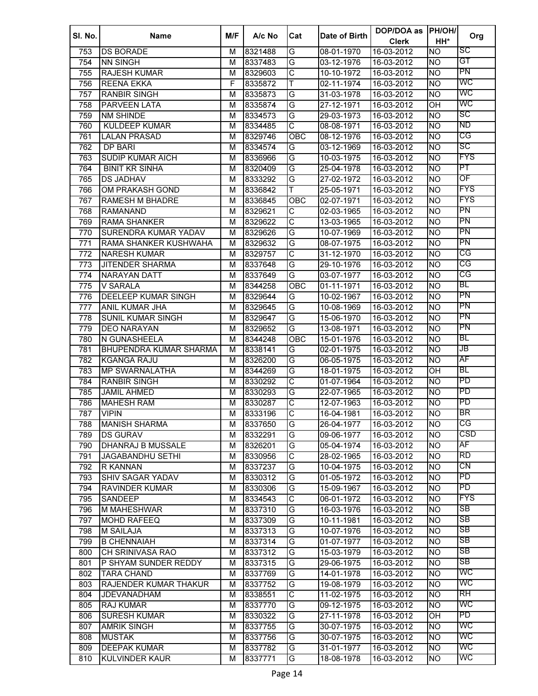| SI. No. | <b>Name</b>                   | M/F | A/c No  | Cat                   | Date of Birth | DOP/DOA as<br><b>Clerk</b> | PH/OH/<br>HH*    | Org        |
|---------|-------------------------------|-----|---------|-----------------------|---------------|----------------------------|------------------|------------|
| 753     | <b>DS BORADE</b>              | м   | 8321488 | G                     | 08-01-1970    | 16-03-2012                 | Ю                | SC         |
| 754     | <b>NN SINGH</b>               | M   | 8337483 | G                     | 03-12-1976    | 16-03-2012                 | <b>NO</b>        | GT         |
| 755     | <b>RAJESH KUMAR</b>           | М   | 8329603 | $\overline{\text{c}}$ | 10-10-1972    | 16-03-2012                 | Ю                | PN         |
| 756     | <b>REENA EKKA</b>             | F   | 8335872 | Т                     | 02-11-1974    | 16-03-2012                 | <b>NO</b>        | WC         |
| 757     | <b>RANBIR SINGH</b>           | M   | 8335873 | G                     | 31-03-1978    | $16 - 03 - 2012$           | <b>NO</b>        | WC         |
| 758     | <b>PARVEEN LATA</b>           | м   | 8335874 | G                     | 27-12-1971    | 16-03-2012                 | OH               | WC         |
| 759     | <b>NM SHINDE</b>              | М   | 8334573 | G                     | 29-03-1973    | 16-03-2012                 | <b>NO</b>        | SC         |
| 760     | <b>KULDEEP KUMAR</b>          | м   | 8334485 | $\overline{\text{C}}$ | 08-08-1971    | 16-03-2012                 | <b>NO</b>        | ND         |
| 761     | LALAN PRASAD                  | м   | 8329746 | <b>OBC</b>            | 08-12-1976    | 16-03-2012                 | <b>NO</b>        | CG         |
| 762     | DP BARI                       | м   | 8334574 | G                     | 03-12-1969    | 16-03-2012                 | <b>NO</b>        | SC         |
| 763     | <b>SUDIP KUMAR AICH</b>       | м   | 8336966 | G                     | 10-03-1975    | 16-03-2012                 | <b>NO</b>        | <b>FYS</b> |
| 764     | <b>BINIT KR SINHA</b>         | м   | 8320409 | G                     | 25-04-1978    | 16-03-2012                 | <b>NO</b>        | PT         |
| 765     | <b>DS JADHAV</b>              | M   | 8333292 | G                     | 27-02-1972    | 16-03-2012                 | <b>NO</b>        | OF         |
| 766     | OM PRAKASH GOND               | м   | 8336842 | T                     | 25-05-1971    | 16-03-2012                 | <b>NO</b>        | <b>FYS</b> |
| 767     | <b>RAMESH M BHADRE</b>        | M   | 8336845 | OBC                   | 02-07-1971    | 16-03-2012                 | <b>NO</b>        | <b>FYS</b> |
| 768     | <b>RAMANAND</b>               | M   | 8329621 | C                     | 02-03-1965    | 16-03-2012                 | <b>NO</b>        | PN         |
| 769     | <b>RAMA SHANKER</b>           | M   | 8329622 | $\overline{\text{C}}$ | 13-03-1965    | 16-03-2012                 | <b>NO</b>        | PN         |
| 770     | SURENDRA KUMAR YADAV          | M   | 8329626 | G                     | 10-07-1969    | 16-03-2012                 | <b>NO</b>        | PN         |
| 771     | RAMA SHANKER KUSHWAHA         | M   | 8329632 | G                     | 08-07-1975    | 16-03-2012                 | <b>NO</b>        | PN         |
| 772     | <b>NARESH KUMAR</b>           | M   | 8329757 | $\overline{\text{C}}$ | 31-12-1970    | 16-03-2012                 | <b>NO</b>        | CG         |
| 773     | <b>JITENDER SHARMA</b>        | M   | 8337648 | G                     | 29-10-1976    | 16-03-2012                 | <b>NO</b>        | CG         |
| 774     | <b>NARAYAN DATT</b>           | М   | 8337649 | G                     | 03-07-1977    | 16-03-2012                 | <b>NO</b>        | CG         |
| 775     | V SARALA                      | М   | 8344258 | <b>OBC</b>            | 01-11-1971    | 16-03-2012                 | <b>NO</b>        | BL         |
| 776     | <b>DEELEEP KUMAR SINGH</b>    | М   | 8329644 | G                     | 10-02-1967    | 16-03-2012                 | <b>NO</b>        | PN         |
| 777     | <b>ANIL KUMAR JHA</b>         | М   | 8329645 | G                     | 10-08-1969    | 16-03-2012                 | <b>NO</b>        | PN         |
| 778     | <b>SUNIL KUMAR SINGH</b>      | M   | 8329647 | G                     | 15-06-1970    | 16-03-2012                 | Ю                | PN         |
| 779     | <b>DEO NARAYAN</b>            | М   | 8329652 | G                     | 13-08-1971    | 16-03-2012                 | <b>NO</b>        | PN         |
| 780     | N GUNASHEELA                  | М   | 8344248 | $\overline{O}$ BC     | 15-01-1976    | 16-03-2012                 | <b>NO</b>        | BL         |
| 781     | <b>BHUPENDRA KUMAR SHARMA</b> | М   | 8338141 | G                     | 02-01-1975    | 16-03-2012                 | <b>NO</b>        | JB         |
| 782     | <b>KGANGA RAJU</b>            | M   | 8326200 | G                     | 06-05-1975    | 16-03-2012                 | <b>NO</b>        | AF         |
| 783     | <b>MP SWARNALATHA</b>         | М   | 8344269 | G                     | 18-01-1975    | 16-03-2012                 | OH               | <b>BL</b>  |
| 784     | <b>RANBIR SINGH</b>           | М   | 8330292 | $\overline{\text{C}}$ | 01-07-1964    | 16-03-2012                 | <b>NO</b>        | PD         |
| 785     | <b>JAMIL AHMED</b>            | М   | 8330293 | G                     | 22-07-1965    | $\overline{16}$ -03-2012   | <b>NO</b>        | PD         |
| 786     | <b>MAHESH RAM</b>             | М   | 8330287 | C                     | 12-07-1963    | 16-03-2012                 | <b>NO</b>        | PD         |
| 787     | <b>VIPIN</b>                  | м   | 8333196 | $\overline{\text{c}}$ | 16-04-1981    | 16-03-2012                 | <b>NO</b>        | BR         |
| 788     | <b>MANISH SHARMA</b>          | М   | 8337650 | G                     | 26-04-1977    | 16-03-2012                 | <b>NO</b>        | CG         |
| 789     | <b>DS GURAV</b>               | м   | 8332291 | G                     | 09-06-1977    | 16-03-2012                 | <b>NO</b>        | CSD        |
| 790     | <b>DHANRAJ B MUSSALE</b>      | М   | 8326201 | G                     | 05-04-1974    | 16-03-2012                 | <b>NO</b>        | AF         |
| 791     | JAGABANDHU SETHI              | М   | 8330956 | $\overline{\text{c}}$ | 28-02-1965    | 16-03-2012                 | <b>NO</b>        | <b>RD</b>  |
| 792     | R KANNAN                      | M   | 8337237 | G                     | 10-04-1975    | 16-03-2012                 | <b>NO</b>        | CN         |
| 793     | <b>SHIV SAGAR YADAV</b>       | M   | 8330312 | G                     | 01-05-1972    | 16-03-2012                 | Ю                | <b>PD</b>  |
| 794     | <b>RAVINDER KUMAR</b>         | М   | 8330306 | G                     | 15-09-1967    | 16-03-2012                 | <b>NO</b>        | PD         |
| 795     | <b>SANDEEP</b>                | M   | 8334543 | $\overline{\text{c}}$ | 06-01-1972    | 16-03-2012                 | <b>NO</b>        | <b>FYS</b> |
| 796     | <b>M MAHESHWAR</b>            | M   | 8337310 | G                     | 16-03-1976    | 16-03-2012                 | <b>NO</b>        | SB         |
| 797     | <b>MOHD RAFEEQ</b>            | М   | 8337309 | G                     | 10-11-1981    | 16-03-2012                 | Ю                | SB         |
| 798     | <b>M SAILAJA</b>              | M   | 8337313 | G                     | 10-07-1976    | 16-03-2012                 | <b>NO</b>        | SB         |
| 799     | <b>B CHENNAIAH</b>            | M   | 8337314 | G                     | 01-07-1977    | 16-03-2012                 | <b>NO</b>        | SB         |
| 800     | CH SRINIVASA RAO              | M   | 8337312 | G                     | 15-03-1979    | 16-03-2012                 | Ю                | SB         |
| 801     | P SHYAM SUNDER REDDY          | М   | 8337315 | G                     | 29-06-1975    | $16 - 03 - 2012$           | <b>NO</b>        | SB         |
| 802     | <b>TARA CHAND</b>             | М   | 8337769 | G                     | 14-01-1978    | $16-03-2012$               | Ю                | WC         |
| 803     | RAJENDER KUMAR THAKUR         | M   | 8337752 | G                     | 19-08-1979    | 16-03-2012                 | Ю                | WC         |
| 804     | <b>JDEVANADHAM</b>            | М   | 8338551 | $\overline{\text{c}}$ | 11-02-1975    | 16-03-2012                 | Ю                | RH         |
| 805     | <b>RAJ KUMAR</b>              | М   | 8337770 | G                     | 09-12-1975    | 16-03-2012                 | <b>NO</b>        | WC         |
| 806     | <b>SURESH KUMAR</b>           | М   | 8330322 | G                     | 27-11-1978    | 16-03-2012                 | $\overline{O}$ H | PD         |
| 807     | <b>AMRIK SINGH</b>            | М   | 8337755 | G                     | 30-07-1975    | 16-03-2012                 | <b>NO</b>        | WC         |
| 808     | <b>MUSTAK</b>                 | М   | 8337756 | G                     | 30-07-1975    | 16-03-2012                 | <b>NO</b>        | WС         |
| 809     | <b>DEEPAK KUMAR</b>           | М   | 8337782 | G                     | 31-01-1977    | 16-03-2012                 | <b>NO</b>        | WC         |
| 810     | KULVINDER KAUR                | М   | 8337771 | G                     | 18-08-1978    | 16-03-2012                 | <b>NO</b>        | WC         |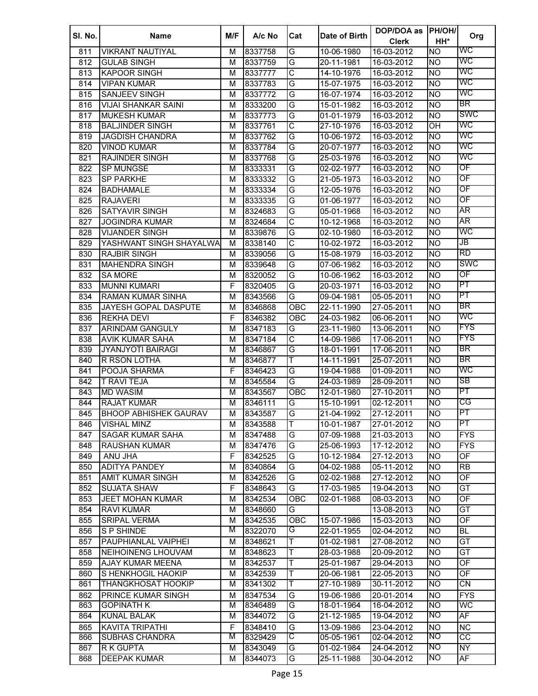| SI. No. | <b>Name</b>                  | M/F                     | A/c No  | Cat                   | Date of Birth | DOP/DOA as<br><b>Clerk</b> | PH/OH/<br>HH*  | Org                      |
|---------|------------------------------|-------------------------|---------|-----------------------|---------------|----------------------------|----------------|--------------------------|
| 811     | <b>VIKRANT NAUTIYAL</b>      | М                       | 8337758 | G                     | 10-06-1980    | 16-03-2012                 | Ю              | WC                       |
| 812     | <b>GULAB SINGH</b>           | М                       | 8337759 | G                     | 20-11-1981    | 16-03-2012                 | Ю              | WC                       |
| 813     | <b>KAPOOR SINGH</b>          | M                       | 8337777 | $\overline{\text{c}}$ | 14-10-1976    | 16-03-2012                 | Ю              | WC                       |
| 814     | <b>VIPAN KUMAR</b>           | М                       | 8337783 | G                     | 15-07-1975    | 16-03-2012                 | <b>NO</b>      | WC                       |
| 815     | <b>SANJEEV SINGH</b>         | M                       | 8337772 | G                     | 16-07-1974    | $16-03-2012$               | <b>NO</b>      | WC                       |
| 816     | <b>VIJAI SHANKAR SAINI</b>   | M                       | 8333200 | G                     | 15-01-1982    | 16-03-2012                 | <b>NO</b>      | BR                       |
| 817     | <b>MUKESH KUMAR</b>          | М                       | 8337773 | G                     | 01-01-1979    | 16-03-2012                 | N <sub>O</sub> | SWC                      |
| 818     | <b>BALJINDER SINGH</b>       | м                       | 8337761 | $\overline{\text{c}}$ | 27-10-1976    | 16-03-2012                 | OH             | WC                       |
| 819     | <b>JAGDISH CHANDRA</b>       | м                       | 8337762 | G                     | 10-06-1972    | 16-03-2012                 | <b>NO</b>      | WC                       |
| 820     | <b>VINOD KUMAR</b>           | м                       | 8337784 | G                     | 20-07-1977    | 16-03-2012                 | <b>NO</b>      | WC                       |
| 821     | <b>RAJINDER SINGH</b>        | М                       | 8337768 | G                     | 25-03-1976    | 16-03-2012                 | <b>NO</b>      | WC                       |
| 822     | <b>SP MUNGSE</b>             | М                       | 8333331 | G                     | 02-02-1977    | 16-03-2012                 | <b>NO</b>      | OF                       |
| 823     | <b>SP PARKHE</b>             | M                       | 8333332 | G                     | 21-05-1973    | 16-03-2012                 | <b>NO</b>      | OF                       |
| 824     | <b>BADHAMALE</b>             | M                       | 8333334 | G                     | 12-05-1976    | 16-03-2012                 | <b>NO</b>      | OF                       |
| 825     | <b>RAJAVERI</b>              | M                       | 8333335 | G                     | 01-06-1977    | 16-03-2012                 | <b>NO</b>      | OF                       |
| 826     | <b>SATYAVIR SINGH</b>        | M                       | 8324683 | G                     | 05-01-1968    | 16-03-2012                 | <b>NO</b>      | AR                       |
| 827     | <b>JOGINDRA KUMAR</b>        | M                       | 8324684 | C                     | 10-12-1968    | 16-03-2012                 | <b>NO</b>      | AR                       |
| 828     | <b>VIJANDER SINGH</b>        | M                       | 8339876 | G                     | 02-10-1980    | 16-03-2012                 | <b>NO</b>      | WC                       |
| 829     | YASHWANT SINGH SHAYALWA      | M                       | 8338140 | $\overline{\text{C}}$ | 10-02-1972    | 16-03-2012                 | Ю              | JB                       |
| 830     | <b>RAJBIR SINGH</b>          | M                       | 8339056 | G                     | 15-08-1979    | 16-03-2012                 | Ю              | <b>RD</b>                |
| 831     | <b>MAHENDRA SINGH</b>        | M                       | 8339648 | G                     | 07-06-1982    | 16-03-2012                 | <b>NO</b>      | SWC                      |
| 832     | <b>SA MORE</b>               | M                       | 8320052 | G                     | 10-06-1962    | 16-03-2012                 | <b>NO</b>      | OF                       |
| 833     | <b>MUNNI KUMARI</b>          | F                       | 8320405 | G                     | 20-03-1971    | 16-03-2012                 | <b>NO</b>      | PT                       |
| 834     | RAMAN KUMAR SINHA            | M                       | 8343566 | G                     | 09-04-1981    | 05-05-2011                 | <b>NO</b>      | PT                       |
| 835     | JAYESH GOPAL DASPUTE         | M                       | 8346868 | OBC                   | 22-11-1990    | 27-05-2011                 | Ю              | BR                       |
| 836     | <b>REKHA DEVI</b>            | F                       | 8346382 | OBC                   | 24-03-1982    | 06-06-2011                 | Ю              | WC                       |
| 837     | <b>ARINDAM GANGULY</b>       | $\overline{\mathsf{M}}$ | 8347183 | G                     | 23-11-1980    | 13-06-2011                 | Ю              | <b>FYS</b>               |
| 838     | <b>AVIK KUMAR SAHA</b>       | М                       | 8347184 | $\overline{\text{C}}$ | 14-09-1986    | 17-06-2011                 | Ю              | <b>FYS</b>               |
| 839     | <b>JYANJYOTI BAIRAGI</b>     | M                       | 8346867 | G                     | 18-01-1991    | 17-06-2011                 | <b>NO</b>      | BR                       |
| 840     | R RSON LOTHA                 | М                       | 8346877 | Т                     | 14-11-1991    | 25-07-2011                 | <b>NO</b>      | BR                       |
| 841     | POOJA SHARMA                 | $\overline{F}$          | 8346423 | G                     | 19-04-1988    | 01-09-2011                 | <b>NO</b>      | WC                       |
| 842     | <b>T RAVI TEJA</b>           | М                       | 8345584 | G                     | 24-03-1989    | 28-09-2011                 | <b>NO</b>      | SB                       |
| 843     | <b>MD WASIM</b>              | М                       | 8343567 | OBC                   | 12-01-1980    | 27-10-2011                 | <b>NO</b>      | PT                       |
| 844     | <b>RAJAT KUMAR</b>           | м                       | 8346111 | G                     | 15-10-1991    | 02-12-2011                 | <b>NO</b>      | CG                       |
| 845     | <b>BHOOP ABHISHEK GAURAV</b> | м                       | 8343587 | G                     | 21-04-1992    | 27-12-2011                 | Ю              | PT                       |
| 846     | <b>VISHAL MINZ</b>           | м                       | 8343588 | Τ                     | 10-01-1987    | 27-01-2012                 | <b>NO</b>      | PT                       |
| 847     | <b>SAGAR KUMAR SAHA</b>      | м                       | 8347488 | G                     | 07-09-1988    | 21-03-2013                 | <b>NO</b>      | <b>FYS</b>               |
| 848     | <b>RAUSHAN KUMAR</b>         | M                       | 8347476 | G                     | 25-06-1993    | 17-12-2012                 | <b>NO</b>      | <b>FYS</b>               |
| 849     | ANU JHA                      | F                       | 8342525 | G                     | 10-12-1984    | 27-12-2013                 | <b>NO</b>      | OF                       |
| 850     | <b>ADITYA PANDEY</b>         | M                       | 8340864 | G                     | 04-02-1988    | 05-11-2012                 | <b>NO</b>      | <b>RB</b>                |
| 851     | <b>AMIT KUMAR SINGH</b>      | M                       | 8342526 | G                     | 02-02-1988    | 27-12-2012                 | <b>NO</b>      | $\overline{OF}$          |
| 852     | <b>SUJATA SHAW</b>           | F                       | 8348643 | G                     | 17-03-1985    | 19-04-2013                 | Ю              | GT                       |
| 853     | <b>JEET MOHAN KUMAR</b>      | M                       | 8342534 | OBC                   | 02-01-1988    | 08-03-2013                 | <b>NO</b>      | OF                       |
| 854     | <b>RAVI KUMAR</b>            | M                       | 8348660 | G                     |               | 13-08-2013                 | <b>NO</b>      | GT                       |
| 855     | <b>SRIPAL VERMA</b>          | M                       | 8342535 | OBC                   | 15-07-1986    | 15-03-2013                 | <b>NO</b>      | OF                       |
| 856     | <b>SP SHINDE</b>             | M                       | 8322070 | G                     | 22-01-1955    | 02-04-2012                 | <b>NO</b>      | <b>BL</b>                |
| 857     | PAUPHIANLAL VAIPHEI          | M                       | 8348621 | Т                     | 01-02-1981    | 27-08-2012                 | <b>NO</b>      | GT                       |
| 858     | NEIHOINENG LHOUVAM           | М                       | 8348623 | Τ                     | 28-03-1988    | 20-09-2012                 | NO <sub></sub> | $\overline{GT}$          |
| 859     | AJAY KUMAR MEENA             | М                       | 8342537 | Τ                     | 25-01-1987    | 29-04-2013                 | <b>NO</b>      | $\overline{OF}$          |
| 860     | S HENKHOGIL HAOKIP           | М                       | 8342539 | Т                     | 20-06-1981    | 22-05-2013                 | Ю              | $\overline{\mathsf{OF}}$ |
| 861     | <b>THANGKHOSAT HOOKIP</b>    | М                       | 8341302 | Т                     | 27-10-1989    | 30-11-2012                 | <b>NO</b>      | $\overline{CN}$          |
| 862     | PRINCE KUMAR SINGH           | М                       | 8347534 | G                     | 19-06-1986    | 20-01-2014                 | <b>NO</b>      | <b>FYS</b>               |
| 863     | <b>GOPINATH K</b>            | М                       | 8346489 | G                     | 18-01-1964    | 16-04-2012                 | Ю              | WC                       |
| 864     | <b>KUNAL BALAK</b>           | М                       | 8344072 | G                     | 21-12-1985    | $19-04-2012$               | NO             | AF                       |
| 865     | <b>KAVITA TRIPATHI</b>       | F                       | 8348410 | G                     | 13-09-1986    | 23-04-2012                 | <b>NO</b>      | <b>NC</b>                |
| 866     | <b>SUBHAS CHANDRA</b>        | M                       | 8329429 | С                     | 05-05-1961    | 02-04-2012                 | NO             | $\overline{cc}$          |
| 867     | R K GUPTA                    | М                       | 8343049 | G                     | 01-02-1984    | 24-04-2012                 | NO             | $\overline{NY}$          |
| 868     | <b>DEEPAK KUMAR</b>          | М                       | 8344073 | G                     | 25-11-1988    | 30-04-2012                 | <b>NO</b>      | AF                       |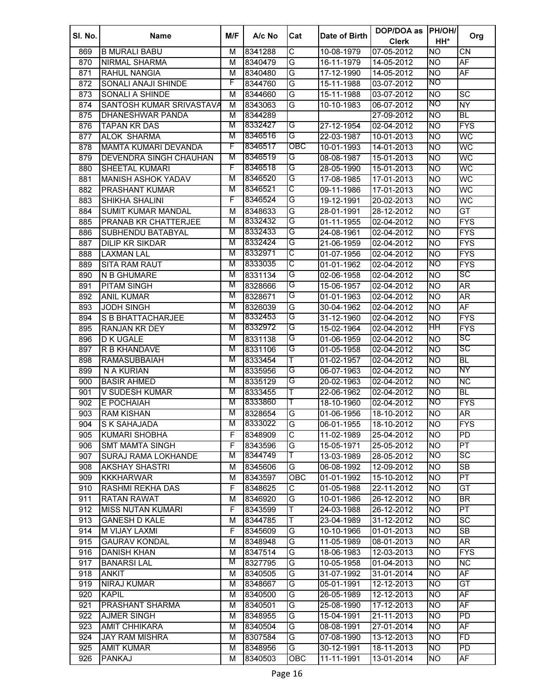| SI. No. | <b>Name</b>                 | M/F    | A/c No  | Cat                   | Date of Birth | DOP/DOA as   | <b>PH/OH/</b>  | Org                      |
|---------|-----------------------------|--------|---------|-----------------------|---------------|--------------|----------------|--------------------------|
|         |                             |        |         |                       |               | <b>Clerk</b> | HH*            |                          |
| 869     | <b>B MURALI BABU</b>        | м      | 8341288 | $\overline{\text{c}}$ | 10-08-1979    | 07-05-2012   | <b>NO</b>      | <b>CN</b>                |
| 870     | <b>NIRMAL SHARMA</b>        | м      | 8340479 | G                     | 16-11-1979    | 14-05-2012   | <b>NO</b>      | AF                       |
| 871     | RAHUL NANGIA                | M      | 8340480 | G                     | 17-12-1990    | 14-05-2012   | <b>NO</b>      | AF                       |
| 872     | SONALI ANAJI SHINDE         | F      | 8344760 | G                     | 15-11-1988    | 03-07-2012   | NO             |                          |
| 873     | <b>SONALI A SHINDE</b>      | M      | 8344660 | G                     | 15-11-1988    | 03-07-2012   | <b>NO</b>      | $\overline{SC}$          |
| 874     | SANTOSH KUMAR SRIVASTAVA    | м      | 8343063 | G                     | 10-10-1983    | 06-07-2012   | <b>NO</b>      | $\overline{NY}$          |
| 875     | <b>DHANESHWAR PANDA</b>     | м      | 8344289 |                       |               | 27-09-2012   | <b>NO</b>      | $\overline{BL}$          |
| 876     | <b>TAPAN KR DAS</b>         | M      | 8332427 | G                     | 27-12-1954    | 02-04-2012   | <b>NO</b>      | <b>FYS</b>               |
| 877     | <b>ALOK SHARMA</b>          | M      | 8346516 | G                     | 22-03-1987    | 10-01-2013   | <b>NO</b>      | WC                       |
| 878     | MAMTA KUMARI DEVANDA        | F      | 8346517 | OBC                   | 10-01-1993    | 14-01-2013   | <b>NO</b>      | WC                       |
| 879     | DEVENDRA SINGH CHAUHAN      | м      | 8346519 | G                     | 08-08-1987    | 15-01-2013   | <b>NO</b>      | <b>WC</b>                |
| 880     | SHEETAL KUMARI              | F      | 8346518 | G                     | 28-05-1990    | 15-01-2013   | <b>NO</b>      | WC                       |
| 881     | <b>MANISH ASHOK YADAV</b>   | M      | 8346520 | G                     | 17-08-1985    | 17-01-2013   | NO.            | <b>WC</b>                |
| 882     | <b>PRASHANT KUMAR</b>       | M      | 8346521 | С                     | 09-11-1986    | 17-01-2013   | NO.            | <b>WC</b>                |
| 883     | SHIKHA SHALINI              | F      | 8346524 | G                     | 19-12-1991    | 20-02-2013   | <b>NO</b>      | <b>WC</b>                |
|         |                             | M      | 8348633 | G                     | 28-01-1991    |              |                | GT                       |
| 884     | <b>SUMIT KUMAR MANDAL</b>   | M      | 8332432 | G                     |               | 28-12-2012   | <b>NO</b>      | <b>FYS</b>               |
| 885     | <b>PRANAB KR CHATTERJEE</b> | M      | 8332433 | G                     | 01-11-1955    | 02-04-2012   | <b>NO</b>      |                          |
| 886     | <b>SUBHENDU BATABYAL</b>    |        |         |                       | 24-08-1961    | 02-04-2012   | <b>NO</b>      | <b>FYS</b>               |
| 887     | <b>DILIP KR SIKDAR</b>      | М      | 8332424 | G                     | 21-06-1959    | 02-04-2012   | <b>NO</b>      | <b>FYS</b>               |
| 888     | <b>LAXMAN LAL</b>           | м      | 8332971 | С                     | 01-07-1956    | 02-04-2012   | <b>NO</b>      | <b>FYS</b>               |
| 889     | <b>SITA RAM RAUT</b>        | М      | 8333035 | C                     | 01-01-1962    | 02-04-2012   | NO             | $\overline{FYS}$         |
| 890     | N B GHUMARE                 | M      | 8331134 | G                     | 02-06-1958    | 02-04-2012   | <b>NO</b>      | SC                       |
| 891     | <b>PITAM SINGH</b>          | м      | 8328666 | G                     | 15-06-1957    | 02-04-2012   | <b>NO</b>      | AR                       |
| 892     | <b>ANIL KUMAR</b>           | M      | 8328671 | G                     | 01-01-1963    | 02-04-2012   | <b>NO</b>      | $\overline{AR}$          |
| 893     | <b>JODH SINGH</b>           | M      | 8326039 | G                     | 30-04-1962    | 02-04-2012   | <b>NO</b>      | AF                       |
| 894     | <b>S B BHATTACHARJEE</b>    | M      | 8332453 | G                     | 31-12-1960    | 02-04-2012   | <b>NO</b>      | <b>FYS</b>               |
| 895     | <b>RANJAN KR DEY</b>        | M      | 8332972 | G                     | 15-02-1964    | 02-04-2012   | ΗH             | <b>FYS</b>               |
| 896     | <b>D K UGALE</b>            | M      | 8331138 | G                     | 01-06-1959    | 02-04-2012   | <b>NO</b>      | SC                       |
| 897     | R B KHANDAVE                | M      | 8331106 | G                     | 01-05-1958    | 02-04-2012   | <b>NO</b>      | SC                       |
| 898     | <b>RAMASUBBAIAH</b>         | M      | 8333454 | Ŧ                     | 01-02-1957    | 02-04-2012   | <b>NO</b>      | <b>BL</b>                |
| 899     | N A KURIAN                  | M      | 8335956 | G                     | 06-07-1963    | 02-04-2012   | <b>NO</b>      | NΥ                       |
| 900     | <b>BASIR AHMED</b>          | M      | 8335129 | G                     | 20-02-1963    | 02-04-2012   | <b>NO</b>      | $\overline{\text{NC}}$   |
| 901     | V SUDESH KUMAR              | M      | 8333455 | Ŧ                     | 22-06-1962    | 02-04-2012   | <b>NO</b>      | BL                       |
| 902     | E POCHAIAH                  | M      | 8333860 | Τ                     | 18-10-1960    | 02-04-2012   | <b>NO</b>      | $\overline{FYS}$         |
| 903     | <b>RAM KISHAN</b>           | M      | 8328654 | G                     | 01-06-1956    | 18-10-2012   | N <sub>O</sub> | AR                       |
| 904     | <b>S K SAHAJADA</b>         | м      | 8333022 | G                     | 06-01-1955    | 18-10-2012   | <b>NO</b>      | <b>FYS</b>               |
| 905     | <b>KUMARI SHOBHA</b>        | F      | 8348909 | $\overline{\text{c}}$ | 11-02-1989    | 25-04-2012   | <b>NO</b>      | PD                       |
| 906     | <b>SMT MAMTA SINGH</b>      | F      | 8343596 | G                     | 15-05-1971    | 25-05-2012   | <b>NO</b>      | PT                       |
| 907     | <b>SURAJ RAMA LOKHANDE</b>  | M      | 8344749 | Т                     | 13-03-1989    | 28-05-2012   | <b>NO</b>      | SC                       |
| 908     | <b>AKSHAY SHASTRI</b>       | м      | 8345606 | G                     | 06-08-1992    | 12-09-2012   | <b>NO</b>      | $\overline{\text{SB}}$   |
| 909     | <b>KKKHARWAR</b>            | M      | 8343597 | OBC                   | 01-01-1992    | 15-10-2012   | N <sub>O</sub> | PT                       |
| 910     | RASHMI REKHA DAS            | F      | 8348625 | C                     | 01-05-1988    | 22-11-2012   | <b>NO</b>      | $\overline{GT}$          |
| 911     | <b>RATAN RAWAT</b>          | M      | 8346920 | G                     | 10-01-1986    | 26-12-2012   | <b>NO</b>      | $\overline{\mathsf{BR}}$ |
| 912     | <b>MISS NUTAN KUMARI</b>    | F      | 8343599 | Τ                     | 24-03-1988    | 26-12-2012   | <b>NO</b>      | $\overline{\mathsf{PT}}$ |
| 913     | <b>GANESH D KALE</b>        | М      | 8344785 | Т                     | 23-04-1989    | 31-12-2012   | <b>NO</b>      | $\overline{SC}$          |
| 914     | <b>M VIJAY LAXMI</b>        | F      | 8345609 | G                     | 10-10-1966    | 01-01-2013   | <b>NO</b>      | <b>SB</b>                |
| 915     | <b>GAURAV KONDAL</b>        | М      | 8348948 | G                     | 11-05-1989    | 08-01-2013   | <b>NO</b>      | $\overline{\mathsf{AR}}$ |
|         |                             |        |         | G                     |               |              | <b>NO</b>      | <b>FYS</b>               |
| 916     | <b>DANISH KHAN</b>          | M<br>M | 8347514 | G                     | 18-06-1983    | 12-03-2013   |                | <b>NC</b>                |
| 917     | <b>BANARSILAL</b>           |        | 8327795 |                       | 10-05-1958    | 01-04-2013   | <b>NO</b>      |                          |
| 918     | <b>ANKIT</b>                | M      | 8340505 | G                     | 31-07-1992    | 31-01-2014   | <b>NO</b>      | AF                       |
| 919     | <b>NIRAJ KUMAR</b>          | M      | 8348667 | G                     | 05-01-1991    | 12-12-2013   | <b>NO</b>      | $\overline{GT}$          |
| 920     | <b>KAPIL</b>                | М      | 8340500 | G                     | 26-05-1989    | 12-12-2013   | <b>NO</b>      | AF                       |
| 921     | PRASHANT SHARMA             | M      | 8340501 | G                     | 25-08-1990    | 17-12-2013   | <b>NO</b>      | AF                       |
| 922     | <b>AJMER SINGH</b>          | М      | 8348955 | G                     | 15-04-1991    | 21-11-2013   | N <sub>O</sub> | $\overline{PD}$          |
| 923     | <b>AMIT CHHIKARA</b>        | м      | 8340504 | G                     | 08-08-1991    | 27-01-2014   | <b>NO</b>      | AF                       |
| 924     | <b>JAY RAM MISHRA</b>       | М      | 8307584 | G                     | 07-08-1990    | 13-12-2013   | <b>NO</b>      | FD                       |
| 925     | <b>AMIT KUMAR</b>           | M      | 8348956 | G                     | 30-12-1991    | 18-11-2013   | <b>NO</b>      | $\overline{PD}$          |
| 926     | <b>PANKAJ</b>               | М      | 8340503 | ОВС                   | 11-11-1991    | 13-01-2014   | <b>NO</b>      | AF                       |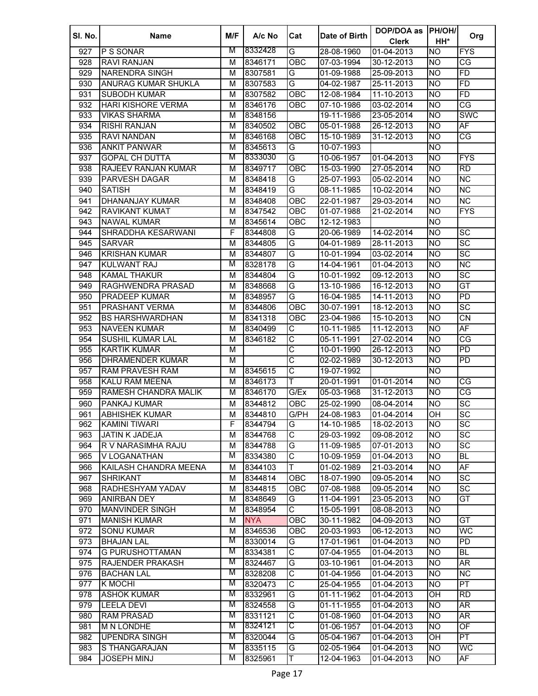| SI. No. | <b>Name</b>                                     | M/F | A/c No             | Cat                     | Date of Birth            | DOP/DOA as<br><b>Clerk</b> | <b>PH/OH/</b><br>HH* | Org                      |
|---------|-------------------------------------------------|-----|--------------------|-------------------------|--------------------------|----------------------------|----------------------|--------------------------|
| 927     | P S SONAR                                       | M   | 8332428            | $\overline{\mathsf{G}}$ | 28-08-1960               | 01-04-2013                 | Ю                    | <b>FYS</b>               |
| 928     | <b>RAVI RANJAN</b>                              | М   | 8346171            | OBC                     | 07-03-1994               | 30-12-2013                 | Ю                    | CG                       |
| 929     | <b>NARENDRA SINGH</b>                           | М   | 8307581            | G                       | 01-09-1988               | 25-09-2013                 | Ю                    | FD                       |
| 930     | ANURAG KUMAR SHUKLA                             | м   | 8307583            | G                       | 04-02-1987               | 25-11-2013                 | <b>NO</b>            | FD                       |
| 931     | <b>SUBODH KUMAR</b>                             | М   | 8307582            | OBC                     | 12-08-1984               | 11-10-2013                 | <b>NO</b>            | FD                       |
| 932     | <b>HARI KISHORE VERMA</b>                       | м   | 8346176            | <b>OBC</b>              | 07-10-1986               | 03-02-2014                 | <b>NO</b>            | CG                       |
| 933     | <b>VIKAS SHARMA</b>                             | м   | 8348156            |                         | 19-11-1986               | 23-05-2014                 | <b>NO</b>            | <b>SWC</b>               |
| 934     | <b>RISHI RANJAN</b>                             | м   | 8340502            | OBC                     | 05-01-1988               | 26-12-2013                 | <b>NO</b>            | $\overline{\mathsf{AF}}$ |
| 935     | RAVI NANDAN                                     | м   | 8346168            | <b>OBC</b>              | 15-10-1989               | 31-12-2013                 | <b>NO</b>            | СG                       |
| 936     | <b>ANKIT PANWAR</b>                             | м   | 8345613            | G                       | 10-07-1993               |                            | <b>NO</b>            |                          |
| 937     | <b>GOPAL CH DUTTA</b>                           | М   | 8333030            | G                       | 10-06-1957               | 01-04-2013                 | <b>NO</b>            | <b>FYS</b>               |
| 938     | RAJEEV RANJAN KUMAR                             | м   | 8349717            | OBC                     | 15-03-1990               | 27-05-2014                 | <b>NO</b>            | <b>RD</b>                |
| 939     | <b>PARVESH DAGAR</b>                            | M   | 8348418            | G                       | 25-07-1993               | 05-02-2014                 | <b>NO</b>            | $\overline{\text{NC}}$   |
| 940     | <b>SATISH</b>                                   | м   | 8348419            | G                       | 08-11-1985               | 10-02-2014                 | <b>NO</b>            | $\overline{\text{NC}}$   |
| 941     | <b>DHANANJAY KUMAR</b>                          | M   | 8348408            | OBC                     | 22-01-1987               | 29-03-2014                 | <b>NO</b>            | <b>NC</b>                |
| 942     | <b>RAVIKANT KUMAT</b>                           | М   | 8347542            | OBC                     | 01-07-1988               | 21-02-2014                 | <b>NO</b>            | <b>FYS</b>               |
| 943     | <b>NAWAL KUMAR</b>                              | M   | 8345614            | OBC                     | 12-12-1983               |                            | <b>NO</b>            |                          |
| 944     | SHRADDHA KESARWANI                              | F   | 8344808            | G                       | 20-06-1989               | 14-02-2014                 | <b>NO</b>            | $\overline{SC}$          |
| 945     | <b>SARVAR</b>                                   | M   | 8344805            | G                       | 04-01-1989               | 28-11-2013                 | <b>NO</b>            | SC                       |
| 946     | <b>KRISHAN KUMAR</b>                            | M   | 8344807            | G                       | 10-01-1994               | 03-02-2014                 | <b>NO</b>            | $\overline{SC}$          |
| 947     | <b>KULWANT RAJ</b>                              | M   | 8328178            | G                       | 14-04-1961               | 01-04-2013                 | <b>NO</b>            | <b>NC</b>                |
| 948     | <b>KAMAL THAKUR</b>                             | М   | 8344804            | G                       | 10-01-1992               | 09-12-2013                 | <b>NO</b>            | $\overline{SC}$          |
| 949     | RAGHWENDRA PRASAD                               | М   | 8348668            | G                       | 13-10-1986               | 16-12-2013                 | <b>NO</b>            | GT                       |
| 950     | <b>PRADEEP KUMAR</b>                            | М   | 8348957            | G                       | 16-04-1985               | 14-11-2013                 | <b>NO</b>            | $\overline{PD}$          |
| 951     | <b>PRASHANT VERMA</b>                           | М   | 8344806            | OBC                     | 30-07-1991               | 18-12-2013                 | <b>NO</b>            | $\overline{SC}$          |
| 952     | <b>BS HARSHWARDHAN</b>                          | М   | 8341318            | OBC                     | 23-04-1986               | 15-10-2013                 | <b>NO</b>            | $\overline{CN}$          |
| 953     | <b>NAVEEN KUMAR</b>                             | М   | 8340499            | C                       | 10-11-1985               | 11-12-2013                 | <b>NO</b>            | AF                       |
| 954     | <b>SUSHIL KUMAR LAL</b>                         | М   | 8346182            | $\overline{\text{C}}$   | 05-11-1991               | 27-02-2014                 | <b>NO</b>            | $\overline{\text{CG}}$   |
| 955     | <b>KARTIK KUMAR</b>                             | М   |                    | $\overline{\text{c}}$   | 10-01-1990               | 26-12-2013                 | <b>NO</b>            | $\overline{PD}$          |
| 956     | <b>DHRAMENDER KUMAR</b>                         | М   |                    | $\overline{\text{c}}$   | 02-02-1989               | 30-12-2013                 | <b>NO</b>            | PD                       |
|         |                                                 |     |                    | $\overline{\text{c}}$   |                          |                            |                      |                          |
| 957     | <b>RAM PRAVESH RAM</b><br><b>KALU RAM MEENA</b> | М   | 8345615<br>8346173 | T                       | 19-07-1992<br>20-01-1991 |                            | <b>NO</b>            | CG                       |
| 958     |                                                 | М   |                    |                         |                          | 01-01-2014                 | <b>NO</b>            | $\overline{\text{CG}}$   |
| 959     | RAMESH CHANDRA MALIK                            | М   | 8346170            | G/Ex                    | 05-03-1968               | 31-12-2013                 | <b>NO</b>            |                          |
| 960     | PANKAJ KUMAR                                    | м   | 8344812            | OBC                     | 25-02-1990               | 08-04-2014                 | <b>NO</b>            | SC                       |
| 961     | <b>ABHISHEK KUMAR</b>                           | м   | 8344810            | G/PH                    | 24-08-1983               | 01-04-2014                 | OH                   | SC                       |
| 962     | <b>KAMINI TIWARI</b>                            | F   | 8344794            | G                       | 14-10-1985               | 18-02-2013                 | <b>NO</b>            | $\overline{SC}$          |
| 963     | <b>JATIN K JADEJA</b>                           | M   | 8344768            | $\overline{\text{c}}$   | 29-03-1992               | 09-08-2012                 | <b>NO</b>            | $\overline{SC}$          |
| 964     | R V NARASIMHA RAJU                              | М   | 8344788            | G                       | 11-09-1985               | 07-01-2013                 | <b>NO</b>            | $\overline{SC}$          |
| 965     | V LOGANATHAN                                    | M   | 8334380            | $\overline{\text{c}}$   | 10-09-1959               | 01-04-2013                 | <b>NO</b>            | <b>BL</b>                |
| 966     | KAILASH CHANDRA MEENA                           | M   | 8344103            | T                       | 01-02-1989               | 21-03-2014                 | <b>NO</b>            | AF                       |
| 967     | <b>SHRIKANT</b>                                 | M   | 8344814            | OBC                     | 18-07-1990               | 09-05-2014                 | <b>NO</b>            | SC                       |
| 968     | RADHESHYAM YADAV                                | M   | 8344815            | OBC                     | 07-08-1988               | 09-05-2014                 | <b>NO</b>            | SC                       |
| 969     | <b>ANIRBAN DEY</b>                              | M   | 8348649            | G                       | 11-04-1991               | 23-05-2013                 | <b>NO</b>            | GT                       |
| 970     | <b>MANVINDER SINGH</b>                          | M   | 8348954            | $\overline{\mathsf{c}}$ | 15-05-1991               | 08-08-2013                 | Ю                    |                          |
| 971     | <b>MANISH KUMAR</b>                             | M   | <b>NYA</b>         | OBC                     | 30-11-1982               | 04-09-2013                 | <b>NO</b>            | GT                       |
| 972     | <b>SONU KUMAR</b>                               | M   | 8346536            | OBC                     | 20-03-1993               | 06-12-2013                 | <b>NO</b>            | WC                       |
| 973     | <b>BHAJAN LAL</b>                               | М   | 8330014            | G                       | 17-01-1961               | 01-04-2013                 | <b>NO</b>            | $\overline{PD}$          |
| 974     | <b>G PURUSHOTTAMAN</b>                          | М   | 8334381            | $\overline{\mathsf{C}}$ | 07-04-1955               | 01-04-2013                 | Ю                    | <b>BL</b>                |
| 975     | RAJENDER PRAKASH                                | М   | 8324467            | G                       | 03-10-1961               | $01-04-2013$               | <b>NO</b>            | AR                       |
| 976     | <b>BACHAN LAL</b>                               | М   | 8328208            | $\overline{\text{c}}$   | 01-04-1956               | 01-04-2013                 | Ю                    | $\overline{\text{NC}}$   |
| 977     | <b>K MOCHI</b>                                  | M   | 8320473            | $\overline{\text{c}}$   | 25-04-1955               | 01-04-2013                 | Ю                    | PT                       |
| 978     | <b>ASHOK KUMAR</b>                              | M   | 8332961            | G                       | 01-11-1962               | 01-04-2013                 | $\overline{O}$ H     | $\overline{RD}$          |
| 979     | <b>LEELA DEVI</b>                               | M   | 8324558            | G                       | 01-11-1955               | 01-04-2013                 | <b>NO</b>            | $\overline{\mathsf{AR}}$ |
| 980     | <b>RAM PRASAD</b>                               | M   | 8331121            | $\overline{\text{C}}$   | 01-08-1960               | 01-04-2013                 | <b>NO</b>            | AR                       |
| 981     | <b>M N LONDHE</b>                               | M   | 8324121            | С                       | 01-06-1957               | 01-04-2013                 | <b>NO</b>            | $\overline{OF}$          |
| 982     | <b>UPENDRA SINGH</b>                            | M   | 8320044            | G                       | 05-04-1967               | 01-04-2013                 | OH                   | $\overline{\mathsf{PT}}$ |
| 983     | S THANGARAJAN                                   | M   | 8335115            | G                       | 02-05-1964               | 01-04-2013                 | <b>NO</b>            | WC                       |
| 984     | JOSEPH MINJ                                     | М   | 8325961            | Т                       | 12-04-1963               | 01-04-2013                 | <b>NO</b>            | AF                       |